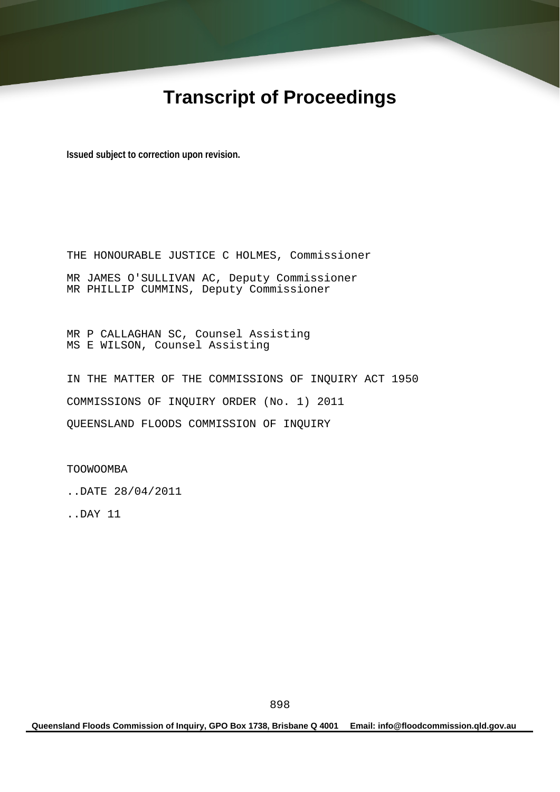# **Transcript of Proceedings**

**Issued subject to correction upon revision.** 

THE HONOURABLE JUSTICE C HOLMES, Commissioner MR JAMES O'SULLIVAN AC, Deputy Commissioner MR PHILLIP CUMMINS, Deputy Commissioner

MR P CALLAGHAN SC, Counsel Assisting MS E WILSON, Counsel Assisting

IN THE MATTER OF THE COMMISSIONS OF INQUIRY ACT 1950 COMMISSIONS OF INQUIRY ORDER (No. 1) 2011 QUEENSLAND FLOODS COMMISSION OF INQUIRY

TOOWOOMBA

..DATE 28/04/2011

..DAY 11

**Queensland Floods Commission of Inquiry, GPO Box 1738, Brisbane Q 4001 Email: info@floodcommission.qld.gov.au**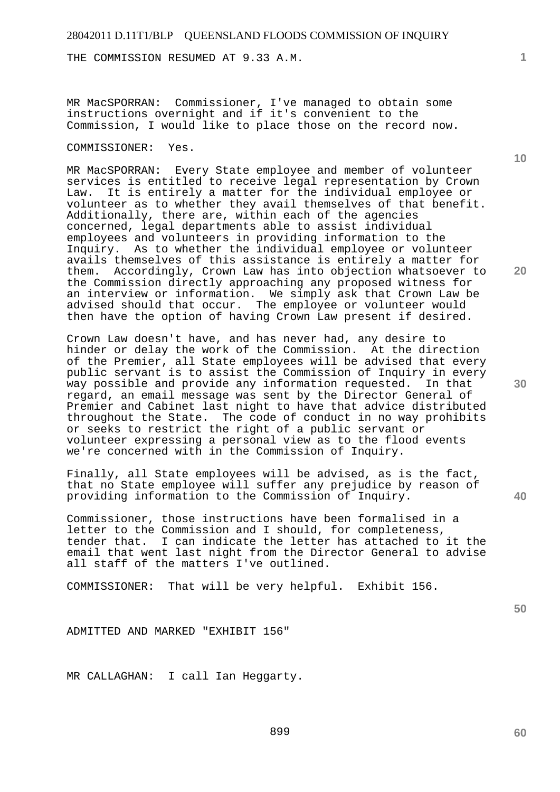THE COMMISSION RESUMED AT 9.33 A.M.

MR MacSPORRAN: Commissioner, I've managed to obtain some instructions overnight and if it's convenient to the Commission, I would like to place those on the record now.

#### COMMISSIONER: Yes.

MR MacSPORRAN: Every State employee and member of volunteer services is entitled to receive legal representation by Crown Law. It is entirely a matter for the individual employee or volunteer as to whether they avail themselves of that benefit. Additionally, there are, within each of the agencies concerned, legal departments able to assist individual employees and volunteers in providing information to the Inquiry. As to whether the individual employee or volunteer avails themselves of this assistance is entirely a matter for them. Accordingly, Crown Law has into objection whatsoever to the Commission directly approaching any proposed witness for an interview or information. We simply ask that Crown Law be advised should that occur. The employee or volunteer would then have the option of having Crown Law present if desired.

Crown Law doesn't have, and has never had, any desire to hinder or delay the work of the Commission. At the direction of the Premier, all State employees will be advised that every public servant is to assist the Commission of Inquiry in every way possible and provide any information requested. In that regard, an email message was sent by the Director General of Premier and Cabinet last night to have that advice distributed throughout the State. The code of conduct in no way prohibits or seeks to restrict the right of a public servant or volunteer expressing a personal view as to the flood events we're concerned with in the Commission of Inquiry.

Finally, all State employees will be advised, as is the fact, that no State employee will suffer any prejudice by reason of providing information to the Commission of Inquiry.

Commissioner, those instructions have been formalised in a letter to the Commission and I should, for completeness, tender that. I can indicate the letter has attached to it the email that went last night from the Director General to advise all staff of the matters I've outlined.

COMMISSIONER: That will be very helpful. Exhibit 156.

ADMITTED AND MARKED "EXHIBIT 156"

MR CALLAGHAN: I call Ian Heggarty.

**10** 

**1**

**20** 

**30** 

**40**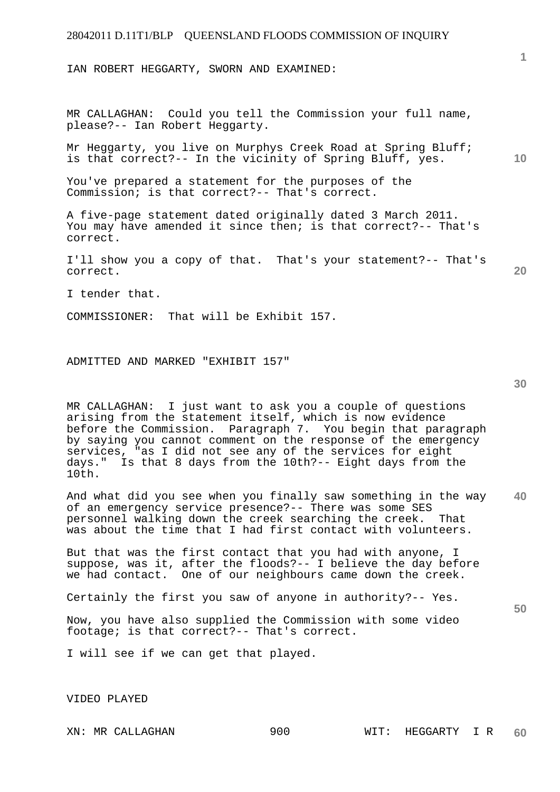IAN ROBERT HEGGARTY, SWORN AND EXAMINED:

MR CALLAGHAN: Could you tell the Commission your full name, please?-- Ian Robert Heggarty.

Mr Heggarty, you live on Murphys Creek Road at Spring Bluff; is that correct?-- In the vicinity of Spring Bluff, yes.

You've prepared a statement for the purposes of the Commission; is that correct?-- That's correct.

A five-page statement dated originally dated 3 March 2011. You may have amended it since then; is that correct?-- That's correct.

I'll show you a copy of that. That's your statement?-- That's correct.

I tender that.

COMMISSIONER: That will be Exhibit 157.

ADMITTED AND MARKED "EXHIBIT 157"

**30** 

**50** 

**1**

**10** 

**20** 

MR CALLAGHAN: I just want to ask you a couple of questions arising from the statement itself, which is now evidence before the Commission. Paragraph 7. You begin that paragraph by saying you cannot comment on the response of the emergency services, "as I did not see any of the services for eight days." Is that 8 days from the 10th?-- Eight days from the 10th.

**40**  And what did you see when you finally saw something in the way of an emergency service presence?-- There was some SES personnel walking down the creek searching the creek. That was about the time that I had first contact with volunteers.

But that was the first contact that you had with anyone, I suppose, was it, after the floods?-- I believe the day before we had contact. One of our neighbours came down the creek.

Certainly the first you saw of anyone in authority?-- Yes.

Now, you have also supplied the Commission with some video footage; is that correct?-- That's correct.

I will see if we can get that played.

VIDEO PLAYED

XN: MR CALLAGHAN 900 WIT: HEGGARTY I R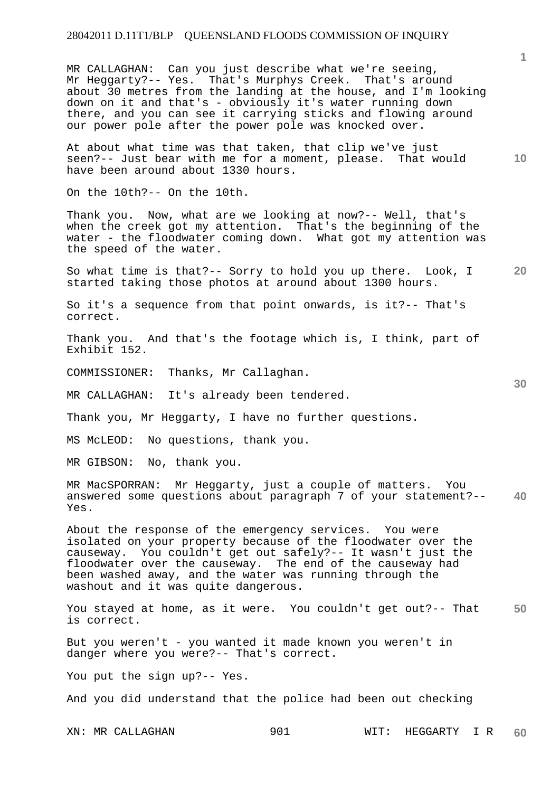MR CALLAGHAN: Can you just describe what we're seeing, Mr Heggarty?-- Yes. That's Murphys Creek. That's around about 30 metres from the landing at the house, and I'm looking down on it and that's - obviously it's water running down there, and you can see it carrying sticks and flowing around our power pole after the power pole was knocked over.

At about what time was that taken, that clip we've just seen?-- Just bear with me for a moment, please. That would have been around about 1330 hours.

On the 10th?-- On the 10th.

Thank you. Now, what are we looking at now?-- Well, that's when the creek got my attention. That's the beginning of the water - the floodwater coming down. What got my attention was the speed of the water.

**20**  So what time is that?-- Sorry to hold you up there. Look, I started taking those photos at around about 1300 hours.

So it's a sequence from that point onwards, is it?-- That's correct.

Thank you. And that's the footage which is, I think, part of Exhibit 152.

COMMISSIONER: Thanks, Mr Callaghan.

MR CALLAGHAN: It's already been tendered.

Thank you, Mr Heggarty, I have no further questions.

MS McLEOD: No questions, thank you.

MR GIBSON: No, thank you.

**40**  MR MacSPORRAN: Mr Heggarty, just a couple of matters. You answered some questions about paragraph 7 of your statement?-- Yes.

About the response of the emergency services. You were isolated on your property because of the floodwater over the causeway. You couldn't get out safely?-- It wasn't just the floodwater over the causeway. The end of the causeway had been washed away, and the water was running through the washout and it was quite dangerous.

**50**  You stayed at home, as it were. You couldn't get out?-- That is correct.

But you weren't - you wanted it made known you weren't in danger where you were?-- That's correct.

You put the sign up?-- Yes.

And you did understand that the police had been out checking

XN: MR CALLAGHAN 901 WIT: HEGGARTY I R **60** 

**1**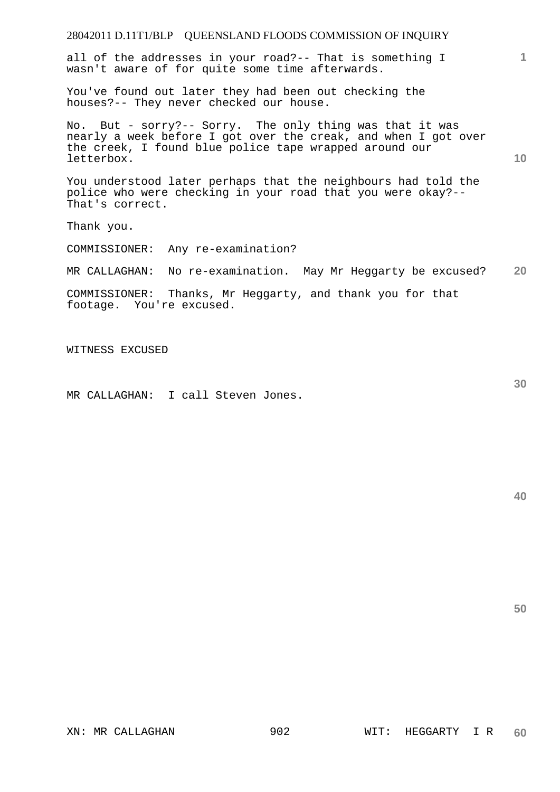| 28042011 D.11T1/BLP QUEENSLAND FLOODS COMMISSION OF INQUIRY                                                                                                                                        |    |
|----------------------------------------------------------------------------------------------------------------------------------------------------------------------------------------------------|----|
| all of the addresses in your road?-- That is something I<br>wasn't aware of for quite some time afterwards.                                                                                        |    |
| You've found out later they had been out checking the<br>houses?-- They never checked our house.                                                                                                   |    |
| No. But - sorry?-- Sorry. The only thing was that it was<br>nearly a week before I got over the creak, and when I got over<br>the creek, I found blue police tape wrapped around our<br>letterbox. | 10 |
| You understood later perhaps that the neighbours had told the<br>police who were checking in your road that you were okay?--<br>That's correct.                                                    |    |
| Thank you.                                                                                                                                                                                         |    |
| COMMISSIONER: Any re-examination?                                                                                                                                                                  |    |
| No re-examination. May Mr Heggarty be excused?<br>MR CALLAGHAN:                                                                                                                                    | 20 |
| COMMISSIONER: Thanks, Mr Heggarty, and thank you for that<br>footage. You're excused.                                                                                                              |    |
|                                                                                                                                                                                                    |    |

WITNESS EXCUSED

MR CALLAGHAN: I call Steven Jones.

**40** 

**50**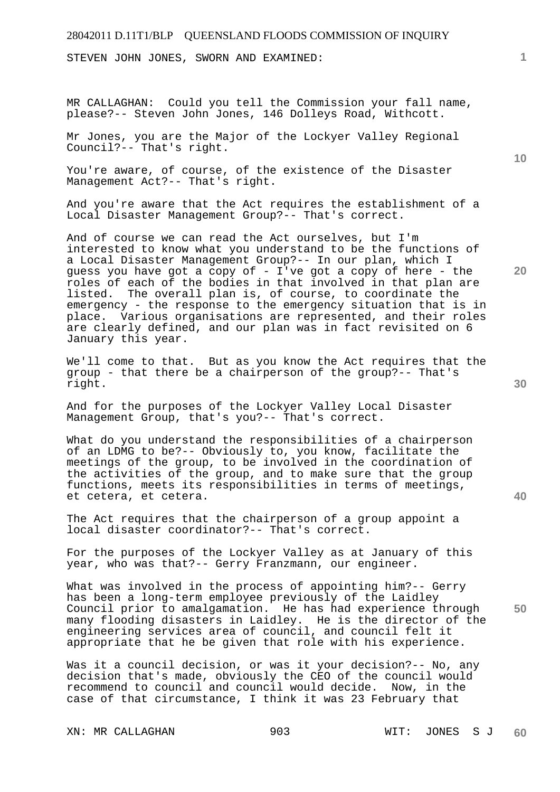STEVEN JOHN JONES, SWORN AND EXAMINED:

MR CALLAGHAN: Could you tell the Commission your fall name, please?-- Steven John Jones, 146 Dolleys Road, Withcott.

Mr Jones, you are the Major of the Lockyer Valley Regional Council?-- That's right.

You're aware, of course, of the existence of the Disaster Management Act?-- That's right.

And you're aware that the Act requires the establishment of a Local Disaster Management Group?-- That's correct.

And of course we can read the Act ourselves, but I'm interested to know what you understand to be the functions of a Local Disaster Management Group?-- In our plan, which I guess you have got a copy of - I've got a copy of here - the roles of each of the bodies in that involved in that plan are<br>listed. The overall plan is, of course, to coordinate the The overall plan is, of course, to coordinate the emergency - the response to the emergency situation that is in place. Various organisations are represented, and their roles are clearly defined, and our plan was in fact revisited on 6 January this year.

We'll come to that. But as you know the Act requires that the group - that there be a chairperson of the group?-- That's right.

And for the purposes of the Lockyer Valley Local Disaster Management Group, that's you?-- That's correct.

What do you understand the responsibilities of a chairperson of an LDMG to be?-- Obviously to, you know, facilitate the meetings of the group, to be involved in the coordination of the activities of the group, and to make sure that the group functions, meets its responsibilities in terms of meetings, et cetera, et cetera.

The Act requires that the chairperson of a group appoint a local disaster coordinator?-- That's correct.

For the purposes of the Lockyer Valley as at January of this year, who was that?-- Gerry Franzmann, our engineer.

**50**  What was involved in the process of appointing him?-- Gerry has been a long-term employee previously of the Laidley Council prior to amalgamation. He has had experience through many flooding disasters in Laidley. He is the director of the engineering services area of council, and council felt it appropriate that he be given that role with his experience.

Was it a council decision, or was it your decision?-- No, any decision that's made, obviously the CEO of the council would recommend to council and council would decide. Now, in the case of that circumstance, I think it was 23 February that

**10** 

**1**

**20**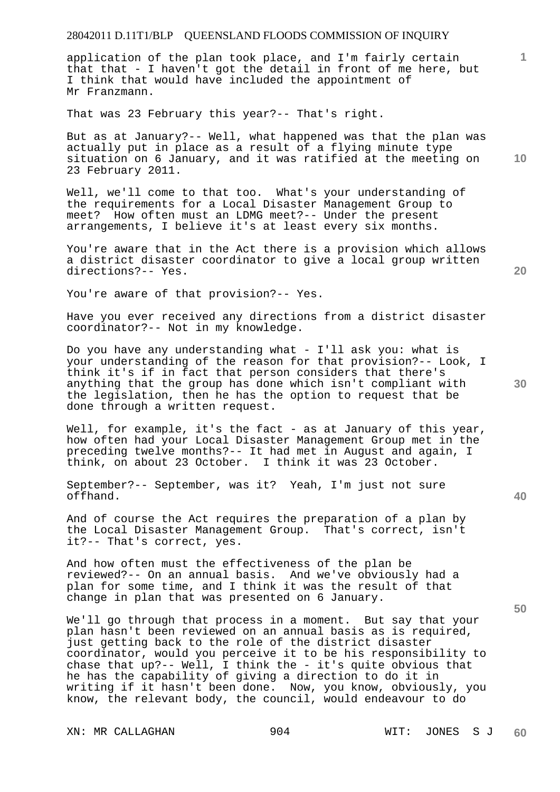application of the plan took place, and I'm fairly certain that that - I haven't got the detail in front of me here, but I think that would have included the appointment of Mr Franzmann.

That was 23 February this year?-- That's right.

**10**  But as at January?-- Well, what happened was that the plan was actually put in place as a result of a flying minute type situation on 6 January, and it was ratified at the meeting on 23 February 2011.

Well, we'll come to that too. What's your understanding of the requirements for a Local Disaster Management Group to meet? How often must an LDMG meet?-- Under the present arrangements, I believe it's at least every six months.

You're aware that in the Act there is a provision which allows a district disaster coordinator to give a local group written directions?-- Yes.

You're aware of that provision?-- Yes.

Have you ever received any directions from a district disaster coordinator?-- Not in my knowledge.

Do you have any understanding what - I'll ask you: what is your understanding of the reason for that provision?-- Look, I think it's if in fact that person considers that there's anything that the group has done which isn't compliant with the legislation, then he has the option to request that be done through a written request.

Well, for example, it's the fact - as at January of this year, how often had your Local Disaster Management Group met in the preceding twelve months?-- It had met in August and again, I think, on about 23 October. I think it was 23 October.

September?-- September, was it? Yeah, I'm just not sure offhand.

And of course the Act requires the preparation of a plan by the Local Disaster Management Group. That's correct, isn't it?-- That's correct, yes.

And how often must the effectiveness of the plan be reviewed?-- On an annual basis. And we've obviously had a plan for some time, and I think it was the result of that change in plan that was presented on 6 January.

We'll go through that process in a moment. But say that your plan hasn't been reviewed on an annual basis as is required, just getting back to the role of the district disaster coordinator, would you perceive it to be his responsibility to chase that up?-- Well, I think the - it's quite obvious that he has the capability of giving a direction to do it in writing if it hasn't been done. Now, you know, obviously, you know, the relevant body, the council, would endeavour to do

**30** 

**20** 

**1**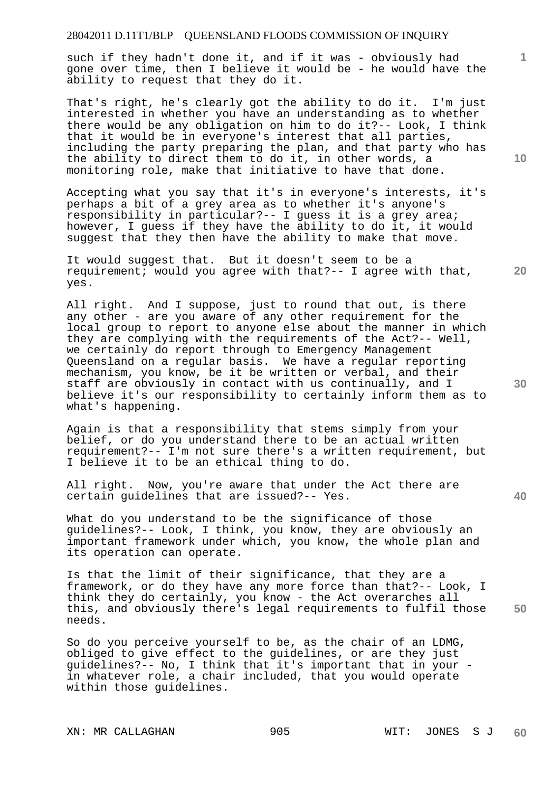such if they hadn't done it, and if it was - obviously had gone over time, then I believe it would be - he would have the ability to request that they do it.

That's right, he's clearly got the ability to do it. I'm just interested in whether you have an understanding as to whether there would be any obligation on him to do it?-- Look, I think that it would be in everyone's interest that all parties, including the party preparing the plan, and that party who has the ability to direct them to do it, in other words, a monitoring role, make that initiative to have that done.

Accepting what you say that it's in everyone's interests, it's perhaps a bit of a grey area as to whether it's anyone's responsibility in particular?-- I guess it is a grey area; however, I quess if they have the ability to do it, it would suggest that they then have the ability to make that move.

It would suggest that. But it doesn't seem to be a requirement; would you agree with that?-- I agree with that, yes.

All right. And I suppose, just to round that out, is there any other - are you aware of any other requirement for the local group to report to anyone else about the manner in which they are complying with the requirements of the Act?-- Well, we certainly do report through to Emergency Management Queensland on a regular basis. We have a regular reporting mechanism, you know, be it be written or verbal, and their staff are obviously in contact with us continually, and I believe it's our responsibility to certainly inform them as to what's happening.

Again is that a responsibility that stems simply from your belief, or do you understand there to be an actual written requirement?-- I'm not sure there's a written requirement, but I believe it to be an ethical thing to do.

All right. Now, you're aware that under the Act there are certain guidelines that are issued?-- Yes.

What do you understand to be the significance of those guidelines?-- Look, I think, you know, they are obviously an important framework under which, you know, the whole plan and its operation can operate.

**50**  Is that the limit of their significance, that they are a framework, or do they have any more force than that?-- Look, I think they do certainly, you know - the Act overarches all this, and obviously there's legal requirements to fulfil those needs.

So do you perceive yourself to be, as the chair of an LDMG, obliged to give effect to the guidelines, or are they just guidelines?-- No, I think that it's important that in your in whatever role, a chair included, that you would operate within those guidelines.

**10** 

**1**

**30** 

**40**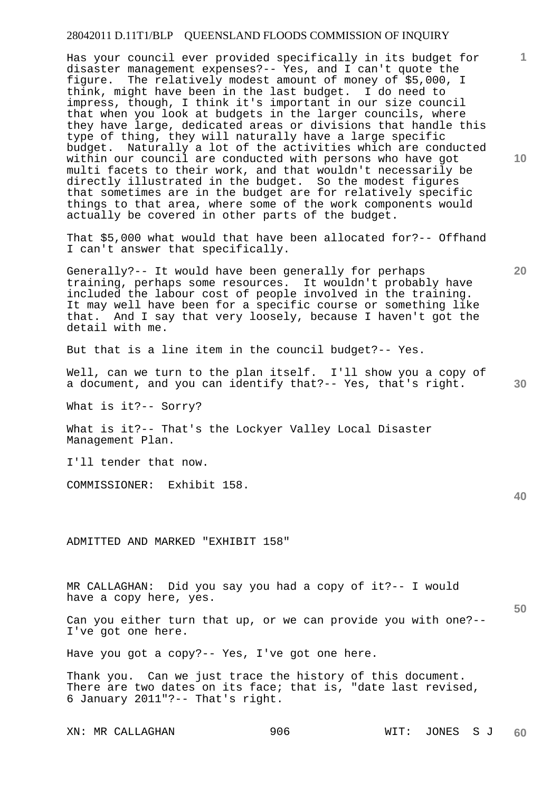Has your council ever provided specifically in its budget for disaster management expenses?-- Yes, and I can't quote the figure. The relatively modest amount of money of \$5,000, I think, might have been in the last budget. I do need to impress, though, I think it's important in our size council that when you look at budgets in the larger councils, where they have large, dedicated areas or divisions that handle this type of thing, they will naturally have a large specific budget. Naturally a lot of the activities which are conducted within our council are conducted with persons who have got multi facets to their work, and that wouldn't necessarily be directly illustrated in the budget. So the modest figures that sometimes are in the budget are for relatively specific things to that area, where some of the work components would actually be covered in other parts of the budget.

That \$5,000 what would that have been allocated for?-- Offhand I can't answer that specifically.

Generally?-- It would have been generally for perhaps training, perhaps some resources. It wouldn't probably have included the labour cost of people involved in the training. It may well have been for a specific course or something like that. And I say that very loosely, because I haven't got the detail with me.

But that is a line item in the council budget?-- Yes.

Well, can we turn to the plan itself. I'll show you a copy of a document, and you can identify that?-- Yes, that's right.

What is it?-- Sorry?

What is it?-- That's the Lockyer Valley Local Disaster Management Plan.

I'll tender that now.

COMMISSIONER: Exhibit 158.

ADMITTED AND MARKED "EXHIBIT 158"

MR CALLAGHAN: Did you say you had a copy of it?-- I would have a copy here, yes.

Can you either turn that up, or we can provide you with one?-- I've got one here.

Have you got a copy?-- Yes, I've got one here.

Thank you. Can we just trace the history of this document. There are two dates on its face; that is, "date last revised, 6 January 2011"?-- That's right.

XN: MR CALLAGHAN 906 906 WIT: JONES SJ **60** 

**10** 

**1**

**20** 

**30**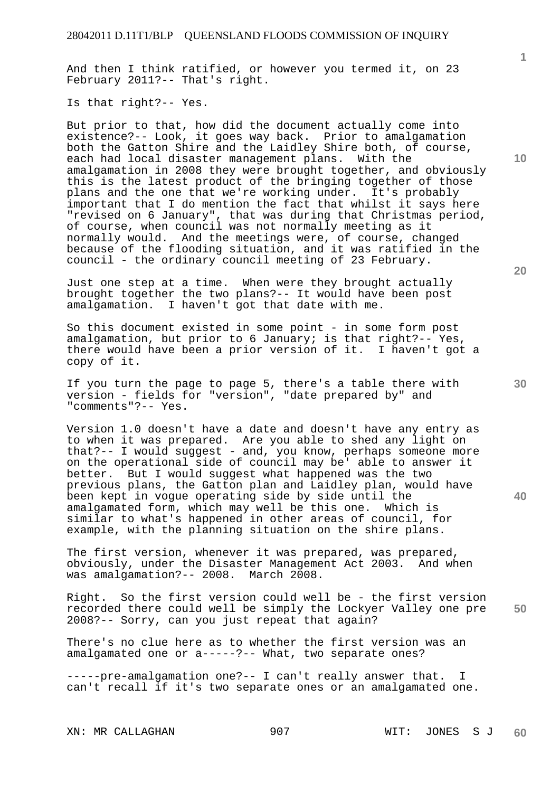And then I think ratified, or however you termed it, on 23 February 2011?-- That's right.

Is that right?-- Yes.

But prior to that, how did the document actually come into existence?-- Look, it goes way back. Prior to amalgamation both the Gatton Shire and the Laidley Shire both, of course, each had local disaster management plans. amalgamation in 2008 they were brought together, and obviously this is the latest product of the bringing together of those plans and the one that we're working under. It's probably important that I do mention the fact that whilst it says here "revised on 6 January", that was during that Christmas period, of course, when council was not normally meeting as it normally would. And the meetings were, of course, changed because of the flooding situation, and it was ratified in the council - the ordinary council meeting of 23 February.

Just one step at a time. When were they brought actually brought together the two plans?-- It would have been post amalgamation. I haven't got that date with me.

So this document existed in some point - in some form post amalgamation, but prior to 6 January; is that right?-- Yes, there would have been a prior version of it. I haven't got a copy of it.

If you turn the page to page 5, there's a table there with version - fields for "version", "date prepared by" and "comments"?-- Yes.

Version 1.0 doesn't have a date and doesn't have any entry as to when it was prepared. Are you able to shed any light on that?-- I would suggest - and, you know, perhaps someone more on the operational side of council may be' able to answer it better. But I would suggest what happened was the two previous plans, the Gatton plan and Laidley plan, would have been kept in vogue operating side by side until the amalgamated form, which may well be this one. Which is similar to what's happened in other areas of council, for example, with the planning situation on the shire plans.

The first version, whenever it was prepared, was prepared, obviously, under the Disaster Management Act 2003. And when was amalgamation?-- 2008. March 2008.

**50**  Right. So the first version could well be - the first version recorded there could well be simply the Lockyer Valley one pre 2008?-- Sorry, can you just repeat that again?

There's no clue here as to whether the first version was an amalgamated one or a-----?-- What, two separate ones?

-----pre-amalgamation one?-- I can't really answer that. I can't recall if it's two separate ones or an amalgamated one.

XN: MR CALLAGHAN 907 WIT: JONES S J **60** 

**1**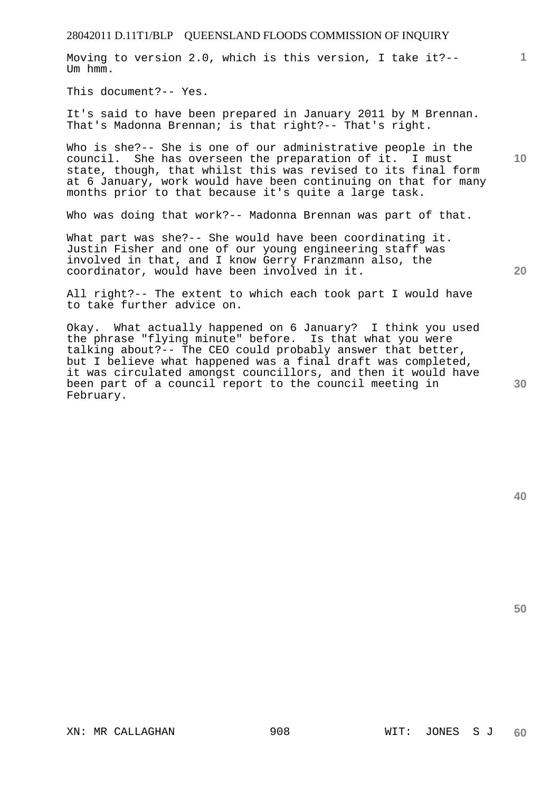Moving to version 2.0, which is this version, I take it?-- Um hmm.

This document?-- Yes.

It's said to have been prepared in January 2011 by M Brennan. That's Madonna Brennan; is that right?-- That's right.

Who is she?-- She is one of our administrative people in the council. She has overseen the preparation of it. I must state, though, that whilst this was revised to its final form at 6 January, work would have been continuing on that for many months prior to that because it's quite a large task.

Who was doing that work?-- Madonna Brennan was part of that.

What part was she?-- She would have been coordinating it. Justin Fisher and one of our young engineering staff was involved in that, and I know Gerry Franzmann also, the coordinator, would have been involved in it.

All right?-- The extent to which each took part I would have to take further advice on.

Okay. What actually happened on 6 January? I think you used the phrase "flying minute" before. Is that what you were talking about?-- The CEO could probably answer that better, but I believe what happened was a final draft was completed, it was circulated amongst councillors, and then it would have been part of a council report to the council meeting in February.

**20** 

**50** 

**40** 

**10**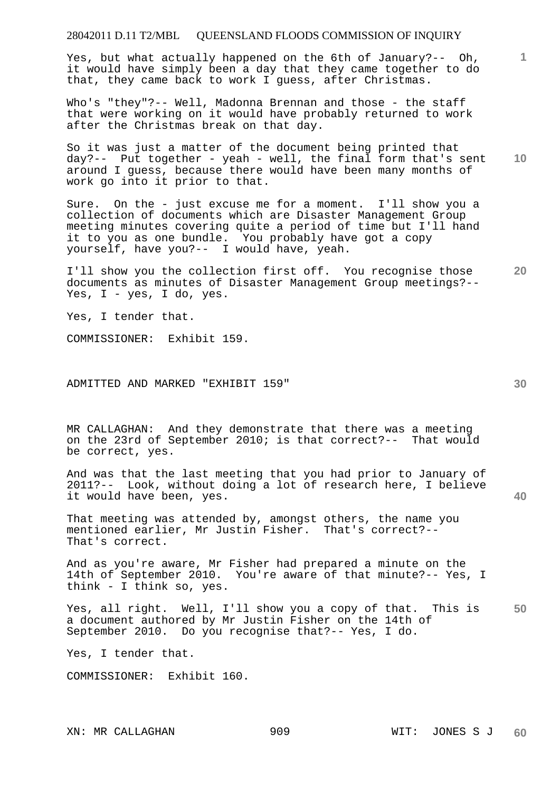Yes, but what actually happened on the 6th of January?-- Oh, it would have simply been a day that they came together to do that, they came back to work I guess, after Christmas.

Who's "they"?-- Well, Madonna Brennan and those - the staff that were working on it would have probably returned to work after the Christmas break on that day.

**10**  So it was just a matter of the document being printed that day?-- Put together - yeah - well, the final form that's sent around I guess, because there would have been many months of work go into it prior to that.

Sure. On the - just excuse me for a moment. I'll show you a collection of documents which are Disaster Management Group meeting minutes covering quite a period of time but I'll hand it to you as one bundle. You probably have got a copy yourself, have you?-- I would have, yeah.

**20**  I'll show you the collection first off. You recognise those documents as minutes of Disaster Management Group meetings?-- Yes,  $I - yes$ ,  $I$  do,  $yes$ .

Yes, I tender that.

COMMISSIONER: Exhibit 159.

### ADMITTED AND MARKED "EXHIBIT 159"

MR CALLAGHAN: And they demonstrate that there was a meeting on the 23rd of September 2010; is that correct?-- That would be correct, yes.

And was that the last meeting that you had prior to January of 2011?-- Look, without doing a lot of research here, I believe it would have been, yes.

That meeting was attended by, amongst others, the name you mentioned earlier, Mr Justin Fisher. That's correct?-- That's correct.

And as you're aware, Mr Fisher had prepared a minute on the 14th of September 2010. You're aware of that minute?-- Yes, I think - I think so, yes.

**50**  Yes, all right. Well, I'll show you a copy of that. This is a document authored by Mr Justin Fisher on the 14th of September 2010. Do you recognise that?-- Yes, I do.

Yes, I tender that.

COMMISSIONER: Exhibit 160.

**1**

**30**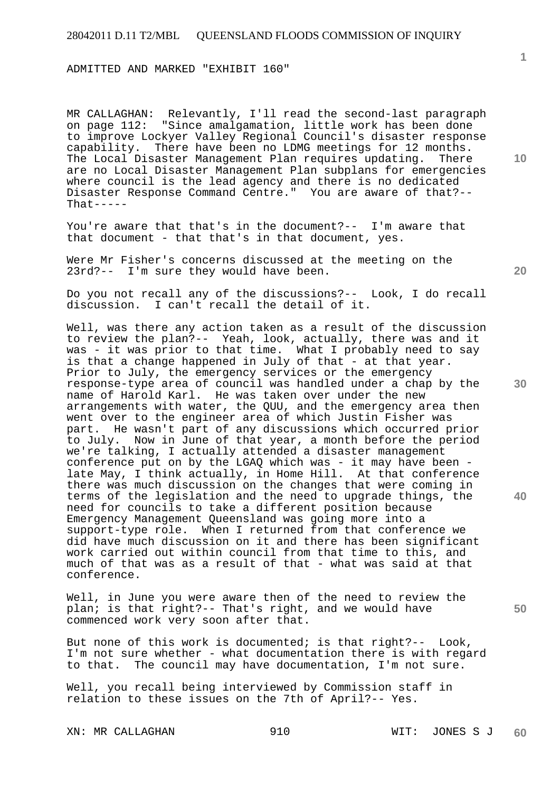ADMITTED AND MARKED "EXHIBIT 160"

MR CALLAGHAN: Relevantly, I'll read the second-last paragraph on page 112: "Since amalgamation, little work has been done to improve Lockyer Valley Regional Council's disaster response capability. There have been no LDMG meetings for 12 months. The Local Disaster Management Plan requires updating. There are no Local Disaster Management Plan subplans for emergencies where council is the lead agency and there is no dedicated Disaster Response Command Centre." You are aware of that?--  $That----$ 

You're aware that that's in the document?-- I'm aware that that document - that that's in that document, yes.

Were Mr Fisher's concerns discussed at the meeting on the 23rd?-- I'm sure they would have been.

Do you not recall any of the discussions?-- Look, I do recall discussion. I can't recall the detail of it.

Well, was there any action taken as a result of the discussion to review the plan?-- Yeah, look, actually, there was and it was - it was prior to that time. What I probably need to say is that a change happened in July of that - at that year. Prior to July, the emergency services or the emergency response-type area of council was handled under a chap by the name of Harold Karl. He was taken over under the new arrangements with water, the QUU, and the emergency area then went over to the engineer area of which Justin Fisher was part. He wasn't part of any discussions which occurred prior to July. Now in June of that year, a month before the period we're talking, I actually attended a disaster management conference put on by the LGAQ which was - it may have been late May, I think actually, in Home Hill. At that conference there was much discussion on the changes that were coming in terms of the legislation and the need to upgrade things, the need for councils to take a different position because Emergency Management Queensland was going more into a support-type role. When I returned from that conference we did have much discussion on it and there has been significant work carried out within council from that time to this, and much of that was as a result of that - what was said at that conference.

Well, in June you were aware then of the need to review the plan; is that right?-- That's right, and we would have commenced work very soon after that.

But none of this work is documented; is that right?-- Look, I'm not sure whether - what documentation there is with regard to that. The council may have documentation, I'm not sure.

Well, you recall being interviewed by Commission staff in relation to these issues on the 7th of April?-- Yes.

XN: MR CALLAGHAN 910 WIT: JONES S J

**10** 

**1**

**30** 

**20** 

**40**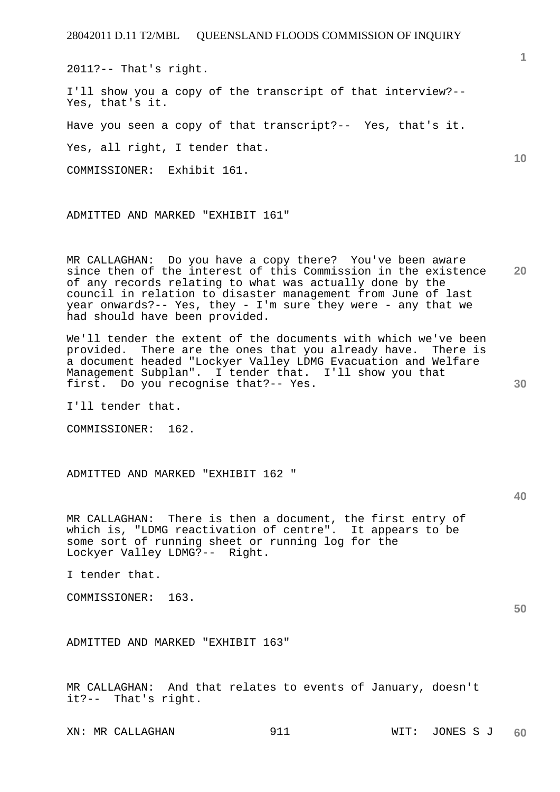2011?-- That's right.

I'll show you a copy of the transcript of that interview?-- Yes, that's it.

Have you seen a copy of that transcript?-- Yes, that's it.

Yes, all right, I tender that.

COMMISSIONER: Exhibit 161.

ADMITTED AND MARKED "EXHIBIT 161"

**20**  MR CALLAGHAN: Do you have a copy there? You've been aware since then of the interest of this Commission in the existence of any records relating to what was actually done by the council in relation to disaster management from June of last year onwards?-- Yes, they - I'm sure they were - any that we had should have been provided.

We'll tender the extent of the documents with which we've been provided. There are the ones that you already have. There is a document headed "Lockyer Valley LDMG Evacuation and Welfare Management Subplan". I tender that. I'll show you that first. Do you recognise that?-- Yes.

I'll tender that.

COMMISSIONER: 162.

ADMITTED AND MARKED "EXHIBIT 162 "

**40** 

**50** 

**30** 

MR CALLAGHAN: There is then a document, the first entry of which is, "LDMG reactivation of centre". It appears to be some sort of running sheet or running log for the Lockyer Valley LDMG?-- Right.

I tender that.

COMMISSIONER: 163.

ADMITTED AND MARKED "EXHIBIT 163"

MR CALLAGHAN: And that relates to events of January, doesn't it?-- That's right.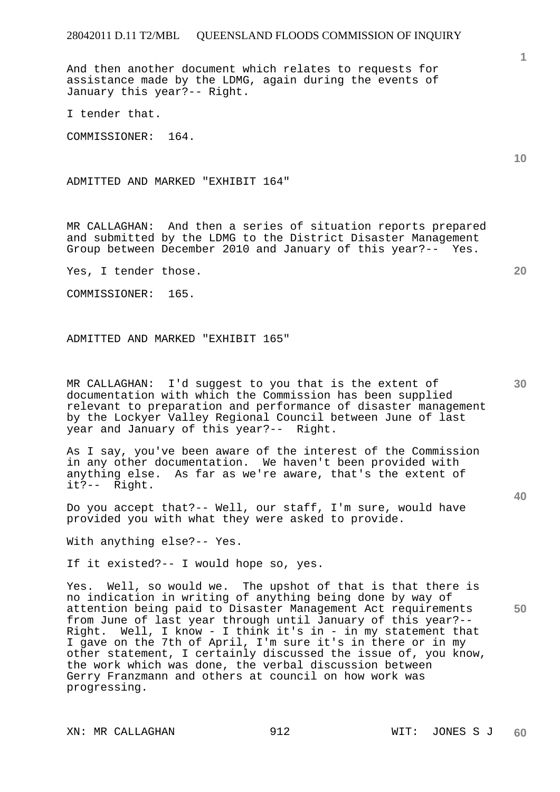And then another document which relates to requests for assistance made by the LDMG, again during the events of January this year?-- Right.

I tender that.

COMMISSIONER: 164.

ADMITTED AND MARKED "EXHIBIT 164"

MR CALLAGHAN: And then a series of situation reports prepared and submitted by the LDMG to the District Disaster Management Group between December 2010 and January of this year?-- Yes.

Yes, I tender those.

COMMISSIONER: 165.

ADMITTED AND MARKED "EXHIBIT 165"

MR CALLAGHAN: I'd suggest to you that is the extent of documentation with which the Commission has been supplied relevant to preparation and performance of disaster management by the Lockyer Valley Regional Council between June of last year and January of this year?-- Right.

As I say, you've been aware of the interest of the Commission in any other documentation. We haven't been provided with anything else. As far as we're aware, that's the extent of it?-- Right.

Do you accept that?-- Well, our staff, I'm sure, would have provided you with what they were asked to provide.

With anything else?-- Yes.

If it existed?-- I would hope so, yes.

Yes. Well, so would we. The upshot of that is that there is no indication in writing of anything being done by way of attention being paid to Disaster Management Act requirements from June of last year through until January of this year?-- Right. Well, I know - I think it's in - in my statement that I gave on the 7th of April, I'm sure it's in there or in my other statement, I certainly discussed the issue of, you know, the work which was done, the verbal discussion between Gerry Franzmann and others at council on how work was progressing.

XN: MR CALLAGHAN 912 912 WIT: JONES S J

**10** 

**1**

**30** 

**20**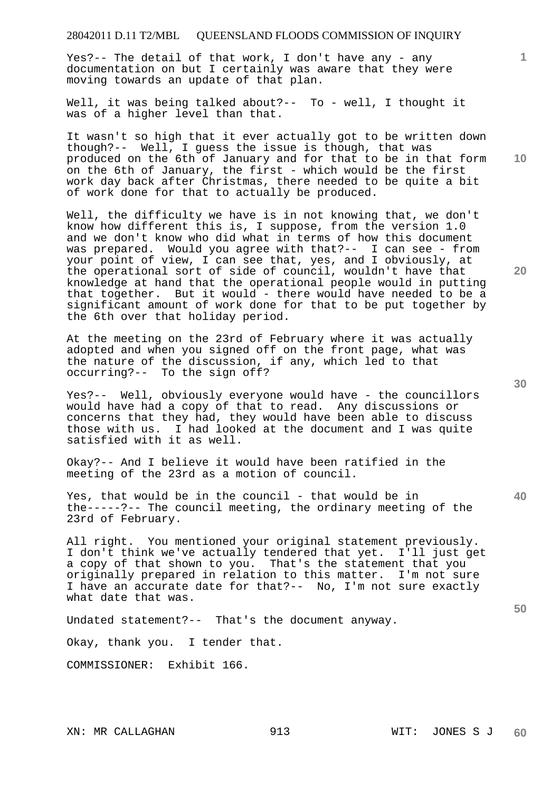Yes?-- The detail of that work, I don't have any - any documentation on but I certainly was aware that they were moving towards an update of that plan.

Well, it was being talked about?-- To - well, I thought it was of a higher level than that.

It wasn't so high that it ever actually got to be written down though?-- Well, I guess the issue is though, that was produced on the 6th of January and for that to be in that form on the 6th of January, the first - which would be the first work day back after Christmas, there needed to be quite a bit of work done for that to actually be produced.

Well, the difficulty we have is in not knowing that, we don't know how different this is, I suppose, from the version 1.0 and we don't know who did what in terms of how this document was prepared. Would you agree with that?-- I can see - from your point of view, I can see that, yes, and I obviously, at the operational sort of side of council, wouldn't have that knowledge at hand that the operational people would in putting that together. But it would - there would have needed to be a significant amount of work done for that to be put together by the 6th over that holiday period.

At the meeting on the 23rd of February where it was actually adopted and when you signed off on the front page, what was the nature of the discussion, if any, which led to that occurring?-- To the sign off?

Yes?-- Well, obviously everyone would have - the councillors would have had a copy of that to read. Any discussions or concerns that they had, they would have been able to discuss those with us. I had looked at the document and I was quite satisfied with it as well.

Okay?-- And I believe it would have been ratified in the meeting of the 23rd as a motion of council.

Yes, that would be in the council - that would be in the-----?-- The council meeting, the ordinary meeting of the 23rd of February.

All right. You mentioned your original statement previously. I don't think we've actually tendered that yet. I'll just get a copy of that shown to you. That's the statement that you originally prepared in relation to this matter. I'm not sure I have an accurate date for that?-- No, I'm not sure exactly what date that was.

Undated statement?-- That's the document anyway.

Okay, thank you. I tender that.

COMMISSIONER: Exhibit 166.

**40** 

**50** 

**20** 

**10**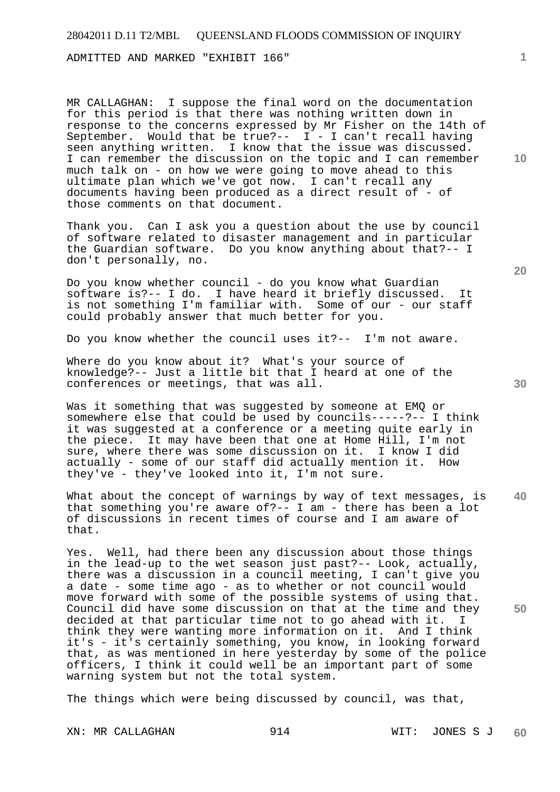ADMITTED AND MARKED "EXHIBIT 166"

MR CALLAGHAN: I suppose the final word on the documentation for this period is that there was nothing written down in response to the concerns expressed by Mr Fisher on the 14th of September. Would that be true?-- I - I can't recall having seen anything written. I know that the issue was discussed. I can remember the discussion on the topic and I can remember much talk on - on how we were going to move ahead to this ultimate plan which we've got now. I can't recall any documents having been produced as a direct result of - of those comments on that document.

Thank you. Can I ask you a question about the use by council of software related to disaster management and in particular the Guardian software. Do you know anything about that?-- I don't personally, no.

Do you know whether council - do you know what Guardian software is?-- I do. I have heard it briefly discussed. It is not something I'm familiar with. Some of our - our staff could probably answer that much better for you.

Do you know whether the council uses it?-- I'm not aware.

Where do you know about it? What's your source of knowledge?-- Just a little bit that I heard at one of the conferences or meetings, that was all.

Was it something that was suggested by someone at EMQ or somewhere else that could be used by councils-----?-- I think it was suggested at a conference or a meeting quite early in the piece. It may have been that one at Home Hill, I'm not sure, where there was some discussion on it. I know I did actually - some of our staff did actually mention it. How they've - they've looked into it, I'm not sure.

**40**  What about the concept of warnings by way of text messages, is that something you're aware of?-- I am - there has been a lot of discussions in recent times of course and I am aware of that.

Yes. Well, had there been any discussion about those things in the lead-up to the wet season just past?-- Look, actually, there was a discussion in a council meeting, I can't give you a date - some time ago - as to whether or not council would move forward with some of the possible systems of using that. Council did have some discussion on that at the time and they decided at that particular time not to go ahead with it. think they were wanting more information on it. And I think it's - it's certainly something, you know, in looking forward that, as was mentioned in here yesterday by some of the police officers, I think it could well be an important part of some warning system but not the total system.

The things which were being discussed by council, was that,

**20** 

**50** 

**10**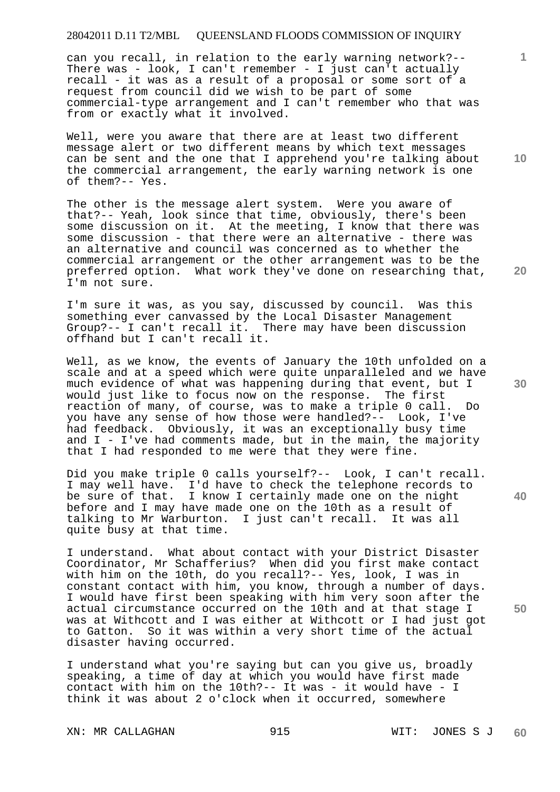can you recall, in relation to the early warning network?-- There was - look, I can't remember - I just can't actually recall - it was as a result of a proposal or some sort of a request from council did we wish to be part of some commercial-type arrangement and I can't remember who that was from or exactly what it involved.

Well, were you aware that there are at least two different message alert or two different means by which text messages can be sent and the one that I apprehend you're talking about the commercial arrangement, the early warning network is one of them?-- Yes.

The other is the message alert system. Were you aware of that?-- Yeah, look since that time, obviously, there's been some discussion on it. At the meeting, I know that there was some discussion - that there were an alternative - there was an alternative and council was concerned as to whether the commercial arrangement or the other arrangement was to be the preferred option. What work they've done on researching that, I'm not sure.

I'm sure it was, as you say, discussed by council. Was this something ever canvassed by the Local Disaster Management Group?-- I can't recall it. There may have been discussion offhand but I can't recall it.

Well, as we know, the events of January the 10th unfolded on a scale and at a speed which were quite unparalleled and we have much evidence of what was happening during that event, but I would just like to focus now on the response. The first reaction of many, of course, was to make a triple 0 call. Do you have any sense of how those were handled?-- Look, I've had feedback. Obviously, it was an exceptionally busy time and  $I - I'$ ve had comments made, but in the main, the majority that I had responded to me were that they were fine.

Did you make triple 0 calls yourself?-- Look, I can't recall. I may well have. I'd have to check the telephone records to be sure of that. I know I certainly made one on the night before and I may have made one on the 10th as a result of talking to Mr Warburton. I just can't recall. It was all quite busy at that time.

I understand. What about contact with your District Disaster Coordinator, Mr Schafferius? When did you first make contact with him on the 10th, do you recall?-- Yes, look, I was in constant contact with him, you know, through a number of days. I would have first been speaking with him very soon after the actual circumstance occurred on the 10th and at that stage I was at Withcott and I was either at Withcott or I had just got to Gatton. So it was within a very short time of the actual disaster having occurred.

I understand what you're saying but can you give us, broadly speaking, a time of day at which you would have first made contact with him on the 10th?-- It was - it would have - I think it was about 2 o'clock when it occurred, somewhere

XN: MR CALLAGHAN 915 915 WIT: JONES S J **60** 

**30** 

**20** 

**50** 

**1**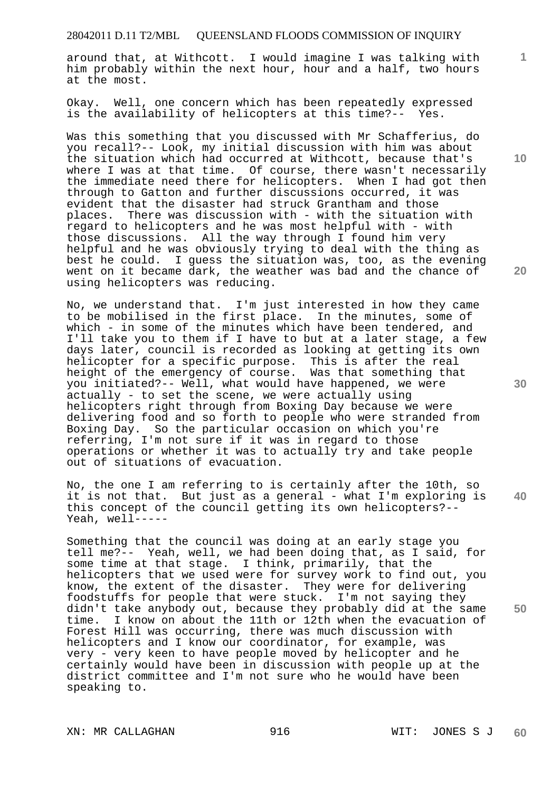around that, at Withcott. I would imagine I was talking with him probably within the next hour, hour and a half, two hours at the most.

Okay. Well, one concern which has been repeatedly expressed is the availability of helicopters at this time?-- Yes.

Was this something that you discussed with Mr Schafferius, do you recall?-- Look, my initial discussion with him was about the situation which had occurred at Withcott, because that's where I was at that time. Of course, there wasn't necessarily the immediate need there for helicopters. When I had got then through to Gatton and further discussions occurred, it was evident that the disaster had struck Grantham and those places. There was discussion with - with the situation with regard to helicopters and he was most helpful with - with those discussions. All the way through I found him very helpful and he was obviously trying to deal with the thing as best he could. I guess the situation was, too, as the evening went on it became dark, the weather was bad and the chance of using helicopters was reducing.

No, we understand that. I'm just interested in how they came to be mobilised in the first place. In the minutes, some of which - in some of the minutes which have been tendered, and I'll take you to them if I have to but at a later stage, a few days later, council is recorded as looking at getting its own helicopter for a specific purpose. This is after the real height of the emergency of course. Was that something that you initiated?-- Well, what would have happened, we were actually - to set the scene, we were actually using helicopters right through from Boxing Day because we were delivering food and so forth to people who were stranded from Boxing Day. So the particular occasion on which you're referring, I'm not sure if it was in regard to those operations or whether it was to actually try and take people out of situations of evacuation.

No, the one I am referring to is certainly after the 10th, so it is not that. But just as a general - what I'm exploring is this concept of the council getting its own helicopters?-- Yeah, well-----

Something that the council was doing at an early stage you tell me?-- Yeah, well, we had been doing that, as I said, for some time at that stage. I think, primarily, that the helicopters that we used were for survey work to find out, you know, the extent of the disaster. They were for delivering foodstuffs for people that were stuck. I'm not saying they didn't take anybody out, because they probably did at the same time. I know on about the 11th or 12th when the evacuation of Forest Hill was occurring, there was much discussion with helicopters and I know our coordinator, for example, was very - very keen to have people moved by helicopter and he certainly would have been in discussion with people up at the district committee and I'm not sure who he would have been speaking to.

**10** 

**1**

**20** 

**40**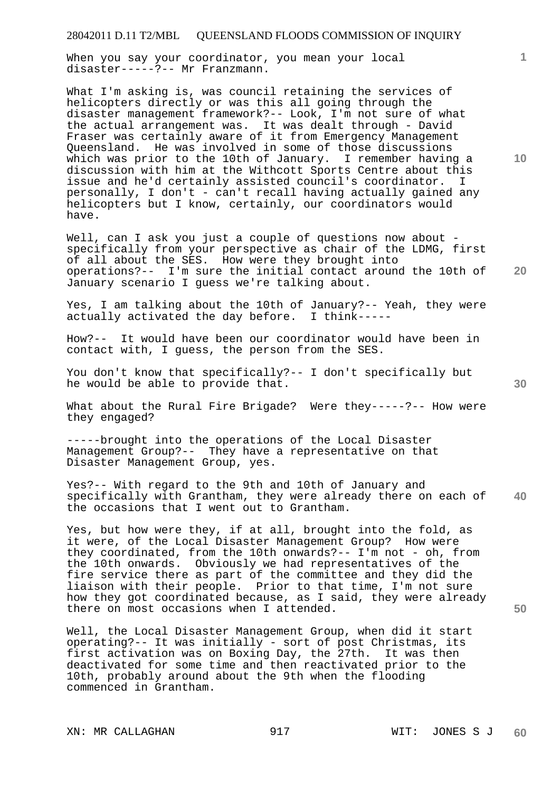When you say your coordinator, you mean your local disaster-----?-- Mr Franzmann.

What I'm asking is, was council retaining the services of helicopters directly or was this all going through the disaster management framework?-- Look, I'm not sure of what the actual arrangement was. It was dealt through - David Fraser was certainly aware of it from Emergency Management Queensland. He was involved in some of those discussions which was prior to the 10th of January. I remember having a discussion with him at the Withcott Sports Centre about this issue and he'd certainly assisted council's coordinator. I personally, I don't - can't recall having actually gained any helicopters but I know, certainly, our coordinators would have.

Well, can I ask you just a couple of questions now about specifically from your perspective as chair of the LDMG, first of all about the SES. How were they brought into operations?-- I'm sure the initial contact around the 10th of January scenario I guess we're talking about.

Yes, I am talking about the 10th of January?-- Yeah, they were actually activated the day before. I think-----

How?-- It would have been our coordinator would have been in contact with, I guess, the person from the SES.

You don't know that specifically?-- I don't specifically but he would be able to provide that.

What about the Rural Fire Brigade? Were they-----?-- How were they engaged?

-----brought into the operations of the Local Disaster Management Group?-- They have a representative on that Disaster Management Group, yes.

**40**  Yes?-- With regard to the 9th and 10th of January and specifically with Grantham, they were already there on each of the occasions that I went out to Grantham.

Yes, but how were they, if at all, brought into the fold, as it were, of the Local Disaster Management Group? How were they coordinated, from the 10th onwards?-- I'm not - oh, from the 10th onwards. Obviously we had representatives of the fire service there as part of the committee and they did the liaison with their people. Prior to that time, I'm not sure how they got coordinated because, as I said, they were already there on most occasions when I attended.

Well, the Local Disaster Management Group, when did it start operating?-- It was initially - sort of post Christmas, its first activation was on Boxing Day, the 27th. It was then deactivated for some time and then reactivated prior to the 10th, probably around about the 9th when the flooding commenced in Grantham.

**10** 

**1**

**30** 

**50**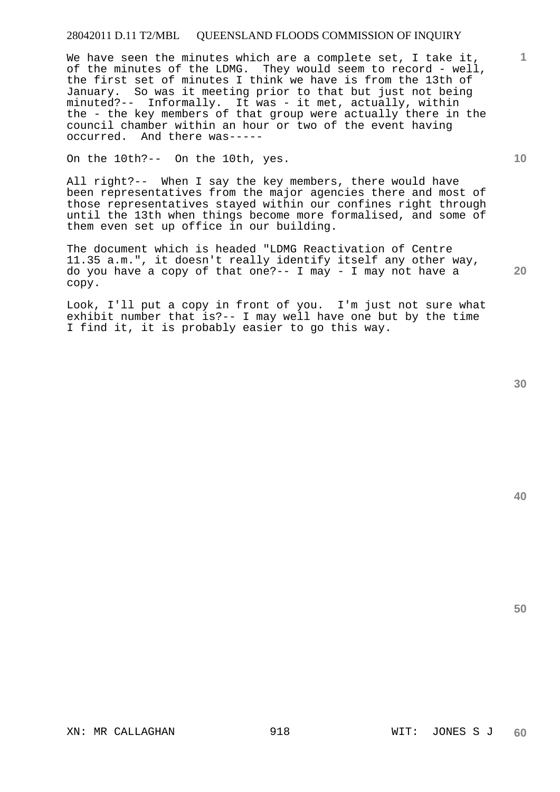We have seen the minutes which are a complete set, I take it, of the minutes of the LDMG. They would seem to record - well, the first set of minutes I think we have is from the 13th of January. So was it meeting prior to that but just not being minuted?-- Informally. It was - it met, actually, within the - the key members of that group were actually there in the council chamber within an hour or two of the event having occurred. And there was-----

On the 10th?-- On the 10th, yes.

All right?-- When I say the key members, there would have been representatives from the major agencies there and most of those representatives stayed within our confines right through until the 13th when things become more formalised, and some of them even set up office in our building.

The document which is headed "LDMG Reactivation of Centre 11.35 a.m.", it doesn't really identify itself any other way, do you have a copy of that one ?-- I may - I may not have a copy.

Look, I'll put a copy in front of you. I'm just not sure what exhibit number that is?-- I may well have one but by the time I find it, it is probably easier to go this way.

**40** 

**50** 

**1**

**10**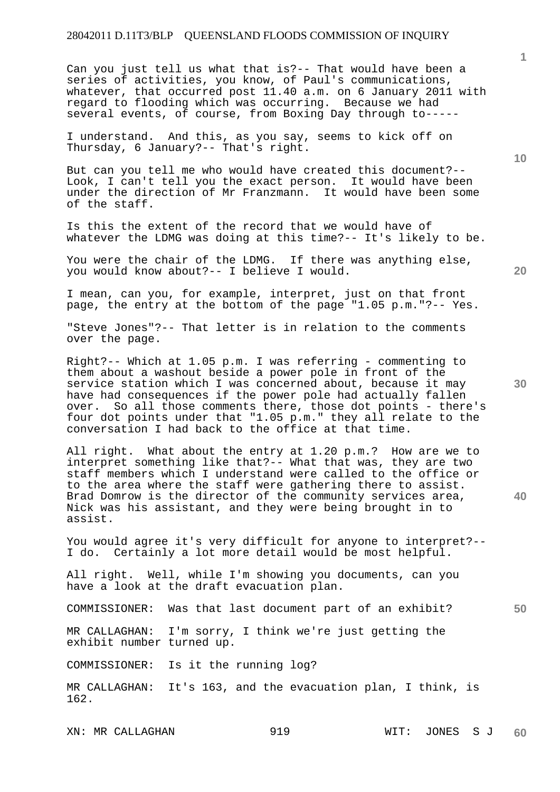Can you just tell us what that is?-- That would have been a series of activities, you know, of Paul's communications, whatever, that occurred post 11.40 a.m. on 6 January 2011 with regard to flooding which was occurring. Because we had several events, of course, from Boxing Day through to-----

I understand. And this, as you say, seems to kick off on Thursday, 6 January?-- That's right.

But can you tell me who would have created this document?-- Look, I can't tell you the exact person. It would have been under the direction of Mr Franzmann. It would have been some of the staff.

Is this the extent of the record that we would have of whatever the LDMG was doing at this time?-- It's likely to be.

You were the chair of the LDMG. If there was anything else, you would know about?-- I believe I would.

I mean, can you, for example, interpret, just on that front page, the entry at the bottom of the page "1.05 p.m."?-- Yes.

"Steve Jones"?-- That letter is in relation to the comments over the page.

Right?-- Which at 1.05 p.m. I was referring - commenting to them about a washout beside a power pole in front of the service station which I was concerned about, because it may have had consequences if the power pole had actually fallen over. So all those comments there, those dot points - there's four dot points under that "1.05 p.m." they all relate to the conversation I had back to the office at that time.

All right. What about the entry at 1.20 p.m.? How are we to interpret something like that?-- What that was, they are two staff members which I understand were called to the office or to the area where the staff were gathering there to assist. Brad Domrow is the director of the community services area, Nick was his assistant, and they were being brought in to assist.

You would agree it's very difficult for anyone to interpret?-- I do. Certainly a lot more detail would be most helpful.

All right. Well, while I'm showing you documents, can you have a look at the draft evacuation plan.

COMMISSIONER: Was that last document part of an exhibit?

MR CALLAGHAN: I'm sorry, I think we're just getting the exhibit number turned up.

COMMISSIONER: Is it the running log?

MR CALLAGHAN: It's 163, and the evacuation plan, I think, is 162.

XN: MR CALLAGHAN 919 919 WIT: JONES S J **60** 

**30** 

**40** 

**50** 

**10** 

**20**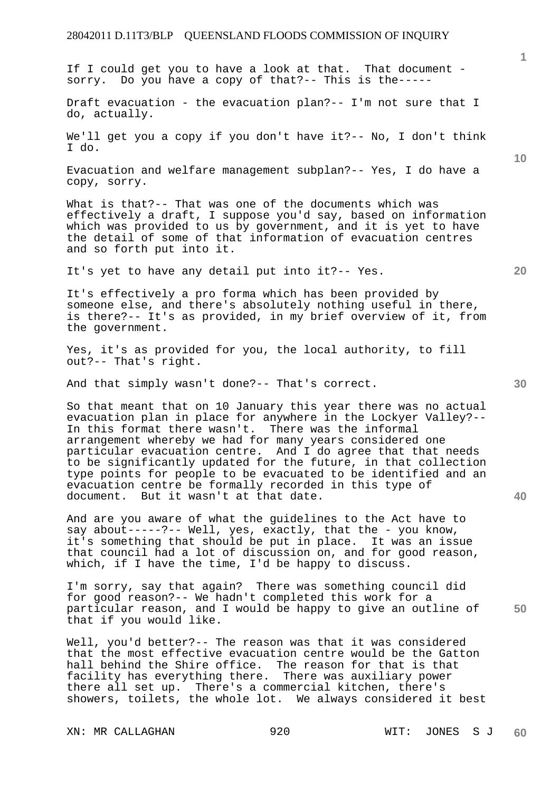|                                                                                                                                                                                                                                                                                                                                                                                                                                                                                                                                                            | $\mathbf{1}$    |
|------------------------------------------------------------------------------------------------------------------------------------------------------------------------------------------------------------------------------------------------------------------------------------------------------------------------------------------------------------------------------------------------------------------------------------------------------------------------------------------------------------------------------------------------------------|-----------------|
| If I could get you to have a look at that. That document -<br>sorry. Do you have a copy of that?-- This is the-----                                                                                                                                                                                                                                                                                                                                                                                                                                        |                 |
| Draft evacuation - the evacuation plan?-- I'm not sure that I<br>do, actually.                                                                                                                                                                                                                                                                                                                                                                                                                                                                             |                 |
| We'll get you a copy if you don't have it?-- No, I don't think<br>I do.                                                                                                                                                                                                                                                                                                                                                                                                                                                                                    |                 |
| Evacuation and welfare management subplan?-- Yes, I do have a<br>copy, sorry.                                                                                                                                                                                                                                                                                                                                                                                                                                                                              | 10 <sup>°</sup> |
| What is that?-- That was one of the documents which was<br>effectively a draft, I suppose you'd say, based on information<br>which was provided to us by government, and it is yet to have<br>the detail of some of that information of evacuation centres<br>and so forth put into it.                                                                                                                                                                                                                                                                    |                 |
| It's yet to have any detail put into it?-- Yes.                                                                                                                                                                                                                                                                                                                                                                                                                                                                                                            | 20              |
| It's effectively a pro forma which has been provided by<br>someone else, and there's absolutely nothing useful in there,<br>is there?-- It's as provided, in my brief overview of it, from<br>the government.                                                                                                                                                                                                                                                                                                                                              |                 |
| Yes, it's as provided for you, the local authority, to fill<br>out?-- That's right.                                                                                                                                                                                                                                                                                                                                                                                                                                                                        |                 |
| And that simply wasn't done?-- That's correct.                                                                                                                                                                                                                                                                                                                                                                                                                                                                                                             | 30              |
| So that meant that on 10 January this year there was no actual<br>evacuation plan in place for anywhere in the Lockyer Valley?--<br>In this format there wasn't. There was the informal<br>arrangement whereby we had for many years considered one<br>particular evacuation centre. And I do agree that that needs<br>to be significantly updated for the future, in that collection<br>type points for people to be evacuated to be identified and an<br>evacuation centre be formally recorded in this type of<br>document. But it wasn't at that date. | 40              |
| And are you aware of what the guidelines to the Act have to<br>say about-----?-- Well, yes, exactly, that the - you know,<br>it's something that should be put in place. It was an issue<br>that council had a lot of discussion on, and for good reason,<br>which, if I have the time, I'd be happy to discuss.                                                                                                                                                                                                                                           |                 |
| I'm sorry, say that again? There was something council did<br>for good reason?-- We hadn't completed this work for a<br>particular reason, and I would be happy to give an outline of<br>that if you would like.                                                                                                                                                                                                                                                                                                                                           | 50              |
| Well, you'd better?-- The reason was that it was considered<br>that the most effective evacuation centre would be the Gatton<br>hall behind the Shire office. The reason for that is that<br>facility has everything there. There was auxiliary power<br>there all set up. There's a commercial kitchen, there's<br>showers, toilets, the whole lot. We always considered it best                                                                                                                                                                          |                 |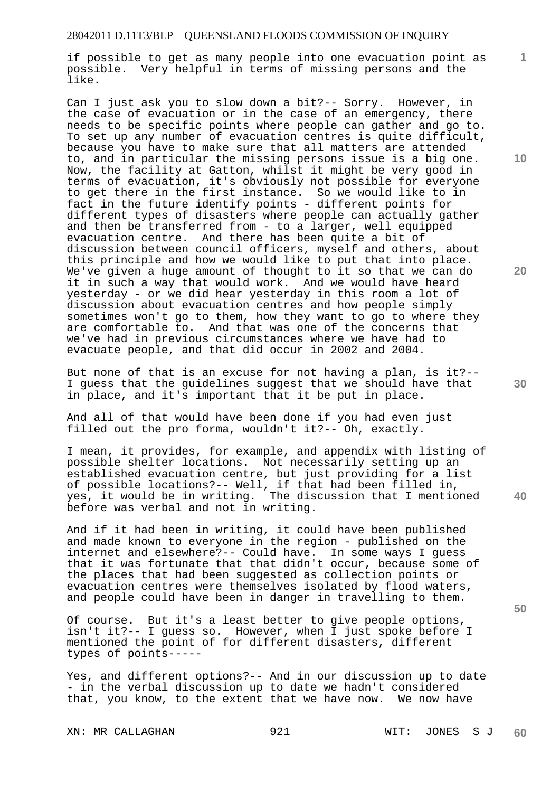if possible to get as many people into one evacuation point as possible. Very helpful in terms of missing persons and the like.

Can I just ask you to slow down a bit?-- Sorry. However, in the case of evacuation or in the case of an emergency, there needs to be specific points where people can gather and go to. To set up any number of evacuation centres is quite difficult, because you have to make sure that all matters are attended to, and in particular the missing persons issue is a big one. Now, the facility at Gatton, whilst it might be very good in terms of evacuation, it's obviously not possible for everyone to get there in the first instance. So we would like to in fact in the future identify points - different points for different types of disasters where people can actually gather and then be transferred from - to a larger, well equipped evacuation centre. And there has been quite a bit of discussion between council officers, myself and others, about this principle and how we would like to put that into place. We've given a huge amount of thought to it so that we can do it in such a way that would work. And we would have heard yesterday - or we did hear yesterday in this room a lot of discussion about evacuation centres and how people simply sometimes won't go to them, how they want to go to where they are comfortable to. And that was one of the concerns that we've had in previous circumstances where we have had to evacuate people, and that did occur in 2002 and 2004.

But none of that is an excuse for not having a plan, is it?-- I guess that the guidelines suggest that we should have that in place, and it's important that it be put in place.

And all of that would have been done if you had even just filled out the pro forma, wouldn't it?-- Oh, exactly.

I mean, it provides, for example, and appendix with listing of possible shelter locations. Not necessarily setting up an established evacuation centre, but just providing for a list of possible locations?-- Well, if that had been filled in, yes, it would be in writing. The discussion that I mentioned before was verbal and not in writing.

And if it had been in writing, it could have been published and made known to everyone in the region - published on the internet and elsewhere?-- Could have. In some ways I guess that it was fortunate that that didn't occur, because some of the places that had been suggested as collection points or evacuation centres were themselves isolated by flood waters, and people could have been in danger in travelling to them.

Of course. But it's a least better to give people options, isn't it?-- I guess so. However, when I just spoke before I mentioned the point of for different disasters, different types of points-----

Yes, and different options?-- And in our discussion up to date - in the verbal discussion up to date we hadn't considered that, you know, to the extent that we have now. We now have

**10** 

**1**

**20** 

**30** 

**40**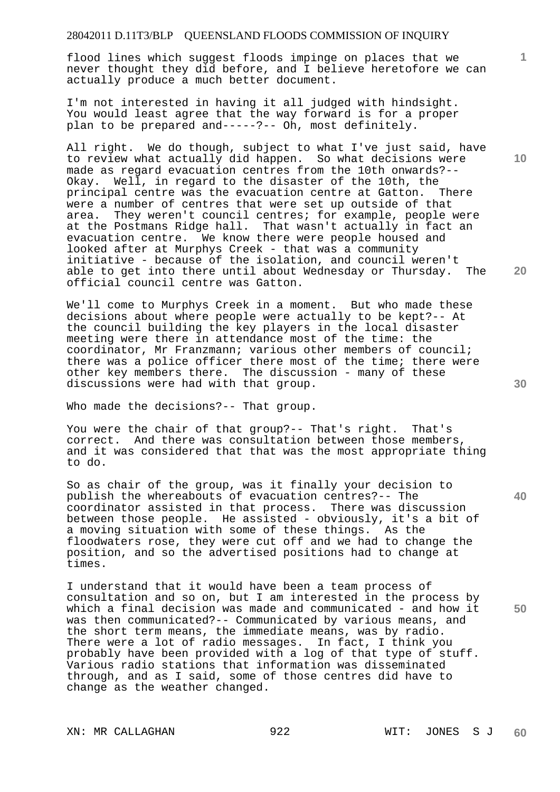flood lines which suggest floods impinge on places that we never thought they did before, and I believe heretofore we can actually produce a much better document.

I'm not interested in having it all judged with hindsight. You would least agree that the way forward is for a proper plan to be prepared and-----?-- Oh, most definitely.

All right. We do though, subject to what I've just said, have to review what actually did happen. So what decisions were made as regard evacuation centres from the 10th onwards?-- Okay. Well, in regard to the disaster of the 10th, the principal centre was the evacuation centre at Gatton. There were a number of centres that were set up outside of that area. They weren't council centres; for example, people were at the Postmans Ridge hall. That wasn't actually in fact an evacuation centre. We know there were people housed and looked after at Murphys Creek - that was a community initiative - because of the isolation, and council weren't able to get into there until about Wednesday or Thursday. The official council centre was Gatton.

We'll come to Murphys Creek in a moment. But who made these decisions about where people were actually to be kept?-- At the council building the key players in the local disaster meeting were there in attendance most of the time: the coordinator, Mr Franzmann; various other members of council; there was a police officer there most of the time; there were other key members there. The discussion - many of these discussions were had with that group.

Who made the decisions?-- That group.

You were the chair of that group?-- That's right. That's correct. And there was consultation between those members, and it was considered that that was the most appropriate thing to do.

So as chair of the group, was it finally your decision to publish the whereabouts of evacuation centres?-- The coordinator assisted in that process. There was discussion between those people. He assisted - obviously, it's a bit of a moving situation with some of these things. As the floodwaters rose, they were cut off and we had to change the position, and so the advertised positions had to change at times.

I understand that it would have been a team process of consultation and so on, but I am interested in the process by which a final decision was made and communicated - and how it was then communicated?-- Communicated by various means, and the short term means, the immediate means, was by radio. There were a lot of radio messages. In fact, I think you probably have been provided with a log of that type of stuff. Various radio stations that information was disseminated through, and as I said, some of those centres did have to change as the weather changed.

**30** 

**20** 

**40** 

**1**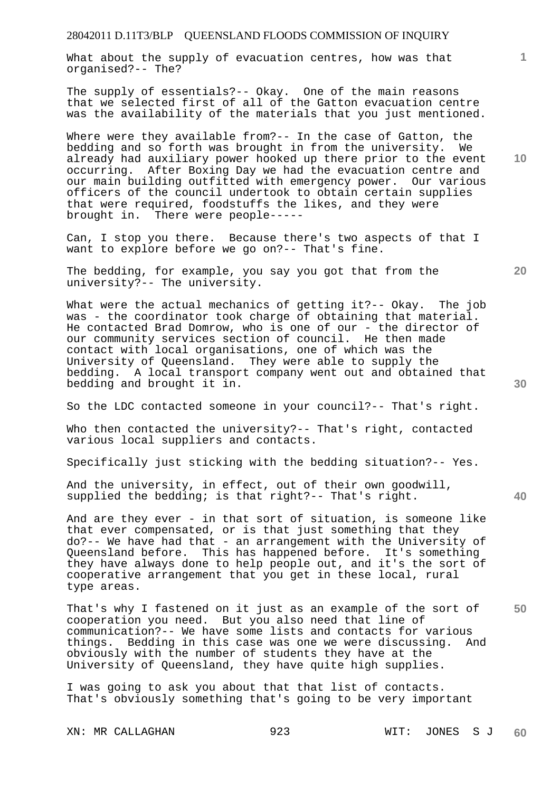What about the supply of evacuation centres, how was that organised?-- The?

The supply of essentials?-- Okay. One of the main reasons that we selected first of all of the Gatton evacuation centre was the availability of the materials that you just mentioned.

Where were they available from?-- In the case of Gatton, the bedding and so forth was brought in from the university. We already had auxiliary power hooked up there prior to the event occurring. After Boxing Day we had the evacuation centre and our main building outfitted with emergency power. Our various officers of the council undertook to obtain certain supplies that were required, foodstuffs the likes, and they were brought in. There were people-----

Can, I stop you there. Because there's two aspects of that I want to explore before we go on?-- That's fine.

The bedding, for example, you say you got that from the university?-- The university.

What were the actual mechanics of getting it?-- Okay. The job was - the coordinator took charge of obtaining that material. He contacted Brad Domrow, who is one of our - the director of our community services section of council. He then made contact with local organisations, one of which was the University of Queensland. They were able to supply the bedding. A local transport company went out and obtained that bedding and brought it in.

So the LDC contacted someone in your council?-- That's right.

Who then contacted the university?-- That's right, contacted various local suppliers and contacts.

Specifically just sticking with the bedding situation?-- Yes.

And the university, in effect, out of their own goodwill, supplied the bedding; is that right?-- That's right.

And are they ever - in that sort of situation, is someone like that ever compensated, or is that just something that they do?-- We have had that - an arrangement with the University of Queensland before. This has happened before. It's something they have always done to help people out, and it's the sort of cooperative arrangement that you get in these local, rural type areas.

That's why I fastened on it just as an example of the sort of cooperation you need. But you also need that line of communication?-- We have some lists and contacts for various things. Bedding in this case was one we were discussing. And obviously with the number of students they have at the University of Queensland, they have quite high supplies.

I was going to ask you about that that list of contacts. That's obviously something that's going to be very important

**10** 

**20** 

**1**

**40**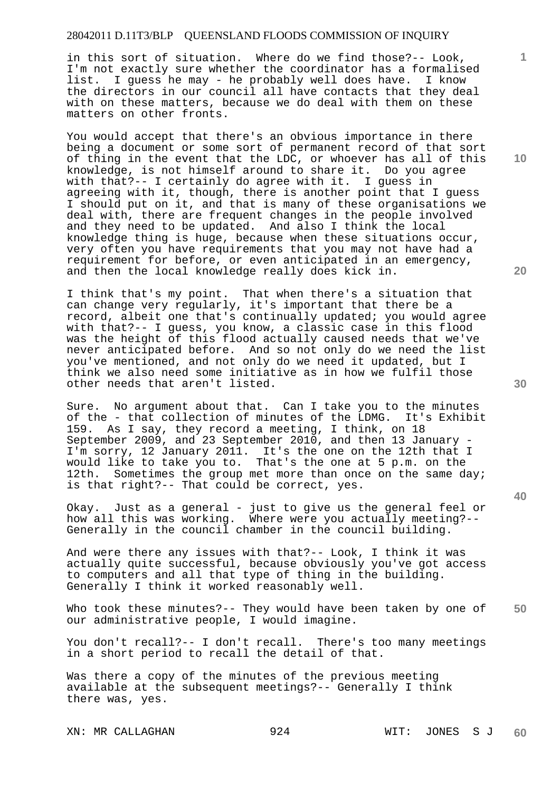in this sort of situation. Where do we find those?-- Look, I'm not exactly sure whether the coordinator has a formalised list. I guess he may - he probably well does have. I know the directors in our council all have contacts that they deal with on these matters, because we do deal with them on these matters on other fronts.

You would accept that there's an obvious importance in there being a document or some sort of permanent record of that sort of thing in the event that the LDC, or whoever has all of this knowledge, is not himself around to share it. Do you agree with that?-- I certainly do agree with it. I guess in agreeing with it, though, there is another point that I guess I should put on it, and that is many of these organisations we deal with, there are frequent changes in the people involved and they need to be updated. And also I think the local knowledge thing is huge, because when these situations occur, very often you have requirements that you may not have had a requirement for before, or even anticipated in an emergency, and then the local knowledge really does kick in.

I think that's my point. That when there's a situation that can change very regularly, it's important that there be a record, albeit one that's continually updated; you would agree with that?-- I guess, you know, a classic case in this flood was the height of this flood actually caused needs that we've never anticipated before. And so not only do we need the list you've mentioned, and not only do we need it updated, but I think we also need some initiative as in how we fulfil those other needs that aren't listed.

Sure. No argument about that. Can I take you to the minutes of the - that collection of minutes of the LDMG. It's Exhibit of the - that collection of minutes of the LDMG. 159. As I say, they record a meeting, I think, on 18 September 2009, and 23 September 2010, and then 13 January - I'm sorry, 12 January 2011. It's the one on the 12th that I would like to take you to. That's the one at 5 p.m. on the 12th. Sometimes the group met more than once on the same day; is that right?-- That could be correct, yes.

Okay. Just as a general - just to give us the general feel or how all this was working. Where were you actually meeting?-- Generally in the council chamber in the council building.

And were there any issues with that?-- Look, I think it was actually quite successful, because obviously you've got access to computers and all that type of thing in the building. Generally I think it worked reasonably well.

**50**  Who took these minutes?-- They would have been taken by one of our administrative people, I would imagine.

You don't recall?-- I don't recall. There's too many meetings in a short period to recall the detail of that.

Was there a copy of the minutes of the previous meeting available at the subsequent meetings?-- Generally I think there was, yes.

XN: MR CALLAGHAN 924 WIT: JONES S J

**60** 

**10** 

**1**

**20**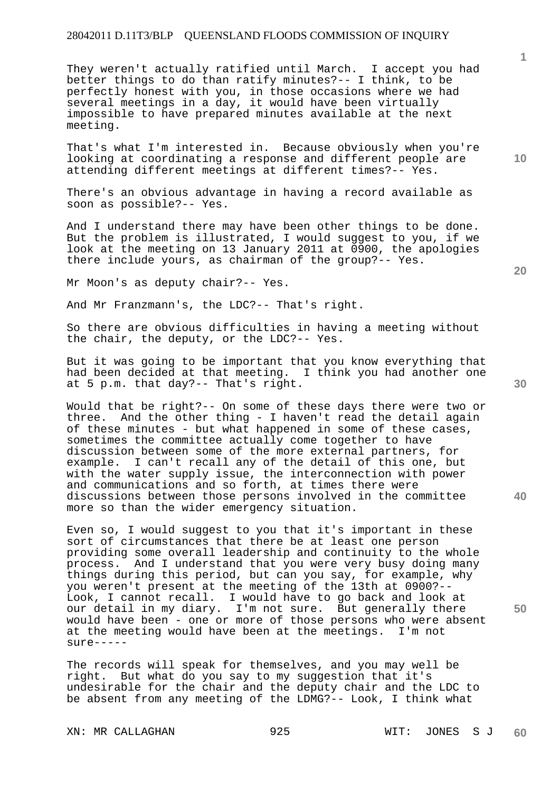They weren't actually ratified until March. I accept you had better things to do than ratify minutes?-- I think, to be perfectly honest with you, in those occasions where we had several meetings in a day, it would have been virtually impossible to have prepared minutes available at the next meeting.

That's what I'm interested in. Because obviously when you're looking at coordinating a response and different people are attending different meetings at different times?-- Yes.

There's an obvious advantage in having a record available as soon as possible?-- Yes.

And I understand there may have been other things to be done. But the problem is illustrated, I would suggest to you, if we look at the meeting on 13 January 2011 at 0900, the apologies there include yours, as chairman of the group?-- Yes.

Mr Moon's as deputy chair?-- Yes.

And Mr Franzmann's, the LDC?-- That's right.

So there are obvious difficulties in having a meeting without the chair, the deputy, or the LDC?-- Yes.

But it was going to be important that you know everything that had been decided at that meeting. I think you had another one at 5 p.m. that day?-- That's right.

Would that be right?-- On some of these days there were two or three. And the other thing - I haven't read the detail again of these minutes - but what happened in some of these cases, sometimes the committee actually come together to have discussion between some of the more external partners, for example. I can't recall any of the detail of this one, but with the water supply issue, the interconnection with power and communications and so forth, at times there were discussions between those persons involved in the committee more so than the wider emergency situation.

Even so, I would suggest to you that it's important in these sort of circumstances that there be at least one person providing some overall leadership and continuity to the whole process. And I understand that you were very busy doing many things during this period, but can you say, for example, why you weren't present at the meeting of the 13th at 0900?-- Look, I cannot recall. I would have to go back and look at our detail in my diary. I'm not sure. But generally there would have been - one or more of those persons who were absent at the meeting would have been at the meetings. I'm not sure-----

The records will speak for themselves, and you may well be right. But what do you say to my suggestion that it's undesirable for the chair and the deputy chair and the LDC to be absent from any meeting of the LDMG?-- Look, I think what

XN: MR CALLAGHAN 925 WIT: JONES S J **60** 

**40** 

**50** 

**10** 

**1**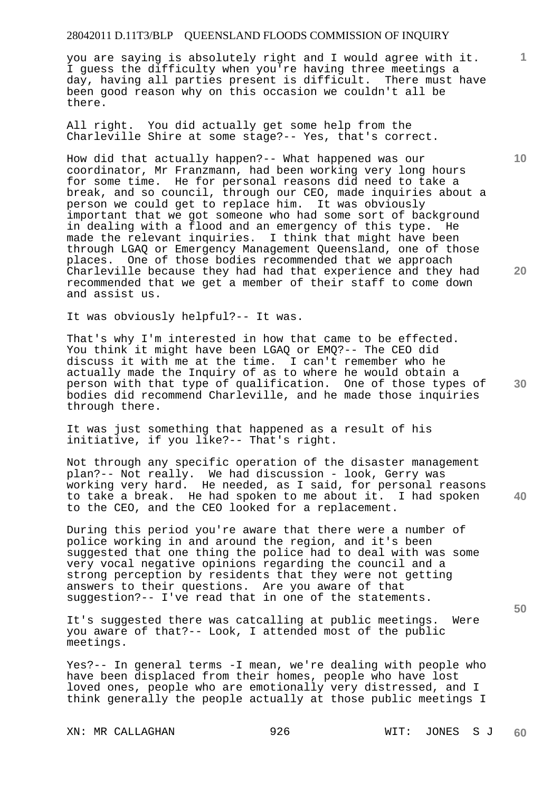you are saying is absolutely right and I would agree with it. I guess the difficulty when you're having three meetings a day, having all parties present is difficult. There must have been good reason why on this occasion we couldn't all be there.

All right. You did actually get some help from the Charleville Shire at some stage?-- Yes, that's correct.

How did that actually happen?-- What happened was our coordinator, Mr Franzmann, had been working very long hours for some time. He for personal reasons did need to take a break, and so council, through our CEO, made inquiries about a person we could get to replace him. It was obviously important that we got someone who had some sort of background in dealing with a flood and an emergency of this type. He made the relevant inquiries. I think that might have been through LGAQ or Emergency Management Queensland, one of those places. One of those bodies recommended that we approach Charleville because they had had that experience and they had recommended that we get a member of their staff to come down and assist us.

It was obviously helpful?-- It was.

**30**  That's why I'm interested in how that came to be effected. You think it might have been LGAQ or EMQ?-- The CEO did discuss it with me at the time. I can't remember who he actually made the Inquiry of as to where he would obtain a person with that type of qualification. One of those types of bodies did recommend Charleville, and he made those inquiries through there.

It was just something that happened as a result of his initiative, if you like?-- That's right.

Not through any specific operation of the disaster management plan?-- Not really. We had discussion - look, Gerry was working very hard. He needed, as I said, for personal reasons to take a break. He had spoken to me about it. I had spoken to the CEO, and the CEO looked for a replacement.

During this period you're aware that there were a number of police working in and around the region, and it's been suggested that one thing the police had to deal with was some very vocal negative opinions regarding the council and a strong perception by residents that they were not getting answers to their questions. Are you aware of that suggestion?-- I've read that in one of the statements.

It's suggested there was catcalling at public meetings. Were you aware of that?-- Look, I attended most of the public meetings.

Yes?-- In general terms -I mean, we're dealing with people who have been displaced from their homes, people who have lost loved ones, people who are emotionally very distressed, and I think generally the people actually at those public meetings I

XN: MR CALLAGHAN 926 WIT: JONES S J

**10** 

**1**

**20** 

**40**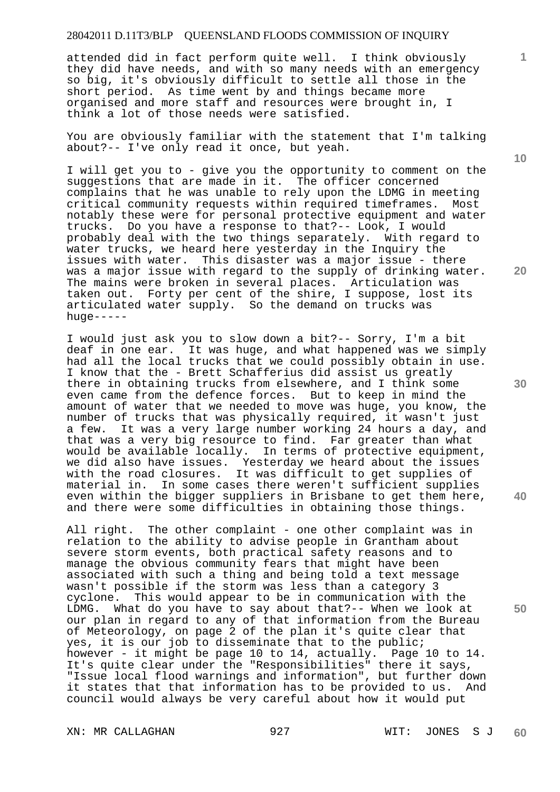attended did in fact perform quite well. I think obviously they did have needs, and with so many needs with an emergency so big, it's obviously difficult to settle all those in the short period. As time went by and things became more organised and more staff and resources were brought in, I think a lot of those needs were satisfied.

You are obviously familiar with the statement that I'm talking about?-- I've only read it once, but yeah.

I will get you to - give you the opportunity to comment on the suggestions that are made in it. The officer concerned complains that he was unable to rely upon the LDMG in meeting critical community requests within required timeframes. Most notably these were for personal protective equipment and water trucks. Do you have a response to that?-- Look, I would probably deal with the two things separately. With regard to water trucks, we heard here yesterday in the Inquiry the issues with water. This disaster was a major issue - there was a major issue with regard to the supply of drinking water. The mains were broken in several places. Articulation was taken out. Forty per cent of the shire, I suppose, lost its articulated water supply. So the demand on trucks was huge-----

I would just ask you to slow down a bit?-- Sorry, I'm a bit deaf in one ear. It was huge, and what happened was we simply had all the local trucks that we could possibly obtain in use. I know that the - Brett Schafferius did assist us greatly there in obtaining trucks from elsewhere, and I think some even came from the defence forces. But to keep in mind the amount of water that we needed to move was huge, you know, the number of trucks that was physically required, it wasn't just a few. It was a very large number working 24 hours a day, and that was a very big resource to find. Far greater than what would be available locally. In terms of protective equipment, we did also have issues. Yesterday we heard about the issues with the road closures. It was difficult to get supplies of material in. In some cases there weren't sufficient supplies even within the bigger suppliers in Brisbane to get them here, and there were some difficulties in obtaining those things.

All right. The other complaint - one other complaint was in relation to the ability to advise people in Grantham about severe storm events, both practical safety reasons and to manage the obvious community fears that might have been associated with such a thing and being told a text message wasn't possible if the storm was less than a category 3 cyclone. This would appear to be in communication with the LDMG. What do you have to say about that?-- When we look at our plan in regard to any of that information from the Bureau of Meteorology, on page 2 of the plan it's quite clear that yes, it is our job to disseminate that to the public; however - it might be page 10 to 14, actually. Page 10 to 14. It's quite clear under the "Responsibilities" there it says, "Issue local flood warnings and information", but further down it states that that information has to be provided to us. And council would always be very careful about how it would put

**10** 

**1**

**30** 

**40** 

**50**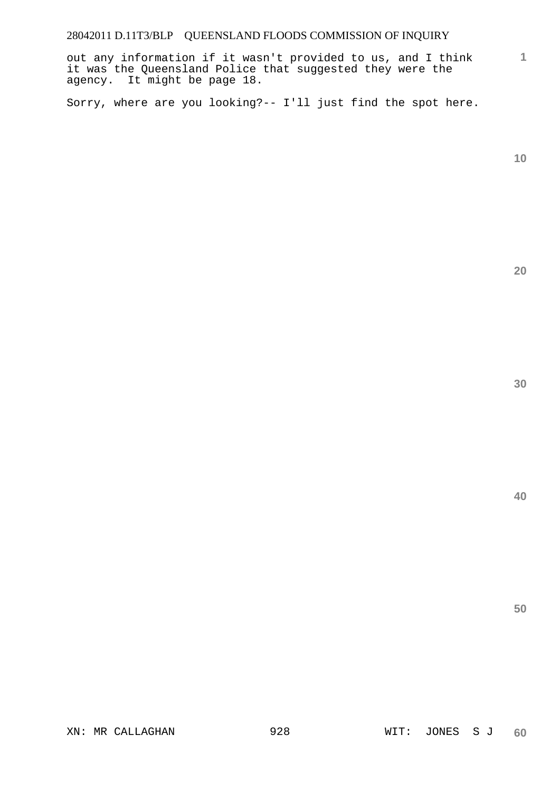out any information if it wasn't provided to us, and I think it was the Queensland Police that suggested they were the agency. It might be page 18.

Sorry, where are you looking?-- I'll just find the spot here.

**10** 

**1**

**20** 

**30**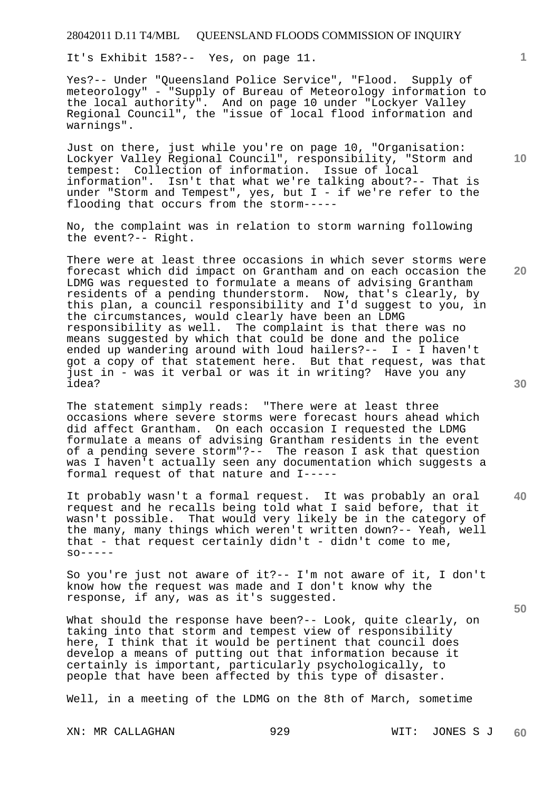It's Exhibit 158?-- Yes, on page 11.

Yes?-- Under "Queensland Police Service", "Flood. Supply of meteorology" - "Supply of Bureau of Meteorology information to the local authority". And on page 10 under "Lockyer Valley Regional Council", the "issue of local flood information and warnings".

Just on there, just while you're on page 10, "Organisation: Lockyer Valley Regional Council", responsibility, "Storm and tempest: Collection of information. Issue of local information". Isn't that what we're talking about?-- That is under "Storm and Tempest", yes, but I - if we're refer to the flooding that occurs from the storm-----

No, the complaint was in relation to storm warning following the event?-- Right.

There were at least three occasions in which sever storms were forecast which did impact on Grantham and on each occasion the LDMG was requested to formulate a means of advising Grantham residents of a pending thunderstorm. Now, that's clearly, by this plan, a council responsibility and I'd suggest to you, in the circumstances, would clearly have been an LDMG responsibility as well. The complaint is that there was no means suggested by which that could be done and the police ended up wandering around with loud hailers?--  $I - I$  haven't got a copy of that statement here. But that request, was that just in - was it verbal or was it in writing? Have you any idea?

The statement simply reads: "There were at least three occasions where severe storms were forecast hours ahead which did affect Grantham. On each occasion I requested the LDMG formulate a means of advising Grantham residents in the event of a pending severe storm"?-- The reason I ask that question was I haven't actually seen any documentation which suggests a formal request of that nature and I-----

It probably wasn't a formal request. It was probably an oral request and he recalls being told what I said before, that it wasn't possible. That would very likely be in the category of the many, many things which weren't written down?-- Yeah, well that - that request certainly  $d$ idn't -  $d$ idn't come to me,  $SO------$ 

So you're just not aware of it?-- I'm not aware of it, I don't know how the request was made and I don't know why the response, if any, was as it's suggested.

What should the response have been?-- Look, quite clearly, on taking into that storm and tempest view of responsibility here, I think that it would be pertinent that council does develop a means of putting out that information because it certainly is important, particularly psychologically, to people that have been affected by this type of disaster.

Well, in a meeting of the LDMG on the 8th of March, sometime

**10** 

**1**

**30** 

**40** 

**50**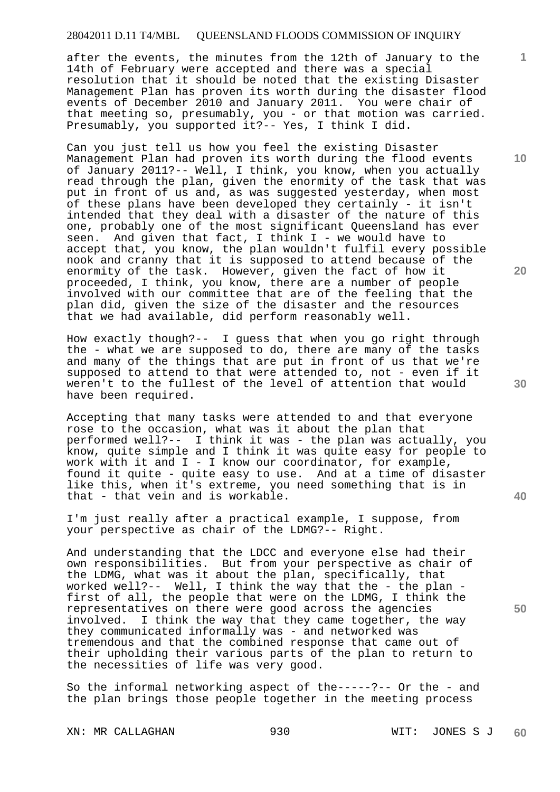after the events, the minutes from the 12th of January to the 14th of February were accepted and there was a special resolution that it should be noted that the existing Disaster Management Plan has proven its worth during the disaster flood events of December 2010 and January 2011. You were chair of that meeting so, presumably, you - or that motion was carried. Presumably, you supported it?-- Yes, I think I did.

Can you just tell us how you feel the existing Disaster Management Plan had proven its worth during the flood events of January 2011?-- Well, I think, you know, when you actually read through the plan, given the enormity of the task that was put in front of us and, as was suggested yesterday, when most of these plans have been developed they certainly - it isn't intended that they deal with a disaster of the nature of this one, probably one of the most significant Queensland has ever seen. And given that fact, I think I - we would have to accept that, you know, the plan wouldn't fulfil every possible nook and cranny that it is supposed to attend because of the enormity of the task. However, given the fact of how it proceeded, I think, you know, there are a number of people involved with our committee that are of the feeling that the plan did, given the size of the disaster and the resources that we had available, did perform reasonably well.

How exactly though?-- I guess that when you go right through the - what we are supposed to do, there are many of the tasks and many of the things that are put in front of us that we're supposed to attend to that were attended to, not - even if it weren't to the fullest of the level of attention that would have been required.

Accepting that many tasks were attended to and that everyone rose to the occasion, what was it about the plan that performed well?-- I think it was - the plan was actually, you know, quite simple and I think it was quite easy for people to work with it and  $I - I$  know our coordinator, for example, found it quite - quite easy to use. And at a time of disaster like this, when it's extreme, you need something that is in that - that vein and is workable.

I'm just really after a practical example, I suppose, from your perspective as chair of the LDMG?-- Right.

And understanding that the LDCC and everyone else had their own responsibilities. But from your perspective as chair of the LDMG, what was it about the plan, specifically, that worked well?-- Well, I think the way that the - the plan first of all, the people that were on the LDMG, I think the representatives on there were good across the agencies involved. I think the way that they came together, the way they communicated informally was - and networked was tremendous and that the combined response that came out of their upholding their various parts of the plan to return to the necessities of life was very good.

So the informal networking aspect of the-----?-- Or the - and the plan brings those people together in the meeting process

XN: MR CALLAGHAN 930 WIT: JONES S J

**20** 

**10** 

**1**



**40**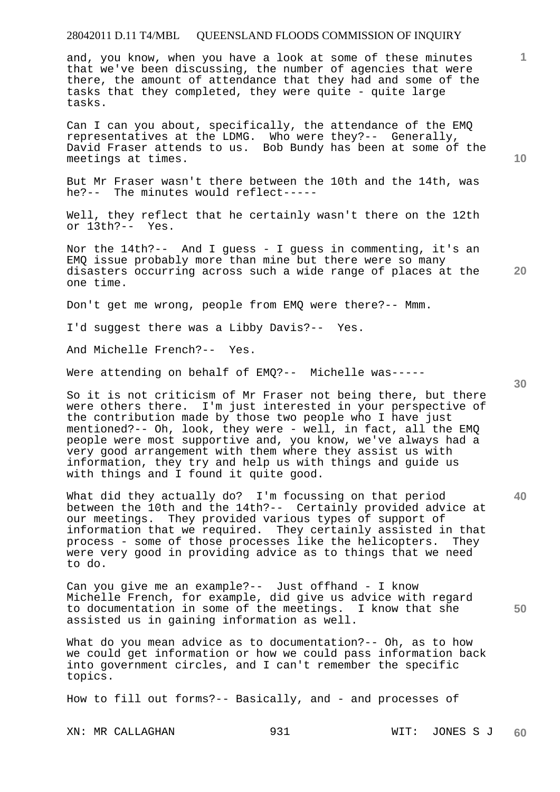and, you know, when you have a look at some of these minutes that we've been discussing, the number of agencies that were there, the amount of attendance that they had and some of the tasks that they completed, they were quite - quite large tasks.

Can I can you about, specifically, the attendance of the EMQ representatives at the LDMG. Who were they?-- Generally, David Fraser attends to us. Bob Bundy has been at some of the meetings at times.

But Mr Fraser wasn't there between the 10th and the 14th, was he?-- The minutes would reflect-----

Well, they reflect that he certainly wasn't there on the 12th or 13th?-- Yes.

Nor the 14th?-- And I guess - I guess in commenting, it's an EMQ issue probably more than mine but there were so many disasters occurring across such a wide range of places at the one time.

Don't get me wrong, people from EMQ were there?-- Mmm.

I'd suggest there was a Libby Davis?-- Yes.

And Michelle French?-- Yes.

Were attending on behalf of EMQ?-- Michelle was-----

So it is not criticism of Mr Fraser not being there, but there were others there. I'm just interested in your perspective of the contribution made by those two people who I have just mentioned?-- Oh, look, they were - well, in fact, all the EMQ people were most supportive and, you know, we've always had a very good arrangement with them where they assist us with information, they try and help us with things and guide us with things and I found it quite good.

What did they actually do? I'm focussing on that period between the 10th and the 14th?-- Certainly provided advice at our meetings. They provided various types of support of information that we required. They certainly assisted in that process - some of those processes like the helicopters. They were very good in providing advice as to things that we need to do.

Can you give me an example?-- Just offhand - I know Michelle French, for example, did give us advice with regard to documentation in some of the meetings. I know that she assisted us in gaining information as well.

What do you mean advice as to documentation?-- Oh, as to how we could get information or how we could pass information back into government circles, and I can't remember the specific topics.

How to fill out forms?-- Basically, and - and processes of

XN: MR CALLAGHAN 931 WIT: JONES S J **60** 

**30** 

**40** 

**50** 

**20** 

**10**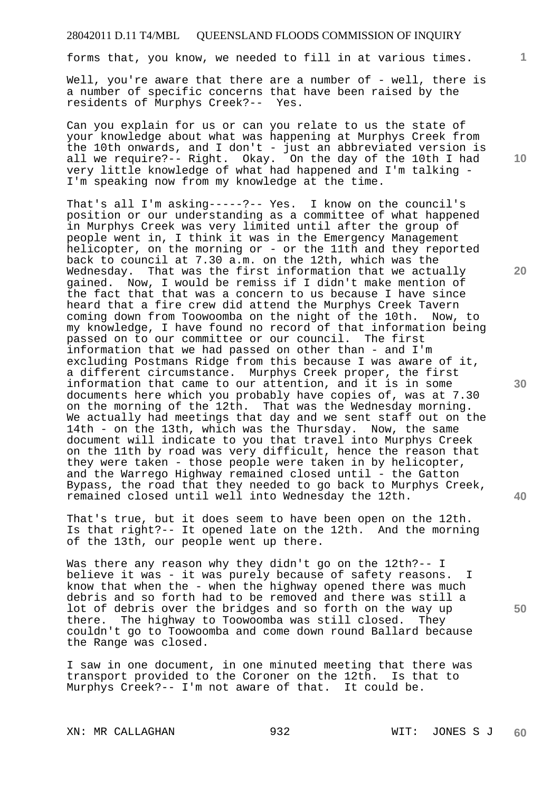forms that, you know, we needed to fill in at various times.

Well, you're aware that there are a number of - well, there is a number of specific concerns that have been raised by the residents of Murphys Creek?-- Yes.

Can you explain for us or can you relate to us the state of your knowledge about what was happening at Murphys Creek from the 10th onwards, and I don't - just an abbreviated version is all we require?-- Right. Okay. On the day of the 10th I had very little knowledge of what had happened and I'm talking - I'm speaking now from my knowledge at the time.

That's all I'm asking-----?-- Yes. I know on the council's position or our understanding as a committee of what happened in Murphys Creek was very limited until after the group of people went in, I think it was in the Emergency Management helicopter, on the morning or - or the 11th and they reported back to council at 7.30 a.m. on the 12th, which was the Wednesday. That was the first information that we actually gained. Now, I would be remiss if I didn't make mention of the fact that that was a concern to us because I have since heard that a fire crew did attend the Murphys Creek Tavern coming down from Toowoomba on the night of the 10th. Now, to my knowledge, I have found no record of that information being passed on to our committee or our council. The first information that we had passed on other than - and I'm excluding Postmans Ridge from this because I was aware of it, a different circumstance. Murphys Creek proper, the first information that came to our attention, and it is in some documents here which you probably have copies of, was at 7.30 on the morning of the 12th. That was the Wednesday morning. We actually had meetings that day and we sent staff out on the 14th - on the 13th, which was the Thursday. Now, the same document will indicate to you that travel into Murphys Creek on the 11th by road was very difficult, hence the reason that they were taken - those people were taken in by helicopter, and the Warrego Highway remained closed until - the Gatton Bypass, the road that they needed to go back to Murphys Creek, remained closed until well into Wednesday the 12th.

That's true, but it does seem to have been open on the 12th. Is that right?-- It opened late on the 12th. And the morning of the 13th, our people went up there.

Was there any reason why they didn't go on the 12th?-- I believe it was - it was purely because of safety reasons. I know that when the - when the highway opened there was much debris and so forth had to be removed and there was still a lot of debris over the bridges and so forth on the way up there. The highway to Toowoomba was still closed. They couldn't go to Toowoomba and come down round Ballard because the Range was closed.

I saw in one document, in one minuted meeting that there was transport provided to the Coroner on the 12th. Is that to Murphys Creek?-- I'm not aware of that. It could be.

XN: MR CALLAGHAN 932 WIT: JONES S J

**10** 

**1**

**20** 

**30** 

**40**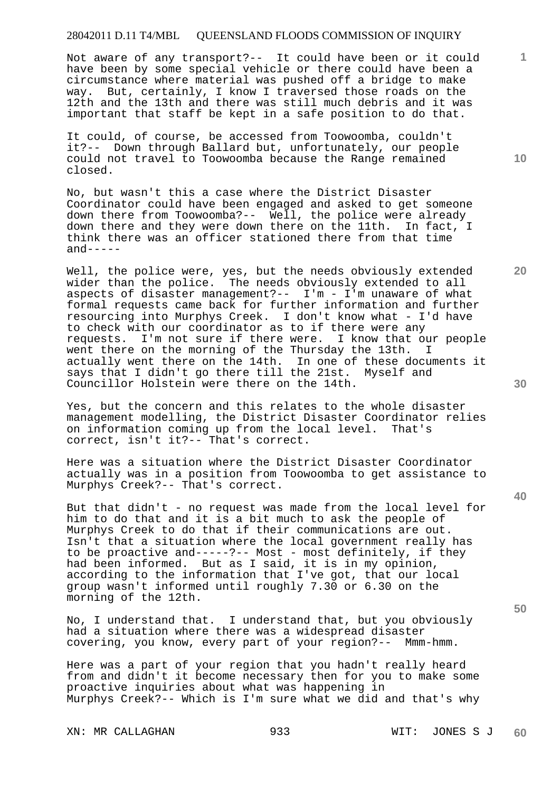Not aware of any transport?-- It could have been or it could have been by some special vehicle or there could have been a circumstance where material was pushed off a bridge to make way. But, certainly, I know I traversed those roads on the 12th and the 13th and there was still much debris and it was important that staff be kept in a safe position to do that.

It could, of course, be accessed from Toowoomba, couldn't it?-- Down through Ballard but, unfortunately, our people could not travel to Toowoomba because the Range remained closed.

No, but wasn't this a case where the District Disaster Coordinator could have been engaged and asked to get someone down there from Toowoomba?-- Well, the police were already down there and they were down there on the 11th. In fact, I think there was an officer stationed there from that time  $and---$ 

Well, the police were, yes, but the needs obviously extended wider than the police. The needs obviously extended to all aspects of disaster management?--  $I'm - I'm$  unaware of what formal requests came back for further information and further resourcing into Murphys Creek. I don't know what - I'd have to check with our coordinator as to if there were any requests. I'm not sure if there were. I know that our people went there on the morning of the Thursday the 13th. I actually went there on the 14th. In one of these documents it says that I didn't go there till the 21st. Myself and Councillor Holstein were there on the 14th.

Yes, but the concern and this relates to the whole disaster management modelling, the District Disaster Coordinator relies on information coming up from the local level. That's correct, isn't it?-- That's correct.

Here was a situation where the District Disaster Coordinator actually was in a position from Toowoomba to get assistance to Murphys Creek?-- That's correct.

But that didn't - no request was made from the local level for him to do that and it is a bit much to ask the people of Murphys Creek to do that if their communications are out. Isn't that a situation where the local government really has to be proactive and-----?-- Most - most definitely, if they had been informed. But as I said, it is in my opinion, according to the information that I've got, that our local group wasn't informed until roughly 7.30 or 6.30 on the morning of the 12th.

No, I understand that. I understand that, but you obviously had a situation where there was a widespread disaster covering, you know, every part of your region?-- Mmm-hmm.

Here was a part of your region that you hadn't really heard from and didn't it become necessary then for you to make some proactive inquiries about what was happening in Murphys Creek?-- Which is I'm sure what we did and that's why

**10** 

**1**

**40**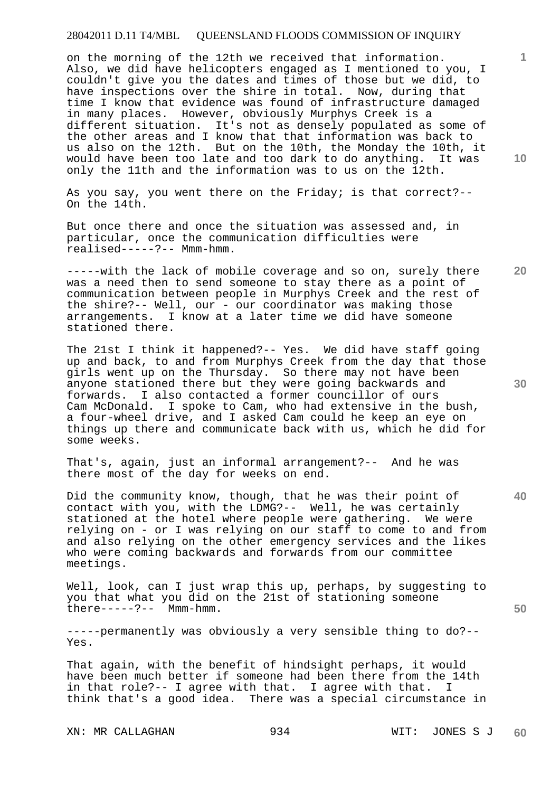on the morning of the 12th we received that information. Also, we did have helicopters engaged as I mentioned to you, I couldn't give you the dates and times of those but we did, to have inspections over the shire in total. Now, during that time I know that evidence was found of infrastructure damaged in many places. However, obviously Murphys Creek is a different situation. It's not as densely populated as some of the other areas and I know that that information was back to us also on the 12th. But on the 10th, the Monday the 10th, it would have been too late and too dark to do anything. It was only the 11th and the information was to us on the 12th.

As you say, you went there on the Friday; is that correct?-- On the 14th.

But once there and once the situation was assessed and, in particular, once the communication difficulties were realised-----?-- Mmm-hmm.

-----with the lack of mobile coverage and so on, surely there was a need then to send someone to stay there as a point of communication between people in Murphys Creek and the rest of the shire?-- Well, our - our coordinator was making those arrangements. I know at a later time we did have someone stationed there.

The 21st I think it happened?-- Yes. We did have staff going up and back, to and from Murphys Creek from the day that those girls went up on the Thursday. So there may not have been anyone stationed there but they were going backwards and forwards. I also contacted a former councillor of ours Cam McDonald. I spoke to Cam, who had extensive in the bush, a four-wheel drive, and I asked Cam could he keep an eye on things up there and communicate back with us, which he did for some weeks.

That's, again, just an informal arrangement?-- And he was there most of the day for weeks on end.

Did the community know, though, that he was their point of contact with you, with the LDMG?-- Well, he was certainly stationed at the hotel where people were gathering. We were relying on - or I was relying on our staff to come to and from and also relying on the other emergency services and the likes who were coming backwards and forwards from our committee meetings.

Well, look, can I just wrap this up, perhaps, by suggesting to you that what you did on the 21st of stationing someone there-----?-- Mmm-hmm.

-----permanently was obviously a very sensible thing to do?-- Yes.

That again, with the benefit of hindsight perhaps, it would have been much better if someone had been there from the 14th in that role?-- I agree with that. I agree with that. I think that's a good idea. There was a special circumstance in

XN: MR CALLAGHAN 934 WIT: JONES S J

**10** 

**20** 

**1**

**30** 

**40**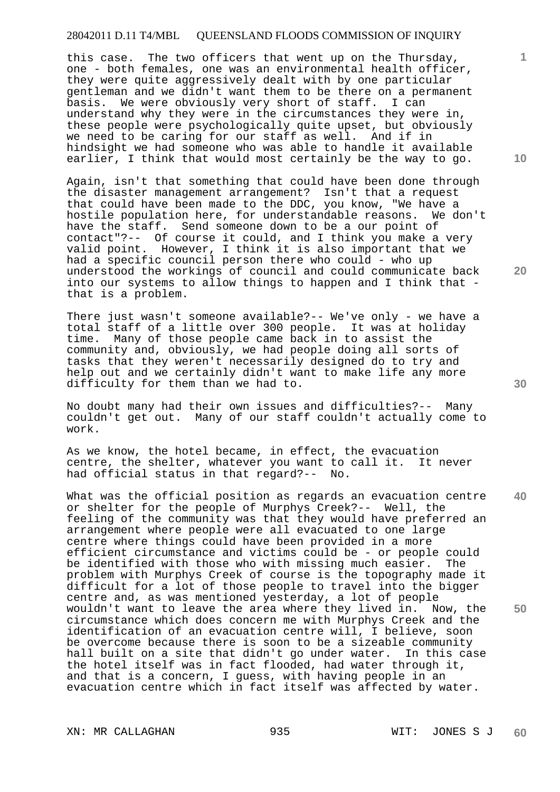this case. The two officers that went up on the Thursday, one - both females, one was an environmental health officer, they were quite aggressively dealt with by one particular gentleman and we didn't want them to be there on a permanent basis. We were obviously very short of staff. I can understand why they were in the circumstances they were in, these people were psychologically quite upset, but obviously we need to be caring for our staff as well. And if in hindsight we had someone who was able to handle it available earlier, I think that would most certainly be the way to go.

Again, isn't that something that could have been done through the disaster management arrangement? Isn't that a request that could have been made to the DDC, you know, "We have a hostile population here, for understandable reasons. We don't have the staff. Send someone down to be a our point of contact"?-- Of course it could, and I think you make a very valid point. However, I think it is also important that we had a specific council person there who could - who up understood the workings of council and could communicate back into our systems to allow things to happen and I think that that is a problem.

There just wasn't someone available?-- We've only - we have a total staff of a little over 300 people. It was at holiday time. Many of those people came back in to assist the community and, obviously, we had people doing all sorts of tasks that they weren't necessarily designed do to try and help out and we certainly didn't want to make life any more difficulty for them than we had to.

No doubt many had their own issues and difficulties?-- Many couldn't get out. Many of our staff couldn't actually come to work.

As we know, the hotel became, in effect, the evacuation centre, the shelter, whatever you want to call it. It never had official status in that regard?-- No.

**40 50**  What was the official position as regards an evacuation centre or shelter for the people of Murphys Creek?-- Well, the feeling of the community was that they would have preferred an arrangement where people were all evacuated to one large centre where things could have been provided in a more efficient circumstance and victims could be - or people could be identified with those who with missing much easier. The problem with Murphys Creek of course is the topography made it difficult for a lot of those people to travel into the bigger centre and, as was mentioned yesterday, a lot of people wouldn't want to leave the area where they lived in. Now, the circumstance which does concern me with Murphys Creek and the identification of an evacuation centre will, I believe, soon be overcome because there is soon to be a sizeable community hall built on a site that didn't go under water. In this case the hotel itself was in fact flooded, had water through it, and that is a concern, I guess, with having people in an evacuation centre which in fact itself was affected by water.

XN: MR CALLAGHAN 935 WIT: JONES S J

**10** 

**1**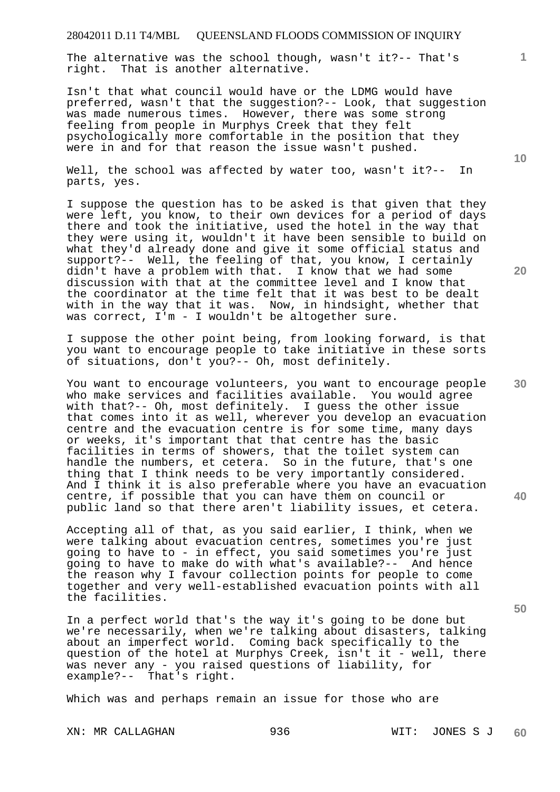The alternative was the school though, wasn't it?-- That's<br>right. That is another alternative. That is another alternative.

Isn't that what council would have or the LDMG would have preferred, wasn't that the suggestion?-- Look, that suggestion was made numerous times. However, there was some strong feeling from people in Murphys Creek that they felt psychologically more comfortable in the position that they were in and for that reason the issue wasn't pushed.

Well, the school was affected by water too, wasn't it?-- In parts, yes.

I suppose the question has to be asked is that given that they were left, you know, to their own devices for a period of days there and took the initiative, used the hotel in the way that they were using it, wouldn't it have been sensible to build on what they'd already done and give it some official status and support?-- Well, the feeling of that, you know, I certainly didn't have a problem with that. I know that we had some discussion with that at the committee level and I know that the coordinator at the time felt that it was best to be dealt with in the way that it was. Now, in hindsight, whether that was correct, I'm - I wouldn't be altogether sure.

I suppose the other point being, from looking forward, is that you want to encourage people to take initiative in these sorts of situations, don't you?-- Oh, most definitely.

You want to encourage volunteers, you want to encourage people who make services and facilities available. You would agree with that?-- Oh, most definitely. I guess the other issue that comes into it as well, wherever you develop an evacuation centre and the evacuation centre is for some time, many days or weeks, it's important that that centre has the basic facilities in terms of showers, that the toilet system can handle the numbers, et cetera. So in the future, that's one thing that I think needs to be very importantly considered. And I think it is also preferable where you have an evacuation centre, if possible that you can have them on council or public land so that there aren't liability issues, et cetera.

Accepting all of that, as you said earlier, I think, when we were talking about evacuation centres, sometimes you're just going to have to - in effect, you said sometimes you're just going to have to make do with what's available?-- And hence the reason why I favour collection points for people to come together and very well-established evacuation points with all the facilities.

In a perfect world that's the way it's going to be done but we're necessarily, when we're talking about disasters, talking about an imperfect world. Coming back specifically to the question of the hotel at Murphys Creek, isn't it - well, there was never any - you raised questions of liability, for example?-- That's right.

Which was and perhaps remain an issue for those who are

**10** 

**20** 

**1**

**30** 

**40**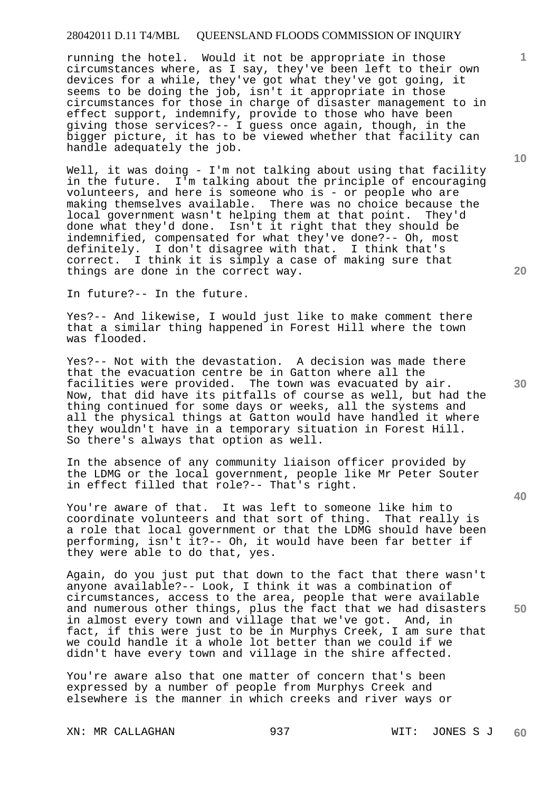running the hotel. Would it not be appropriate in those circumstances where, as I say, they've been left to their own devices for a while, they've got what they've got going, it seems to be doing the job, isn't it appropriate in those circumstances for those in charge of disaster management to in effect support, indemnify, provide to those who have been giving those services?-- I guess once again, though, in the bigger picture, it has to be viewed whether that facility can handle adequately the job.

Well, it was doing - I'm not talking about using that facility in the future. I'm talking about the principle of encouraging volunteers, and here is someone who is - or people who are making themselves available. There was no choice because the local government wasn't helping them at that point. They'd done what they'd done. Isn't it right that they should be indemnified, compensated for what they've done?-- Oh, most definitely. I don't disagree with that. I think that's correct. I think it is simply a case of making sure that things are done in the correct way.

In future?-- In the future.

Yes?-- And likewise, I would just like to make comment there that a similar thing happened in Forest Hill where the town was flooded.

Yes?-- Not with the devastation. A decision was made there that the evacuation centre be in Gatton where all the facilities were provided. The town was evacuated by air. Now, that did have its pitfalls of course as well, but had the thing continued for some days or weeks, all the systems and all the physical things at Gatton would have handled it where they wouldn't have in a temporary situation in Forest Hill. So there's always that option as well.

In the absence of any community liaison officer provided by the LDMG or the local government, people like Mr Peter Souter in effect filled that role?-- That's right.

You're aware of that. It was left to someone like him to coordinate volunteers and that sort of thing. That really is a role that local government or that the LDMG should have been performing, isn't it?-- Oh, it would have been far better if they were able to do that, yes.

Again, do you just put that down to the fact that there wasn't anyone available?-- Look, I think it was a combination of circumstances, access to the area, people that were available and numerous other things, plus the fact that we had disasters in almost every town and village that we've got. And, in fact, if this were just to be in Murphys Creek, I am sure that we could handle it a whole lot better than we could if we didn't have every town and village in the shire affected.

You're aware also that one matter of concern that's been expressed by a number of people from Murphys Creek and elsewhere is the manner in which creeks and river ways or

XN: MR CALLAGHAN 937 WIT: JONES S J

**10** 

**1**

**30** 

**20** 

**40**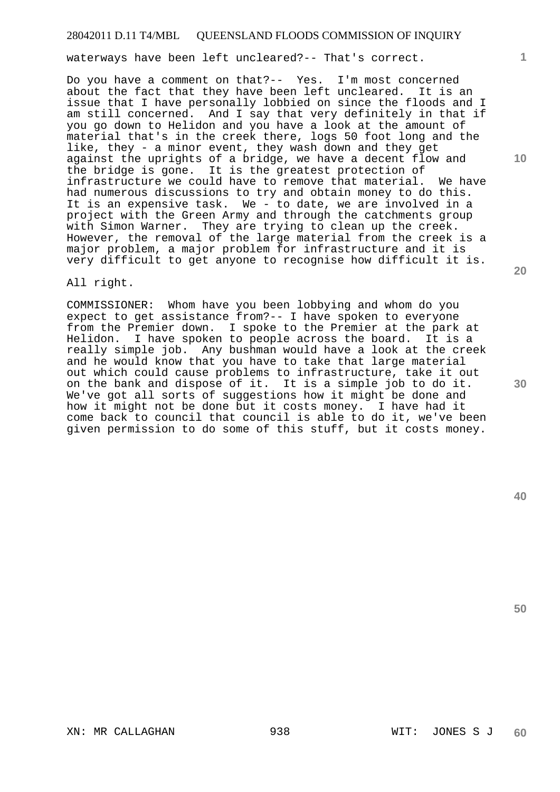waterways have been left uncleared?-- That's correct.

Do you have a comment on that?-- Yes. I'm most concerned about the fact that they have been left uncleared. It is an issue that I have personally lobbied on since the floods and I am still concerned. And I say that very definitely in that if you go down to Helidon and you have a look at the amount of material that's in the creek there, logs 50 foot long and the like, they - a minor event, they wash down and they get against the uprights of a bridge, we have a decent flow and the bridge is gone. It is the greatest protection of infrastructure we could have to remove that material. We have had numerous discussions to try and obtain money to do this. It is an expensive task. We - to date, we are involved in a project with the Green Army and through the catchments group with Simon Warner. They are trying to clean up the creek. However, the removal of the large material from the creek is a major problem, a major problem for infrastructure and it is very difficult to get anyone to recognise how difficult it is.

All right.

COMMISSIONER: Whom have you been lobbying and whom do you expect to get assistance from?-- I have spoken to everyone from the Premier down. I spoke to the Premier at the park at Helidon. I have spoken to people across the board. It is a really simple job. Any bushman would have a look at the creek and he would know that you have to take that large material out which could cause problems to infrastructure, take it out on the bank and dispose of it. It is a simple job to do it. We've got all sorts of suggestions how it might be done and how it might not be done but it costs money. I have had it come back to council that council is able to do it, we've been given permission to do some of this stuff, but it costs money.

**50** 

**40** 

**1**

**10**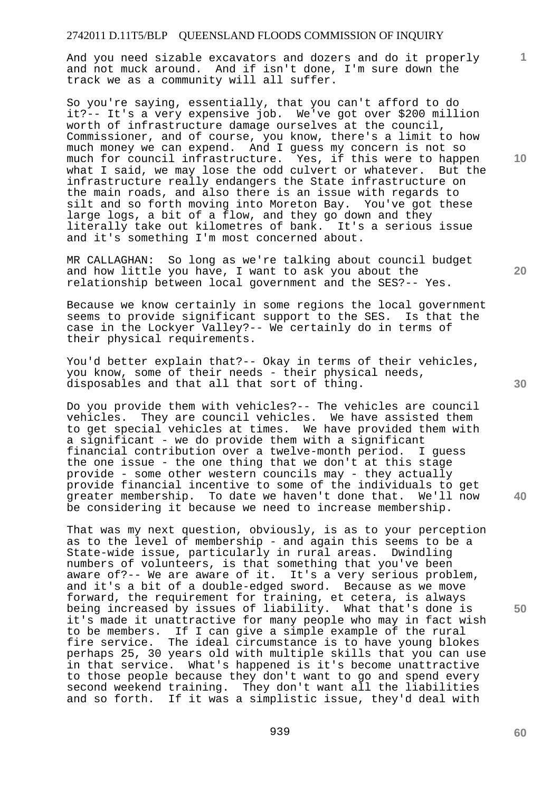And you need sizable excavators and dozers and do it properly and not muck around. And if isn't done, I'm sure down the track we as a community will all suffer.

So you're saying, essentially, that you can't afford to do it?-- It's a very expensive job. We've got over \$200 million worth of infrastructure damage ourselves at the council, Commissioner, and of course, you know, there's a limit to how much money we can expend. And I guess my concern is not so much for council infrastructure. Yes, if this were to happen what I said, we may lose the odd culvert or whatever. But the infrastructure really endangers the State infrastructure on the main roads, and also there is an issue with regards to silt and so forth moving into Moreton Bay. You've got these large logs, a bit of a flow, and they go down and they literally take out kilometres of bank. It's a serious issue and it's something I'm most concerned about.

MR CALLAGHAN: So long as we're talking about council budget and how little you have, I want to ask you about the relationship between local government and the SES?-- Yes.

Because we know certainly in some regions the local government seems to provide significant support to the SES. Is that the case in the Lockyer Valley?-- We certainly do in terms of their physical requirements.

You'd better explain that?-- Okay in terms of their vehicles, you know, some of their needs - their physical needs, disposables and that all that sort of thing.

Do you provide them with vehicles?-- The vehicles are council vehicles. They are council vehicles. We have assisted them to get special vehicles at times. We have provided them with a significant - we do provide them with a significant financial contribution over a twelve-month period. I guess the one issue - the one thing that we don't at this stage provide - some other western councils may - they actually provide financial incentive to some of the individuals to get greater membership. To date we haven't done that. We'll now be considering it because we need to increase membership.

That was my next question, obviously, is as to your perception as to the level of membership - and again this seems to be a State-wide issue, particularly in rural areas. Dwindling numbers of volunteers, is that something that you've been aware of?-- We are aware of it. It's a very serious problem, and it's a bit of a double-edged sword. Because as we move forward, the requirement for training, et cetera, is always being increased by issues of liability. What that's done is it's made it unattractive for many people who may in fact wish to be members. If I can give a simple example of the rural fire service. The ideal circumstance is to have young blokes perhaps 25, 30 years old with multiple skills that you can use in that service. What's happened is it's become unattractive to those people because they don't want to go and spend every second weekend training. They don't want all the liabilities and so forth. If it was a simplistic issue, they'd deal with

**20** 

**10** 

**1**

**50**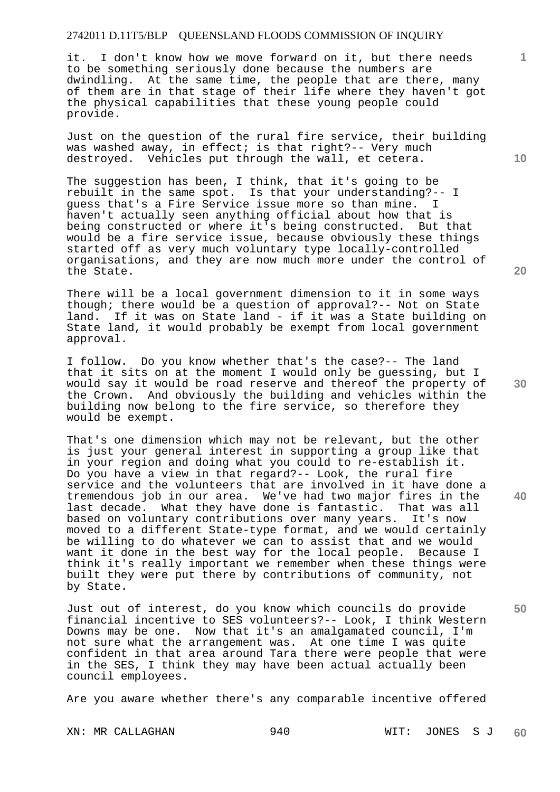it. I don't know how we move forward on it, but there needs to be something seriously done because the numbers are dwindling. At the same time, the people that are there, many of them are in that stage of their life where they haven't got the physical capabilities that these young people could provide.

Just on the question of the rural fire service, their building was washed away, in effect; is that right?-- Very much destroyed. Vehicles put through the wall, et cetera.

The suggestion has been, I think, that it's going to be rebuilt in the same spot. Is that your understanding?-- I guess that's a Fire Service issue more so than mine. I haven't actually seen anything official about how that is being constructed or where it's being constructed. But that would be a fire service issue, because obviously these things started off as very much voluntary type locally-controlled organisations, and they are now much more under the control of the State.

There will be a local government dimension to it in some ways though; there would be a question of approval?-- Not on State land. If it was on State land - if it was a State building on State land, it would probably be exempt from local government approval.

I follow. Do you know whether that's the case?-- The land that it sits on at the moment I would only be guessing, but I would say it would be road reserve and thereof the property of the Crown. And obviously the building and vehicles within the building now belong to the fire service, so therefore they would be exempt.

That's one dimension which may not be relevant, but the other is just your general interest in supporting a group like that in your region and doing what you could to re-establish it. Do you have a view in that regard?-- Look, the rural fire service and the volunteers that are involved in it have done a tremendous job in our area. We've had two major fires in the last decade. What they have done is fantastic. That was all based on voluntary contributions over many years. It's now moved to a different State-type format, and we would certainly be willing to do whatever we can to assist that and we would want it done in the best way for the local people. Because I think it's really important we remember when these things were built they were put there by contributions of community, not by State.

Just out of interest, do you know which councils do provide financial incentive to SES volunteers?-- Look, I think Western Downs may be one. Now that it's an amalgamated council, I'm not sure what the arrangement was. At one time I was quite confident in that area around Tara there were people that were in the SES, I think they may have been actual actually been council employees.

Are you aware whether there's any comparable incentive offered

XN: MR CALLAGHAN 940 940 WIT: JONES S J **60** 

**30** 

**20** 

**40** 

**50** 

**10**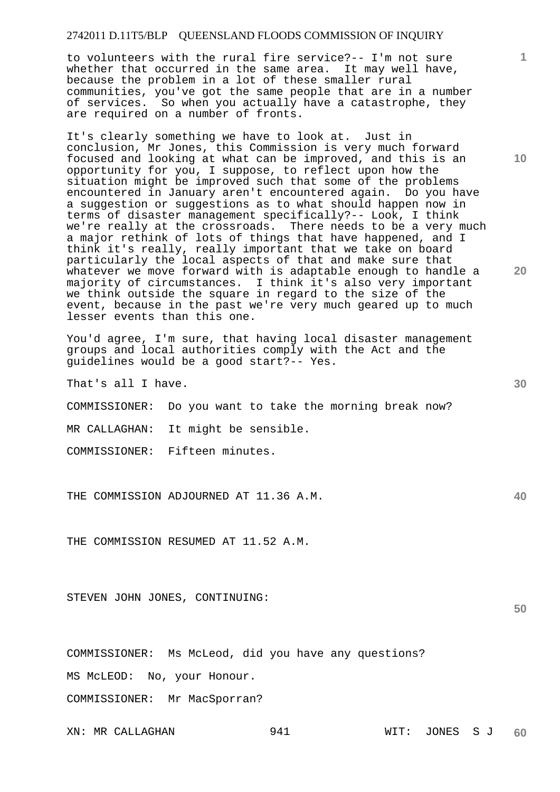to volunteers with the rural fire service?-- I'm not sure whether that occurred in the same area. It may well have, because the problem in a lot of these smaller rural communities, you've got the same people that are in a number of services. So when you actually have a catastrophe, they are required on a number of fronts.

It's clearly something we have to look at. Just in conclusion, Mr Jones, this Commission is very much forward focused and looking at what can be improved, and this is an opportunity for you, I suppose, to reflect upon how the situation might be improved such that some of the problems encountered in January aren't encountered again. Do you have a suggestion or suggestions as to what should happen now in terms of disaster management specifically?-- Look, I think we're really at the crossroads. There needs to be a very much a major rethink of lots of things that have happened, and I think it's really, really important that we take on board particularly the local aspects of that and make sure that whatever we move forward with is adaptable enough to handle a majority of circumstances. I think it's also very important we think outside the square in regard to the size of the event, because in the past we're very much geared up to much lesser events than this one.

You'd agree, I'm sure, that having local disaster management groups and local authorities comply with the Act and the guidelines would be a good start?-- Yes.

That's all I have.

COMMISSIONER: Do you want to take the morning break now?

MR CALLAGHAN: It might be sensible.

COMMISSIONER: Fifteen minutes.

THE COMMISSION ADJOURNED AT 11.36 A.M.

THE COMMISSION RESUMED AT 11.52 A.M.

STEVEN JOHN JONES, CONTINUING:

COMMISSIONER: Ms McLeod, did you have any questions?

MS McLEOD: No, your Honour.

COMMISSIONER: Mr MacSporran?

XN: MR CALLAGHAN 941 WIT: JONES S J **60** 

**30** 

**50** 

**40** 

**20** 

**10**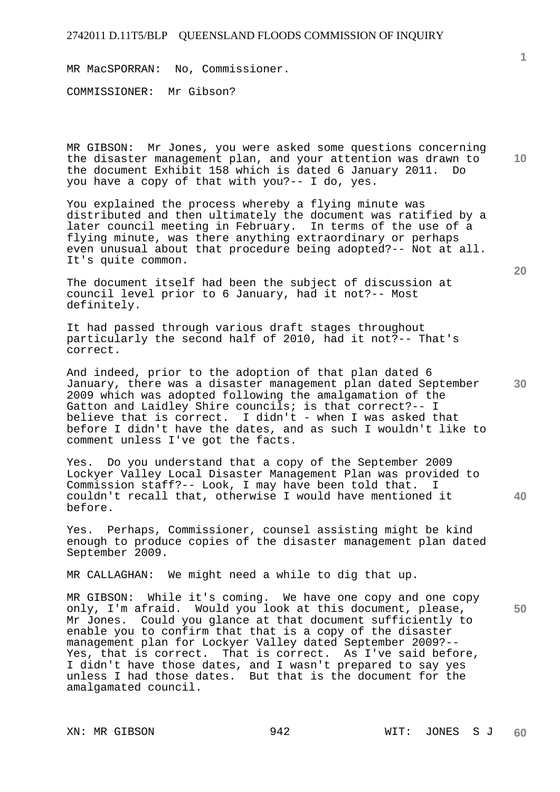MR MacSPORRAN: No, Commissioner.

COMMISSIONER: Mr Gibson?

MR GIBSON: Mr Jones, you were asked some questions concerning the disaster management plan, and your attention was drawn to the document Exhibit 158 which is dated 6 January 2011. Do you have a copy of that with you?-- I do, yes.

You explained the process whereby a flying minute was distributed and then ultimately the document was ratified by a later council meeting in February. In terms of the use of a flying minute, was there anything extraordinary or perhaps even unusual about that procedure being adopted?-- Not at all. It's quite common.

The document itself had been the subject of discussion at council level prior to 6 January, had it not?-- Most definitely.

It had passed through various draft stages throughout particularly the second half of 2010, had it not?-- That's correct.

**30**  And indeed, prior to the adoption of that plan dated 6 January, there was a disaster management plan dated September 2009 which was adopted following the amalgamation of the Gatton and Laidley Shire councils; is that correct?-- I believe that is correct. I didn't - when I was asked that before I didn't have the dates, and as such I wouldn't like to comment unless I've got the facts.

Yes. Do you understand that a copy of the September 2009 Lockyer Valley Local Disaster Management Plan was provided to Commission staff?-- Look, I may have been told that. couldn't recall that, otherwise I would have mentioned it before.

Yes. Perhaps, Commissioner, counsel assisting might be kind enough to produce copies of the disaster management plan dated September 2009.

MR CALLAGHAN: We might need a while to dig that up.

MR GIBSON: While it's coming. We have one copy and one copy only, I'm afraid. Would you look at this document, please, Mr Jones. Could you glance at that document sufficiently to enable you to confirm that that is a copy of the disaster management plan for Lockyer Valley dated September 2009?-- Yes, that is correct. That is correct. As I've said before, I didn't have those dates, and I wasn't prepared to say yes unless I had those dates. But that is the document for the amalgamated council.

**10** 

**20** 

**40**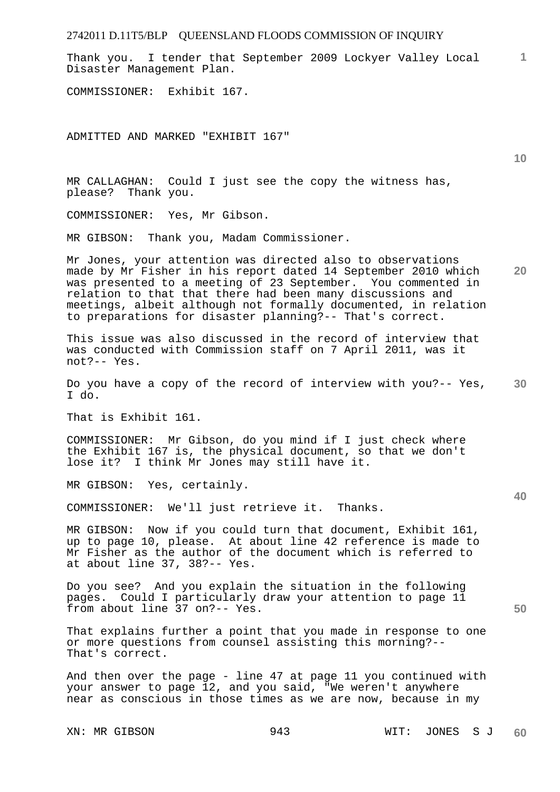Thank you. I tender that September 2009 Lockyer Valley Local Disaster Management Plan.

COMMISSIONER: Exhibit 167.

ADMITTED AND MARKED "EXHIBIT 167"

MR CALLAGHAN: Could I just see the copy the witness has, please? Thank you.

COMMISSIONER: Yes, Mr Gibson.

MR GIBSON: Thank you, Madam Commissioner.

**20**  Mr Jones, your attention was directed also to observations made by Mr Fisher in his report dated 14 September 2010 which was presented to a meeting of 23 September. You commented in relation to that that there had been many discussions and meetings, albeit although not formally documented, in relation to preparations for disaster planning?-- That's correct.

This issue was also discussed in the record of interview that was conducted with Commission staff on 7 April 2011, was it not?-- Yes.

**30**  Do you have a copy of the record of interview with you?-- Yes, I do.

That is Exhibit 161.

COMMISSIONER: Mr Gibson, do you mind if I just check where the Exhibit 167 is, the physical document, so that we don't lose it? I think Mr Jones may still have it.

MR GIBSON: Yes, certainly.

COMMISSIONER: We'll just retrieve it. Thanks.

MR GIBSON: Now if you could turn that document, Exhibit 161, up to page 10, please. At about line 42 reference is made to Mr Fisher as the author of the document which is referred to at about line 37, 38?-- Yes.

Do you see? And you explain the situation in the following pages. Could I particularly draw your attention to page 11 from about line 37 on?-- Yes.

That explains further a point that you made in response to one or more questions from counsel assisting this morning?-- That's correct.

And then over the page - line 47 at page 11 you continued with your answer to page 12, and you said, "We weren't anywhere near as conscious in those times as we are now, because in my

**10** 

**1**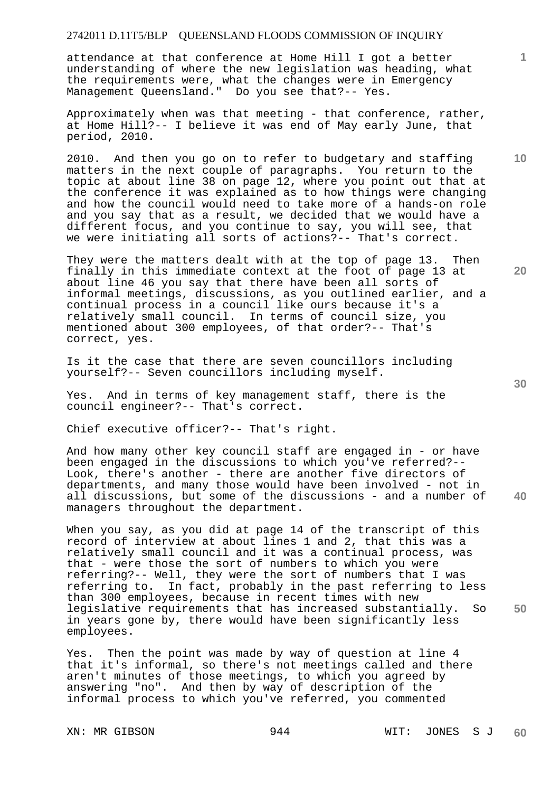attendance at that conference at Home Hill I got a better understanding of where the new legislation was heading, what the requirements were, what the changes were in Emergency Management Queensland." Do you see that?-- Yes.

Approximately when was that meeting - that conference, rather, at Home Hill?-- I believe it was end of May early June, that period, 2010.

2010. And then you go on to refer to budgetary and staffing matters in the next couple of paragraphs. You return to the topic at about line 38 on page 12, where you point out that at the conference it was explained as to how things were changing and how the council would need to take more of a hands-on role and you say that as a result, we decided that we would have a different focus, and you continue to say, you will see, that we were initiating all sorts of actions?-- That's correct.

They were the matters dealt with at the top of page 13. Then finally in this immediate context at the foot of page 13 at about line 46 you say that there have been all sorts of informal meetings, discussions, as you outlined earlier, and a continual process in a council like ours because it's a relatively small council. In terms of council size, you mentioned about 300 employees, of that order?-- That's correct, yes.

Is it the case that there are seven councillors including yourself?-- Seven councillors including myself.

Yes. And in terms of key management staff, there is the council engineer?-- That's correct.

Chief executive officer?-- That's right.

**40**  And how many other key council staff are engaged in - or have been engaged in the discussions to which you've referred?-- Look, there's another - there are another five directors of departments, and many those would have been involved - not in all discussions, but some of the discussions - and a number of managers throughout the department.

When you say, as you did at page 14 of the transcript of this record of interview at about lines 1 and 2, that this was a relatively small council and it was a continual process, was that - were those the sort of numbers to which you were referring?-- Well, they were the sort of numbers that I was referring to. In fact, probably in the past referring to less than 300 employees, because in recent times with new legislative requirements that has increased substantially. So in years gone by, there would have been significantly less employees.

Yes. Then the point was made by way of question at line 4 that it's informal, so there's not meetings called and there aren't minutes of those meetings, to which you agreed by answering "no". And then by way of description of the informal process to which you've referred, you commented

**10** 

**1**

**20**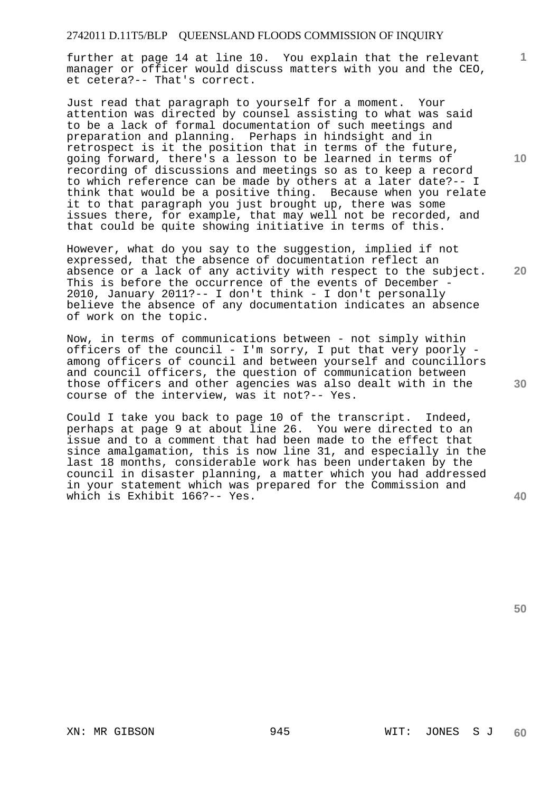further at page 14 at line 10. You explain that the relevant manager or officer would discuss matters with you and the CEO, et cetera?-- That's correct.

Just read that paragraph to yourself for a moment. Your attention was directed by counsel assisting to what was said to be a lack of formal documentation of such meetings and preparation and planning. Perhaps in hindsight and in retrospect is it the position that in terms of the future, going forward, there's a lesson to be learned in terms of recording of discussions and meetings so as to keep a record to which reference can be made by others at a later date?-- I think that would be a positive thing. Because when you relate it to that paragraph you just brought up, there was some issues there, for example, that may well not be recorded, and that could be quite showing initiative in terms of this.

However, what do you say to the suggestion, implied if not expressed, that the absence of documentation reflect an absence or a lack of any activity with respect to the subject. This is before the occurrence of the events of December - 2010, January 2011?-- I don't think - I don't personally believe the absence of any documentation indicates an absence of work on the topic.

Now, in terms of communications between - not simply within officers of the council - I'm sorry, I put that very poorly among officers of council and between yourself and councillors and council officers, the question of communication between those officers and other agencies was also dealt with in the course of the interview, was it not?-- Yes.

Could I take you back to page 10 of the transcript. Indeed, perhaps at page 9 at about line 26. You were directed to an issue and to a comment that had been made to the effect that since amalgamation, this is now line 31, and especially in the last 18 months, considerable work has been undertaken by the council in disaster planning, a matter which you had addressed in your statement which was prepared for the Commission and which is Exhibit 166?-- Yes.

**40** 

**50** 

**30** 

**10** 

**1**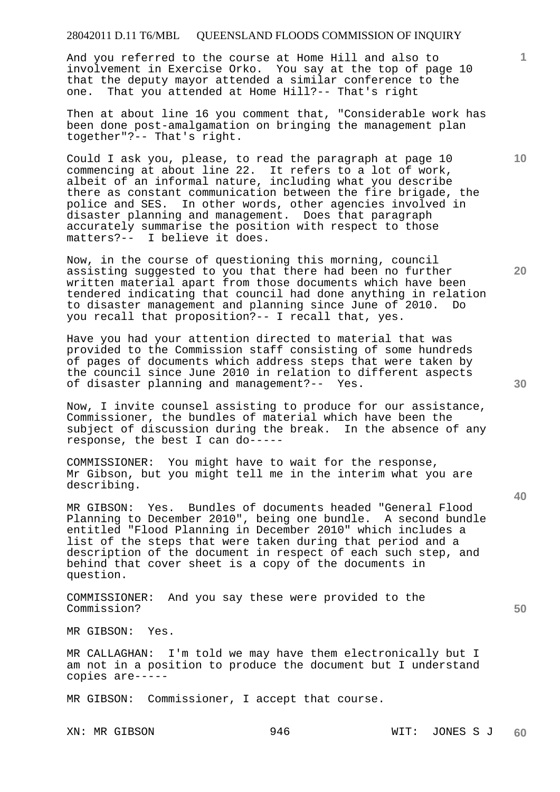And you referred to the course at Home Hill and also to involvement in Exercise Orko. You say at the top of page 10 that the deputy mayor attended a similar conference to the one. That you attended at Home Hill?-- That's right

Then at about line 16 you comment that, "Considerable work has been done post-amalgamation on bringing the management plan together"?-- That's right.

Could I ask you, please, to read the paragraph at page 10 commencing at about line 22. It refers to a lot of work, albeit of an informal nature, including what you describe there as constant communication between the fire brigade, the police and SES. In other words, other agencies involved in disaster planning and management. Does that paragraph accurately summarise the position with respect to those matters?-- I believe it does.

Now, in the course of questioning this morning, council assisting suggested to you that there had been no further written material apart from those documents which have been tendered indicating that council had done anything in relation to disaster management and planning since June of 2010. Do you recall that proposition?-- I recall that, yes.

Have you had your attention directed to material that was provided to the Commission staff consisting of some hundreds of pages of documents which address steps that were taken by the council since June 2010 in relation to different aspects of disaster planning and management?-- Yes.

Now, I invite counsel assisting to produce for our assistance, Commissioner, the bundles of material which have been the subject of discussion during the break. In the absence of any response, the best I can do-----

COMMISSIONER: You might have to wait for the response, Mr Gibson, but you might tell me in the interim what you are describing.

MR GIBSON: Yes. Bundles of documents headed "General Flood Planning to December 2010", being one bundle. A second bundle entitled "Flood Planning in December 2010" which includes a list of the steps that were taken during that period and a description of the document in respect of each such step, and behind that cover sheet is a copy of the documents in question.

COMMISSIONER: And you say these were provided to the Commission?

MR GIBSON: Yes.

MR CALLAGHAN: I'm told we may have them electronically but I am not in a position to produce the document but I understand copies are-----

MR GIBSON: Commissioner, I accept that course.

**10** 

**1**

**20** 

**40**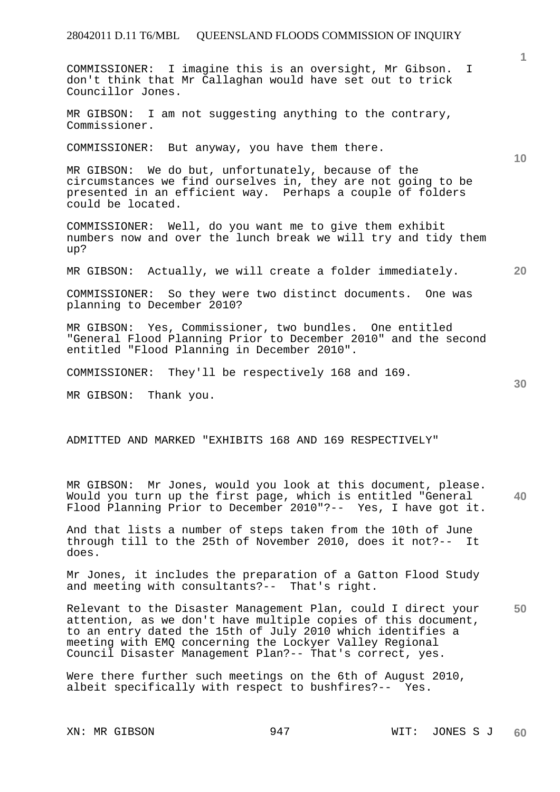COMMISSIONER: I imagine this is an oversight, Mr Gibson. I don't think that Mr Callaghan would have set out to trick Councillor Jones.

MR GIBSON: I am not suggesting anything to the contrary, Commissioner.

COMMISSIONER: But anyway, you have them there.

MR GIBSON: We do but, unfortunately, because of the circumstances we find ourselves in, they are not going to be presented in an efficient way. Perhaps a couple of folders could be located.

COMMISSIONER: Well, do you want me to give them exhibit numbers now and over the lunch break we will try and tidy them up?

MR GIBSON: Actually, we will create a folder immediately.

COMMISSIONER: So they were two distinct documents. One was planning to December 2010?

MR GIBSON: Yes, Commissioner, two bundles. One entitled "General Flood Planning Prior to December 2010" and the second entitled "Flood Planning in December 2010".

COMMISSIONER: They'll be respectively 168 and 169.

MR GIBSON: Thank you.

ADMITTED AND MARKED "EXHIBITS 168 AND 169 RESPECTIVELY"

**40**  MR GIBSON: Mr Jones, would you look at this document, please. Would you turn up the first page, which is entitled "General Flood Planning Prior to December 2010"?-- Yes, I have got it.

And that lists a number of steps taken from the 10th of June through till to the 25th of November 2010, does it not?-- It does.

Mr Jones, it includes the preparation of a Gatton Flood Study and meeting with consultants?-- That's right.

**50**  Relevant to the Disaster Management Plan, could I direct your attention, as we don't have multiple copies of this document, to an entry dated the 15th of July 2010 which identifies a meeting with EMQ concerning the Lockyer Valley Regional Council Disaster Management Plan?-- That's correct, yes.

Were there further such meetings on the 6th of August 2010, albeit specifically with respect to bushfires?-- Yes.

**10** 

**20** 

**30**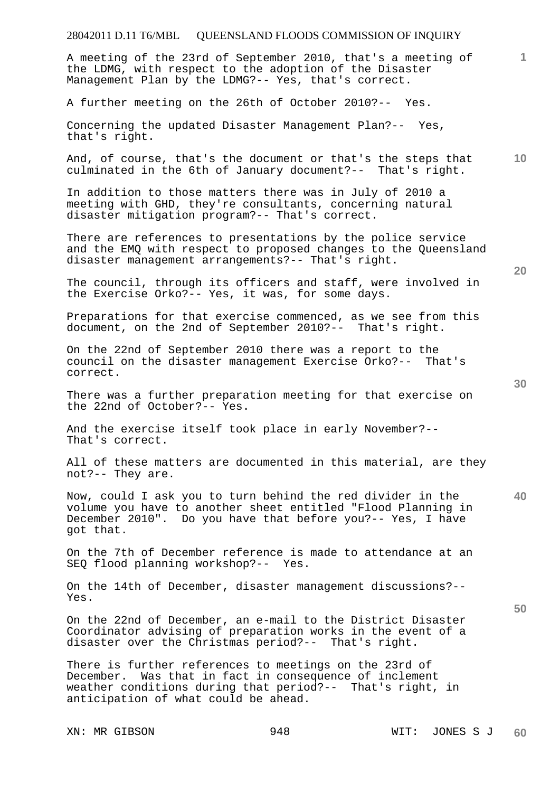# 28042011 D.11 T6/MBL QUEENSLAND FLOODS COMMISSION OF INQUIRY XN: MR GIBSON 948 WIT: JONES S J **1 10 20 30 40 50**  A meeting of the 23rd of September 2010, that's a meeting of the LDMG, with respect to the adoption of the Disaster Management Plan by the LDMG?-- Yes, that's correct. A further meeting on the 26th of October 2010?-- Yes. Concerning the updated Disaster Management Plan?-- Yes, that's right. And, of course, that's the document or that's the steps that culminated in the 6th of January document?-- That's right. In addition to those matters there was in July of 2010 a meeting with GHD, they're consultants, concerning natural disaster mitigation program?-- That's correct. There are references to presentations by the police service and the EMQ with respect to proposed changes to the Queensland disaster management arrangements?-- That's right. The council, through its officers and staff, were involved in the Exercise Orko?-- Yes, it was, for some days. Preparations for that exercise commenced, as we see from this document, on the 2nd of September 2010?-- That's right. On the 22nd of September 2010 there was a report to the council on the disaster management Exercise Orko?-- That's correct. There was a further preparation meeting for that exercise on the 22nd of October?-- Yes. And the exercise itself took place in early November?-- That's correct. All of these matters are documented in this material, are they not?-- They are. Now, could I ask you to turn behind the red divider in the volume you have to another sheet entitled "Flood Planning in December 2010". Do you have that before you?-- Yes, I have got that. On the 7th of December reference is made to attendance at an SEQ flood planning workshop?-- Yes. On the 14th of December, disaster management discussions?-- Yes. On the 22nd of December, an e-mail to the District Disaster Coordinator advising of preparation works in the event of a disaster over the Christmas period?-- That's right. There is further references to meetings on the 23rd of December. Was that in fact in consequence of inclement weather conditions during that period?-- That's right, in anticipation of what could be ahead.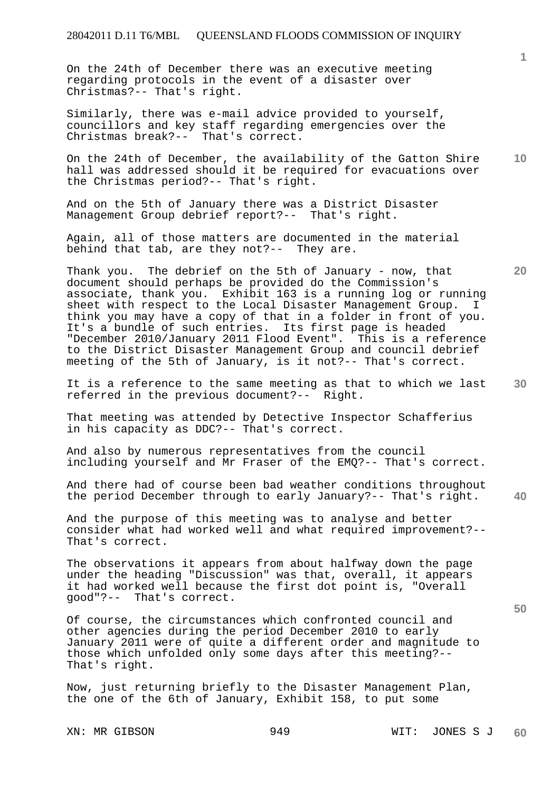On the 24th of December there was an executive meeting regarding protocols in the event of a disaster over Christmas?-- That's right.

Similarly, there was e-mail advice provided to yourself, councillors and key staff regarding emergencies over the Christmas break?-- That's correct.

**10**  On the 24th of December, the availability of the Gatton Shire hall was addressed should it be required for evacuations over the Christmas period?-- That's right.

And on the 5th of January there was a District Disaster Management Group debrief report?-- That's right.

Again, all of those matters are documented in the material behind that tab, are they not?-- They are.

Thank you. The debrief on the 5th of January - now, that document should perhaps be provided do the Commission's associate, thank you. Exhibit 163 is a running log or running sheet with respect to the Local Disaster Management Group. I think you may have a copy of that in a folder in front of you. It's a bundle of such entries. Its first page is headed "December 2010/January 2011 Flood Event". This is a reference to the District Disaster Management Group and council debrief meeting of the 5th of January, is it not?-- That's correct.

**30**  It is a reference to the same meeting as that to which we last referred in the previous document?-- Right.

That meeting was attended by Detective Inspector Schafferius in his capacity as DDC?-- That's correct.

And also by numerous representatives from the council including yourself and Mr Fraser of the EMQ?-- That's correct.

And there had of course been bad weather conditions throughout the period December through to early January?-- That's right.

And the purpose of this meeting was to analyse and better consider what had worked well and what required improvement?-- That's correct.

The observations it appears from about halfway down the page under the heading "Discussion" was that, overall, it appears it had worked well because the first dot point is, "Overall good"?-- That's correct.

Of course, the circumstances which confronted council and other agencies during the period December 2010 to early January 2011 were of quite a different order and magnitude to those which unfolded only some days after this meeting?-- That's right.

Now, just returning briefly to the Disaster Management Plan, the one of the 6th of January, Exhibit 158, to put some

**1**

**20** 

**40**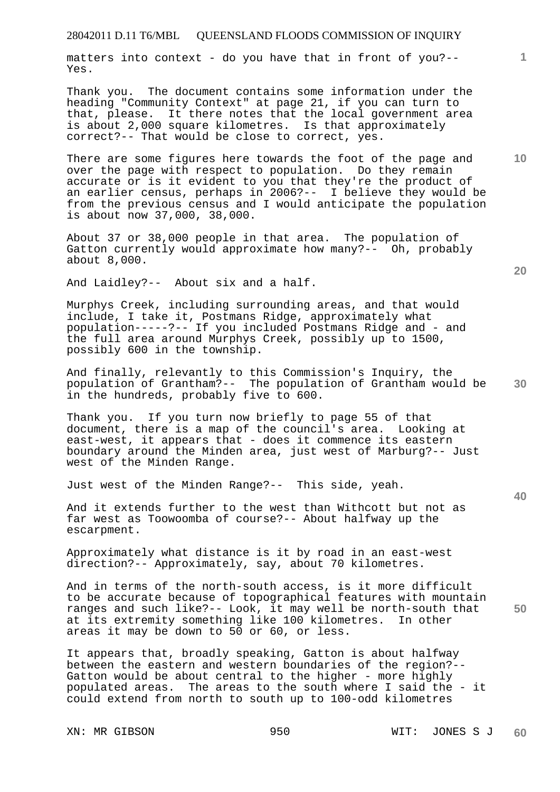matters into context - do you have that in front of you?-- Yes.

Thank you. The document contains some information under the heading "Community Context" at page 21, if you can turn to that, please. It there notes that the local government area is about 2,000 square kilometres. Is that approximately correct?-- That would be close to correct, yes.

There are some figures here towards the foot of the page and over the page with respect to population. Do they remain accurate or is it evident to you that they're the product of an earlier census, perhaps in 2006?-- I believe they would be from the previous census and I would anticipate the population is about now 37,000, 38,000.

About 37 or 38,000 people in that area. The population of Gatton currently would approximate how many?-- Oh, probably about 8,000.

And Laidley?-- About six and a half.

Murphys Creek, including surrounding areas, and that would include, I take it, Postmans Ridge, approximately what population-----?-- If you included Postmans Ridge and - and the full area around Murphys Creek, possibly up to 1500, possibly 600 in the township.

**30**  And finally, relevantly to this Commission's Inquiry, the population of Grantham?-- The population of Grantham would be in the hundreds, probably five to 600.

Thank you. If you turn now briefly to page 55 of that document, there is a map of the council's area. Looking at east-west, it appears that - does it commence its eastern boundary around the Minden area, just west of Marburg?-- Just west of the Minden Range.

Just west of the Minden Range?-- This side, yeah.

And it extends further to the west than Withcott but not as far west as Toowoomba of course?-- About halfway up the escarpment.

Approximately what distance is it by road in an east-west direction?-- Approximately, say, about 70 kilometres.

**50**  And in terms of the north-south access, is it more difficult to be accurate because of topographical features with mountain ranges and such like?-- Look, it may well be north-south that at its extremity something like 100 kilometres. In other areas it may be down to 50 or 60, or less.

It appears that, broadly speaking, Gatton is about halfway between the eastern and western boundaries of the region?-- Gatton would be about central to the higher - more highly populated areas. The areas to the south where I said the - it could extend from north to south up to 100-odd kilometres

**20** 

**40** 

**10**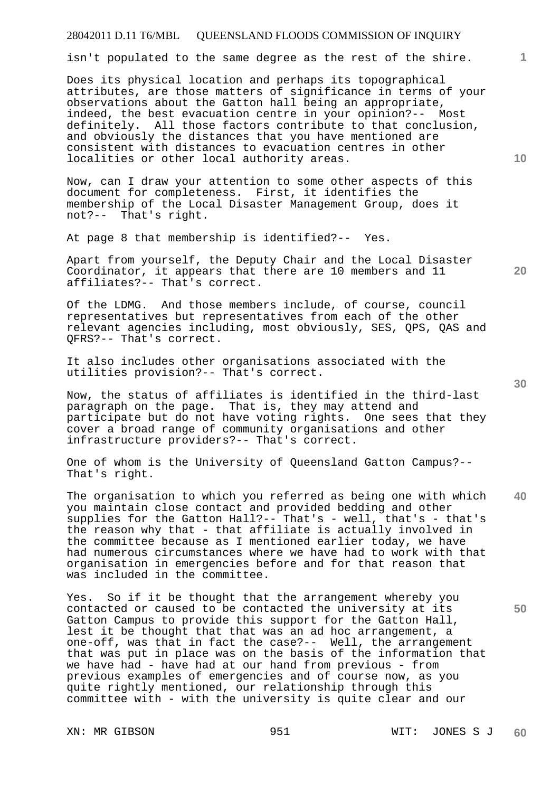isn't populated to the same degree as the rest of the shire.

Does its physical location and perhaps its topographical attributes, are those matters of significance in terms of your observations about the Gatton hall being an appropriate, indeed, the best evacuation centre in your opinion?-- Most definitely. All those factors contribute to that conclusion, and obviously the distances that you have mentioned are consistent with distances to evacuation centres in other localities or other local authority areas.

Now, can I draw your attention to some other aspects of this document for completeness. First, it identifies the membership of the Local Disaster Management Group, does it not?-- That's right.

At page 8 that membership is identified?-- Yes.

Apart from yourself, the Deputy Chair and the Local Disaster Coordinator, it appears that there are 10 members and 11 affiliates?-- That's correct.

Of the LDMG. And those members include, of course, council representatives but representatives from each of the other relevant agencies including, most obviously, SES, QPS, QAS and QFRS?-- That's correct.

It also includes other organisations associated with the utilities provision?-- That's correct.

Now, the status of affiliates is identified in the third-last paragraph on the page. That is, they may attend and participate but do not have voting rights. One sees that they cover a broad range of community organisations and other infrastructure providers?-- That's correct.

One of whom is the University of Queensland Gatton Campus?-- That's right.

**40**  The organisation to which you referred as being one with which you maintain close contact and provided bedding and other supplies for the Gatton Hall?-- That's - well, that's - that's the reason why that - that affiliate is actually involved in the committee because as I mentioned earlier today, we have had numerous circumstances where we have had to work with that organisation in emergencies before and for that reason that was included in the committee.

Yes. So if it be thought that the arrangement whereby you contacted or caused to be contacted the university at its Gatton Campus to provide this support for the Gatton Hall, lest it be thought that that was an ad hoc arrangement, a one-off, was that in fact the case?-- Well, the arrangement that was put in place was on the basis of the information that we have had - have had at our hand from previous - from previous examples of emergencies and of course now, as you quite rightly mentioned, our relationship through this committee with - with the university is quite clear and our

**20** 

**50** 

**10**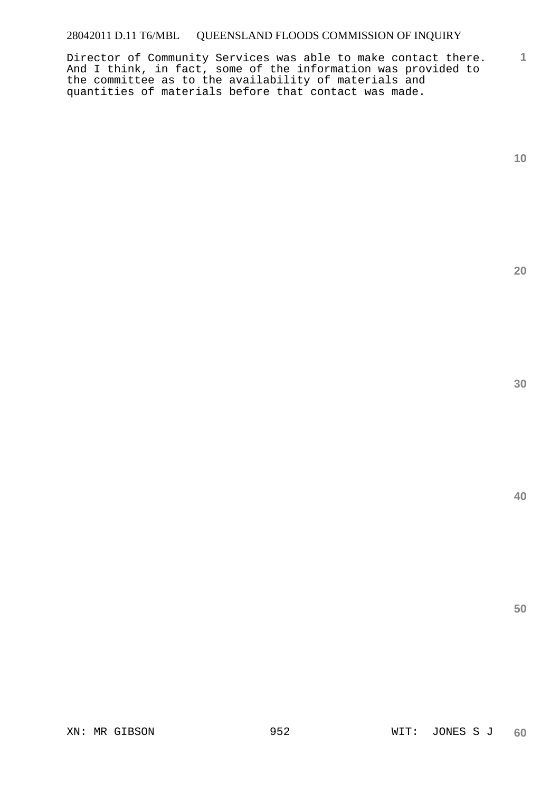**1** Director of Community Services was able to make contact there. And I think, in fact, some of the information was provided to the committee as to the availability of materials and quantities of materials before that contact was made.

**10** 

**20** 

**30**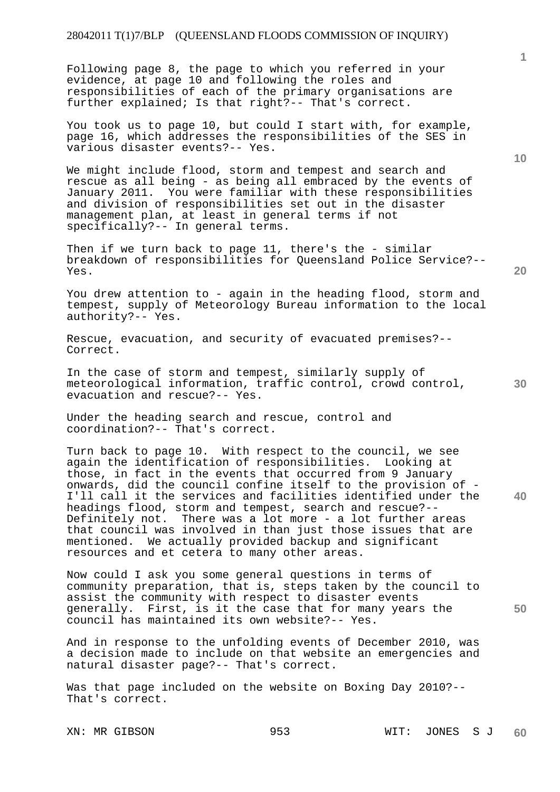Following page 8, the page to which you referred in your evidence, at page 10 and following the roles and responsibilities of each of the primary organisations are further explained; Is that right?-- That's correct.

You took us to page 10, but could I start with, for example, page 16, which addresses the responsibilities of the SES in various disaster events?-- Yes.

We might include flood, storm and tempest and search and rescue as all being - as being all embraced by the events of January 2011. You were familiar with these responsibilities and division of responsibilities set out in the disaster management plan, at least in general terms if not specifically?-- In general terms.

Then if we turn back to page 11, there's the - similar breakdown of responsibilities for Queensland Police Service?-- Yes.

You drew attention to - again in the heading flood, storm and tempest, supply of Meteorology Bureau information to the local authority?-- Yes.

Rescue, evacuation, and security of evacuated premises?-- Correct.

In the case of storm and tempest, similarly supply of meteorological information, traffic control, crowd control, evacuation and rescue?-- Yes.

Under the heading search and rescue, control and coordination?-- That's correct.

Turn back to page 10. With respect to the council, we see again the identification of responsibilities. Looking at those, in fact in the events that occurred from 9 January onwards, did the council confine itself to the provision of - I'll call it the services and facilities identified under the headings flood, storm and tempest, search and rescue?-- Definitely not. There was a lot more - a lot further areas that council was involved in than just those issues that are mentioned. We actually provided backup and significant resources and et cetera to many other areas.

Now could I ask you some general questions in terms of community preparation, that is, steps taken by the council to assist the community with respect to disaster events generally. First, is it the case that for many years the council has maintained its own website?-- Yes.

And in response to the unfolding events of December 2010, was a decision made to include on that website an emergencies and natural disaster page?-- That's correct.

Was that page included on the website on Boxing Day 2010?-- That's correct.

**1**

**20** 

**30** 

**40**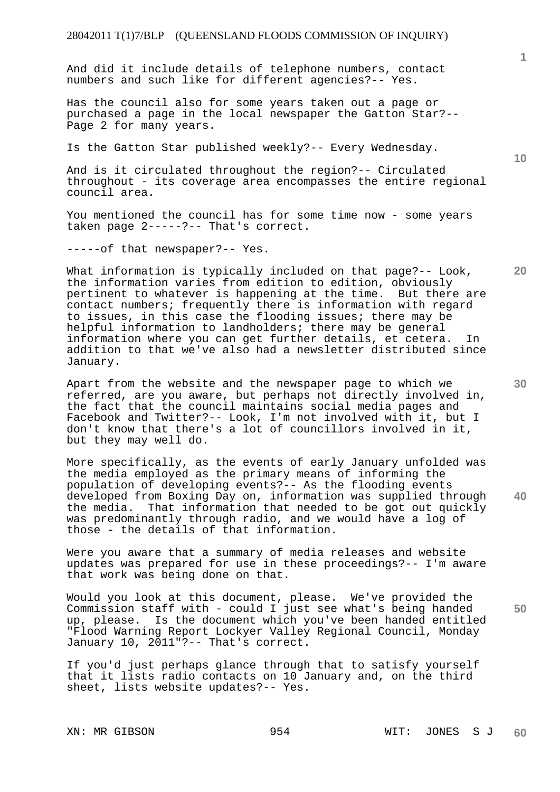And did it include details of telephone numbers, contact numbers and such like for different agencies?-- Yes.

Has the council also for some years taken out a page or purchased a page in the local newspaper the Gatton Star?-- Page 2 for many years.

Is the Gatton Star published weekly?-- Every Wednesday.

And is it circulated throughout the region?-- Circulated throughout - its coverage area encompasses the entire regional council area.

You mentioned the council has for some time now - some years taken page 2-----?-- That's correct.

-----of that newspaper?-- Yes.

What information is typically included on that page?-- Look, the information varies from edition to edition, obviously pertinent to whatever is happening at the time. But there are contact numbers; frequently there is information with regard to issues, in this case the flooding issues; there may be helpful information to landholders; there may be general information where you can get further details, et cetera. In addition to that we've also had a newsletter distributed since January.

Apart from the website and the newspaper page to which we referred, are you aware, but perhaps not directly involved in, the fact that the council maintains social media pages and Facebook and Twitter?-- Look, I'm not involved with it, but I don't know that there's a lot of councillors involved in it, but they may well do.

**40**  More specifically, as the events of early January unfolded was the media employed as the primary means of informing the population of developing events?-- As the flooding events developed from Boxing Day on, information was supplied through the media. That information that needed to be got out quickly was predominantly through radio, and we would have a log of those - the details of that information.

Were you aware that a summary of media releases and website updates was prepared for use in these proceedings?-- I'm aware that work was being done on that.

Would you look at this document, please. We've provided the Commission staff with - could I just see what's being handed up, please. Is the document which you've been handed entitled "Flood Warning Report Lockyer Valley Regional Council, Monday January 10, 2011"?-- That's correct.

If you'd just perhaps glance through that to satisfy yourself that it lists radio contacts on 10 January and, on the third sheet, lists website updates?-- Yes.

**1**

**30** 

**20** 

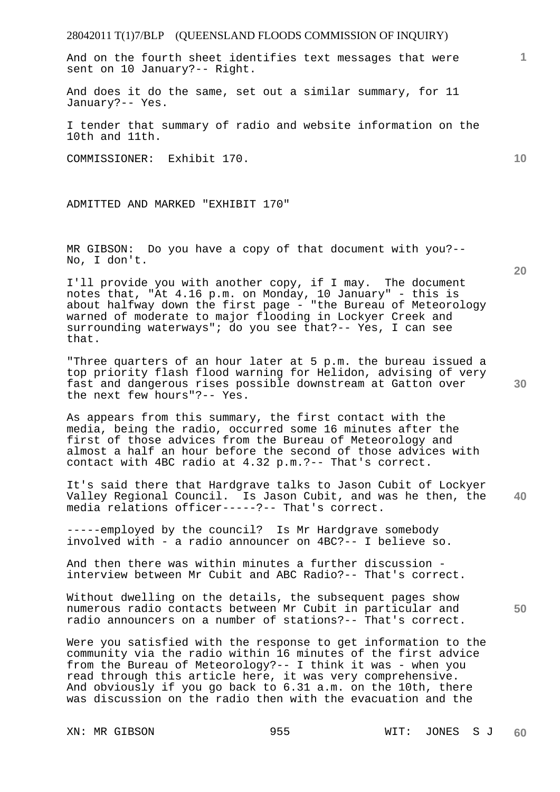And on the fourth sheet identifies text messages that were sent on 10 January?-- Right.

And does it do the same, set out a similar summary, for 11 January?-- Yes.

I tender that summary of radio and website information on the 10th and 11th.

COMMISSIONER: Exhibit 170.

ADMITTED AND MARKED "EXHIBIT 170"

MR GIBSON: Do you have a copy of that document with you?-- No, I don't.

I'll provide you with another copy, if I may. The document notes that, "At 4.16 p.m. on Monday, 10 January" - this is about halfway down the first page - "the Bureau of Meteorology warned of moderate to major flooding in Lockyer Creek and surrounding waterways"; do you see that?-- Yes, I can see that.

"Three quarters of an hour later at 5 p.m. the bureau issued a top priority flash flood warning for Helidon, advising of very fast and dangerous rises possible downstream at Gatton over the next few hours"?-- Yes.

As appears from this summary, the first contact with the media, being the radio, occurred some 16 minutes after the first of those advices from the Bureau of Meteorology and almost a half an hour before the second of those advices with contact with 4BC radio at 4.32 p.m.?-- That's correct.

**40**  It's said there that Hardgrave talks to Jason Cubit of Lockyer Valley Regional Council. Is Jason Cubit, and was he then, the media relations officer-----?-- That's correct.

-----employed by the council? Is Mr Hardgrave somebody involved with - a radio announcer on 4BC?-- I believe so.

And then there was within minutes a further discussion interview between Mr Cubit and ABC Radio?-- That's correct.

Without dwelling on the details, the subsequent pages show numerous radio contacts between Mr Cubit in particular and radio announcers on a number of stations?-- That's correct.

Were you satisfied with the response to get information to the community via the radio within 16 minutes of the first advice from the Bureau of Meteorology?-- I think it was - when you read through this article here, it was very comprehensive. And obviously if you go back to 6.31 a.m. on the 10th, there was discussion on the radio then with the evacuation and the

**20** 

**50** 

**30** 

**10**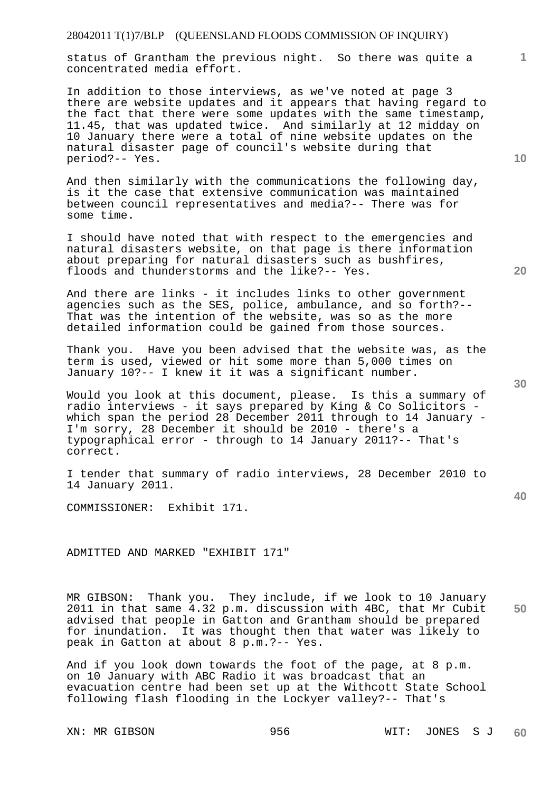status of Grantham the previous night. So there was quite a concentrated media effort.

In addition to those interviews, as we've noted at page 3 there are website updates and it appears that having regard to the fact that there were some updates with the same timestamp, 11.45, that was updated twice. And similarly at 12 midday on 10 January there were a total of nine website updates on the natural disaster page of council's website during that period?-- Yes.

And then similarly with the communications the following day, is it the case that extensive communication was maintained between council representatives and media?-- There was for some time.

I should have noted that with respect to the emergencies and natural disasters website, on that page is there information about preparing for natural disasters such as bushfires, floods and thunderstorms and the like?-- Yes.

And there are links - it includes links to other government agencies such as the SES, police, ambulance, and so forth?-- That was the intention of the website, was so as the more detailed information could be gained from those sources.

Thank you. Have you been advised that the website was, as the term is used, viewed or hit some more than 5,000 times on January 10?-- I knew it it was a significant number.

Would you look at this document, please. Is this a summary of radio interviews - it says prepared by King & Co Solicitors which span the period 28 December 2011 through to 14 January - I'm sorry, 28 December it should be 2010 - there's a typographical error - through to 14 January 2011?-- That's correct.

I tender that summary of radio interviews, 28 December 2010 to 14 January 2011.

COMMISSIONER: Exhibit 171.

ADMITTED AND MARKED "EXHIBIT 171"

**50**  MR GIBSON: Thank you. They include, if we look to 10 January 2011 in that same 4.32 p.m. discussion with 4BC, that Mr Cubit advised that people in Gatton and Grantham should be prepared for inundation. It was thought then that water was likely to peak in Gatton at about 8 p.m.?-- Yes.

And if you look down towards the foot of the page, at 8 p.m. on 10 January with ABC Radio it was broadcast that an evacuation centre had been set up at the Withcott State School following flash flooding in the Lockyer valley?-- That's

**10** 

**20** 

**1**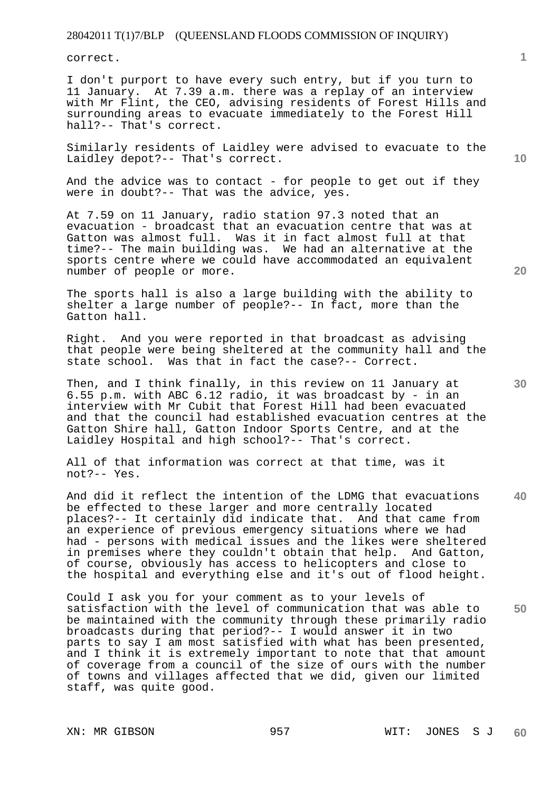correct.

I don't purport to have every such entry, but if you turn to 11 January. At 7.39 a.m. there was a replay of an interview with Mr Flint, the CEO, advising residents of Forest Hills and surrounding areas to evacuate immediately to the Forest Hill hall?-- That's correct.

Similarly residents of Laidley were advised to evacuate to the Laidley depot?-- That's correct.

And the advice was to contact - for people to get out if they were in doubt?-- That was the advice, yes.

At 7.59 on 11 January, radio station 97.3 noted that an evacuation - broadcast that an evacuation centre that was at Gatton was almost full. Was it in fact almost full at that time?-- The main building was. We had an alternative at the sports centre where we could have accommodated an equivalent number of people or more.

The sports hall is also a large building with the ability to shelter a large number of people?-- In fact, more than the Gatton hall.

Right. And you were reported in that broadcast as advising that people were being sheltered at the community hall and the state school. Was that in fact the case?-- Correct.

Then, and I think finally, in this review on 11 January at 6.55 p.m. with ABC 6.12 radio, it was broadcast by - in an interview with Mr Cubit that Forest Hill had been evacuated and that the council had established evacuation centres at the Gatton Shire hall, Gatton Indoor Sports Centre, and at the Laidley Hospital and high school?-- That's correct.

All of that information was correct at that time, was it not?-- Yes.

And did it reflect the intention of the LDMG that evacuations be effected to these larger and more centrally located places?-- It certainly did indicate that. And that came from an experience of previous emergency situations where we had had - persons with medical issues and the likes were sheltered in premises where they couldn't obtain that help. And Gatton, of course, obviously has access to helicopters and close to the hospital and everything else and it's out of flood height.

**50**  Could I ask you for your comment as to your levels of satisfaction with the level of communication that was able to be maintained with the community through these primarily radio broadcasts during that period?-- I would answer it in two parts to say I am most satisfied with what has been presented, and I think it is extremely important to note that that amount of coverage from a council of the size of ours with the number of towns and villages affected that we did, given our limited staff, was quite good.

XN: MR GIBSON 957 9957 WIT: JONES SJ **60** 

**10** 

**20** 

**40**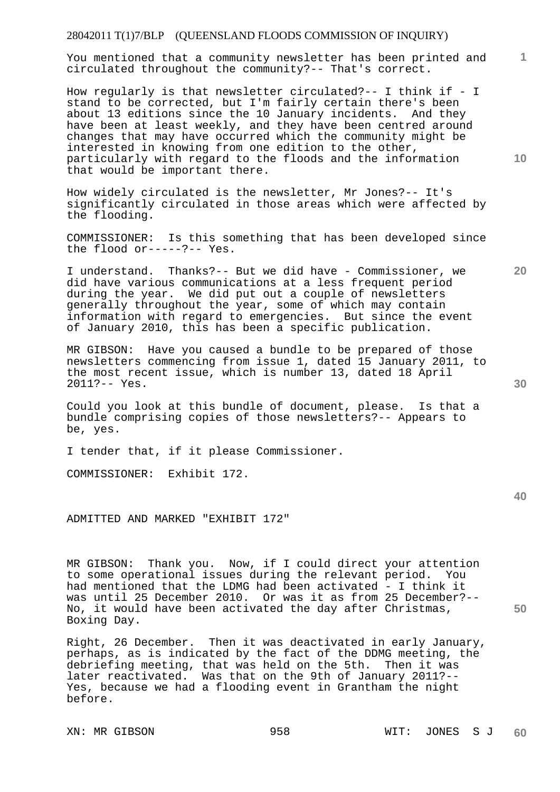You mentioned that a community newsletter has been printed and circulated throughout the community?-- That's correct.

How regularly is that newsletter circulated?-- I think if - I stand to be corrected, but I'm fairly certain there's been about 13 editions since the 10 January incidents. And they have been at least weekly, and they have been centred around changes that may have occurred which the community might be interested in knowing from one edition to the other, particularly with regard to the floods and the information that would be important there.

How widely circulated is the newsletter, Mr Jones?-- It's significantly circulated in those areas which were affected by the flooding.

COMMISSIONER: Is this something that has been developed since the flood or-----?-- Yes.

I understand. Thanks?-- But we did have - Commissioner, we did have various communications at a less frequent period during the year. We did put out a couple of newsletters generally throughout the year, some of which may contain information with regard to emergencies. But since the event of January 2010, this has been a specific publication.

MR GIBSON: Have you caused a bundle to be prepared of those newsletters commencing from issue 1, dated 15 January 2011, to the most recent issue, which is number 13, dated 18 April 2011?-- Yes.

Could you look at this bundle of document, please. Is that a bundle comprising copies of those newsletters?-- Appears to be, yes.

I tender that, if it please Commissioner.

COMMISSIONER: Exhibit 172.

ADMITTED AND MARKED "EXHIBIT 172"

MR GIBSON: Thank you. Now, if I could direct your attention to some operational issues during the relevant period. You had mentioned that the LDMG had been activated - I think it was until 25 December 2010. Or was it as from 25 December?-- No, it would have been activated the day after Christmas, Boxing Day.

Right, 26 December. Then it was deactivated in early January, perhaps, as is indicated by the fact of the DDMG meeting, the debriefing meeting, that was held on the 5th. Then it was later reactivated. Was that on the 9th of January 2011?-- Yes, because we had a flooding event in Grantham the night before.

**30** 

**50** 

**1**

**20**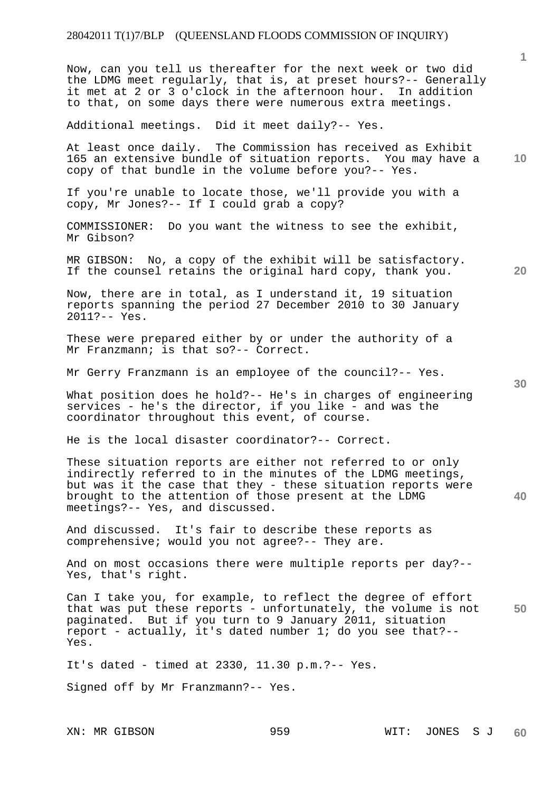Now, can you tell us thereafter for the next week or two did the LDMG meet regularly, that is, at preset hours?-- Generally it met at 2 or 3 o'clock in the afternoon hour. In addition to that, on some days there were numerous extra meetings.

Additional meetings. Did it meet daily?-- Yes.

At least once daily. The Commission has received as Exhibit 165 an extensive bundle of situation reports. You may have a copy of that bundle in the volume before you?-- Yes.

If you're unable to locate those, we'll provide you with a copy, Mr Jones?-- If I could grab a copy?

COMMISSIONER: Do you want the witness to see the exhibit, Mr Gibson?

MR GIBSON: No, a copy of the exhibit will be satisfactory. If the counsel retains the original hard copy, thank you.

Now, there are in total, as I understand it, 19 situation reports spanning the period 27 December 2010 to 30 January 2011?-- Yes.

These were prepared either by or under the authority of a Mr Franzmann; is that so?-- Correct.

Mr Gerry Franzmann is an employee of the council?-- Yes.

What position does he hold?-- He's in charges of engineering services - he's the director, if you like - and was the coordinator throughout this event, of course.

He is the local disaster coordinator?-- Correct.

These situation reports are either not referred to or only indirectly referred to in the minutes of the LDMG meetings, but was it the case that they - these situation reports were brought to the attention of those present at the LDMG meetings?-- Yes, and discussed.

And discussed. It's fair to describe these reports as comprehensive; would you not agree?-- They are.

And on most occasions there were multiple reports per day?-- Yes, that's right.

**50**  Can I take you, for example, to reflect the degree of effort that was put these reports - unfortunately, the volume is not paginated. But if you turn to 9 January 2011, situation report - actually, it's dated number 1; do you see that?-- Yes.

It's dated - timed at 2330, 11.30 p.m.?-- Yes.

Signed off by Mr Franzmann?-- Yes.

**20** 

**1**

**10**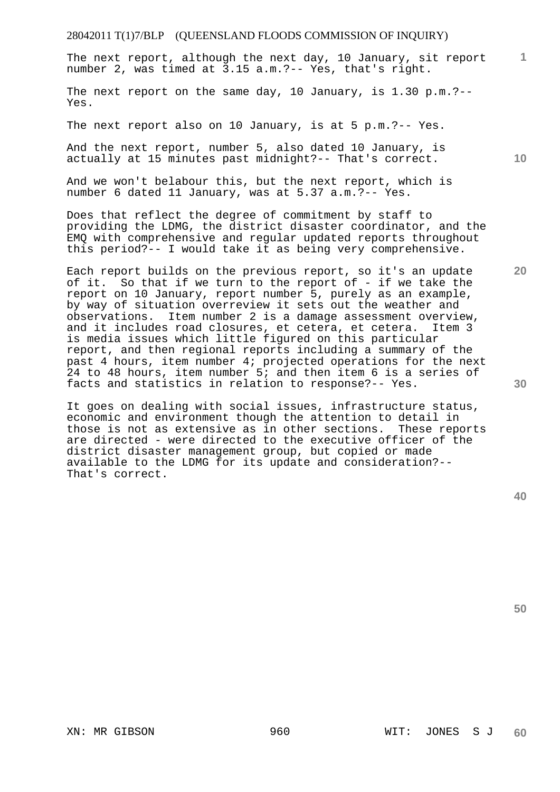**1** The next report, although the next day, 10 January, sit report number 2, was timed at 3.15 a.m.?-- Yes, that's right.

The next report on the same day, 10 January, is 1.30 p.m.?-- Yes.

The next report also on 10 January, is at 5 p.m.?-- Yes.

And the next report, number 5, also dated 10 January, is actually at 15 minutes past midnight?-- That's correct.

And we won't belabour this, but the next report, which is number 6 dated 11 January, was at 5.37 a.m.?-- Yes.

Does that reflect the degree of commitment by staff to providing the LDMG, the district disaster coordinator, and the EMQ with comprehensive and regular updated reports throughout this period?-- I would take it as being very comprehensive.

Each report builds on the previous report, so it's an update of it. So that if we turn to the report of - if we take the report on 10 January, report number 5, purely as an example, by way of situation overreview it sets out the weather and observations. Item number 2 is a damage assessment overview, and it includes road closures, et cetera, et cetera. is media issues which little figured on this particular report, and then regional reports including a summary of the past 4 hours, item number 4; projected operations for the next 24 to 48 hours, item number 5; and then item 6 is a series of facts and statistics in relation to response?-- Yes.

It goes on dealing with social issues, infrastructure status, economic and environment though the attention to detail in those is not as extensive as in other sections. These reports are directed - were directed to the executive officer of the district disaster management group, but copied or made available to the LDMG for its update and consideration?-- That's correct.

**50** 

**30** 

**10**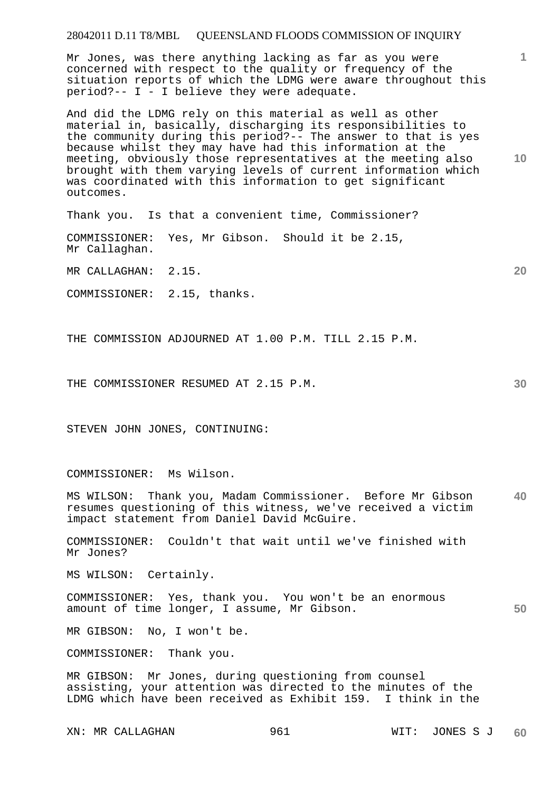Mr Jones, was there anything lacking as far as you were concerned with respect to the quality or frequency of the situation reports of which the LDMG were aware throughout this period?-- I - I believe they were adequate.

**10**  And did the LDMG rely on this material as well as other material in, basically, discharging its responsibilities to the community during this period?-- The answer to that is yes because whilst they may have had this information at the meeting, obviously those representatives at the meeting also brought with them varying levels of current information which was coordinated with this information to get significant outcomes.

Thank you. Is that a convenient time, Commissioner?

COMMISSIONER: Yes, Mr Gibson. Should it be 2.15, Mr Callaghan.

MR CALLAGHAN: 2.15.

COMMISSIONER: 2.15, thanks.

THE COMMISSION ADJOURNED AT 1.00 P.M. TILL 2.15 P.M.

THE COMMISSIONER RESUMED AT 2.15 P.M.

STEVEN JOHN JONES, CONTINUING:

COMMISSIONER: Ms Wilson.

**40**  MS WILSON: Thank you, Madam Commissioner. Before Mr Gibson resumes questioning of this witness, we've received a victim impact statement from Daniel David McGuire.

COMMISSIONER: Couldn't that wait until we've finished with Mr Jones?

MS WILSON: Certainly.

**50**  COMMISSIONER: Yes, thank you. You won't be an enormous amount of time longer, I assume, Mr Gibson.

MR GIBSON: No, I won't be.

COMMISSIONER: Thank you.

MR GIBSON: Mr Jones, during questioning from counsel assisting, your attention was directed to the minutes of the LDMG which have been received as Exhibit 159. I think in the

**20** 

**1**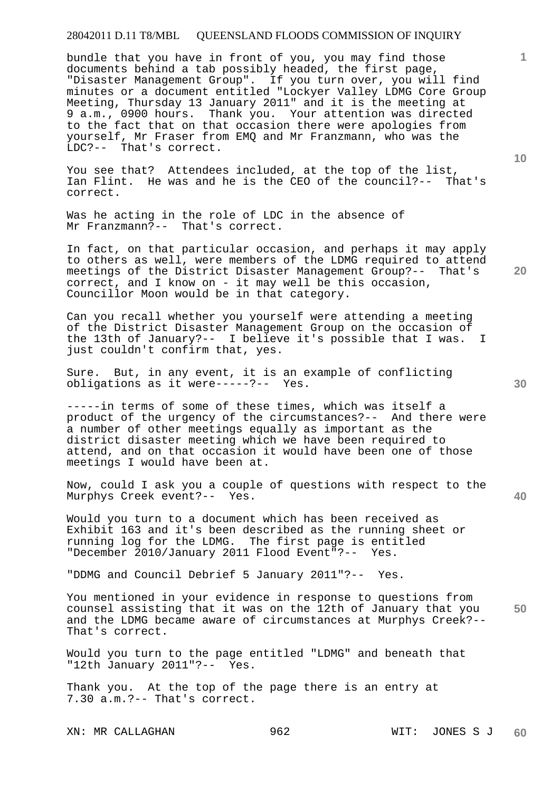bundle that you have in front of you, you may find those documents behind a tab possibly headed, the first page, "Disaster Management Group". If you turn over, you will find minutes or a document entitled "Lockyer Valley LDMG Core Group Meeting, Thursday 13 January 2011" and it is the meeting at 9 a.m., 0900 hours. Thank you. Your attention was directed to the fact that on that occasion there were apologies from yourself, Mr Fraser from EMQ and Mr Franzmann, who was the LDC?-- That's correct.

You see that? Attendees included, at the top of the list, Ian Flint. He was and he is the CEO of the council?-- That's correct.

Was he acting in the role of LDC in the absence of Mr Franzmann?-- That's correct.

In fact, on that particular occasion, and perhaps it may apply to others as well, were members of the LDMG required to attend meetings of the District Disaster Management Group?-- That's correct, and I know on - it may well be this occasion, Councillor Moon would be in that category.

Can you recall whether you yourself were attending a meeting of the District Disaster Management Group on the occasion of the 13th of January?-- I believe it's possible that I was. I just couldn't confirm that, yes.

Sure. But, in any event, it is an example of conflicting obligations as it were-----?-- Yes.

-----in terms of some of these times, which was itself a product of the urgency of the circumstances?-- And there were a number of other meetings equally as important as the district disaster meeting which we have been required to attend, and on that occasion it would have been one of those meetings I would have been at.

Now, could I ask you a couple of questions with respect to the Murphys Creek event?-- Yes.

Would you turn to a document which has been received as Exhibit 163 and it's been described as the running sheet or running log for the LDMG. The first page is entitled "December 2010/January 2011 Flood Event"?-- Yes.

"DDMG and Council Debrief 5 January 2011"?-- Yes.

**50**  You mentioned in your evidence in response to questions from counsel assisting that it was on the 12th of January that you and the LDMG became aware of circumstances at Murphys Creek?-- That's correct.

Would you turn to the page entitled "LDMG" and beneath that "12th January 2011"?-- Yes.

Thank you. At the top of the page there is an entry at 7.30 a.m.?-- That's correct.

**10** 

**1**

**40**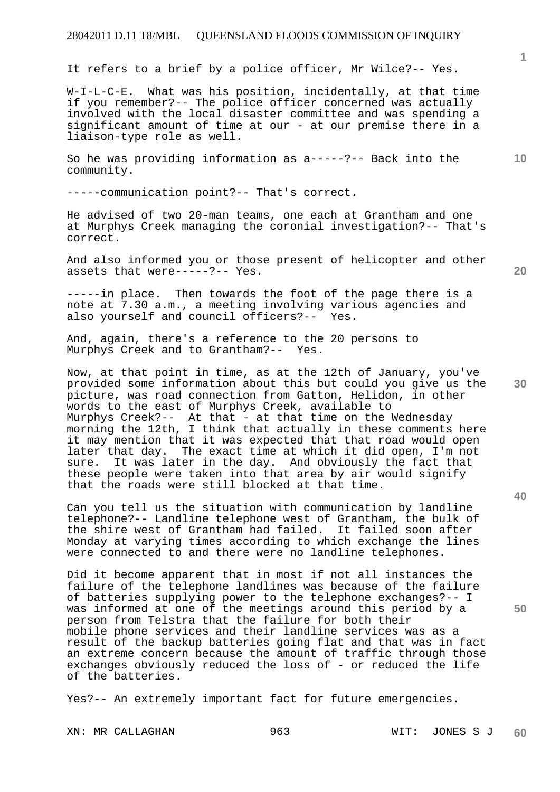It refers to a brief by a police officer, Mr Wilce?-- Yes.

W-I-L-C-E. What was his position, incidentally, at that time if you remember?-- The police officer concerned was actually involved with the local disaster committee and was spending a significant amount of time at our - at our premise there in a liaison-type role as well.

So he was providing information as a-----?-- Back into the community.

-----communication point?-- That's correct.

He advised of two 20-man teams, one each at Grantham and one at Murphys Creek managing the coronial investigation?-- That's correct.

And also informed you or those present of helicopter and other assets that were-----?-- Yes.

**1**

**10** 

**20** 

**30** 

**40** 

**50** 

-----in place. Then towards the foot of the page there is a note at 7.30 a.m., a meeting involving various agencies and also yourself and council officers?-- Yes.

And, again, there's a reference to the 20 persons to Murphys Creek and to Grantham?-- Yes.

Now, at that point in time, as at the 12th of January, you've provided some information about this but could you give us the picture, was road connection from Gatton, Helidon, in other words to the east of Murphys Creek, available to Murphys Creek?-- At that - at that time on the Wednesday morning the 12th, I think that actually in these comments here it may mention that it was expected that that road would open later that day. The exact time at which it did open, I'm not sure. It was later in the day. And obviously the fact that these people were taken into that area by air would signify that the roads were still blocked at that time.

Can you tell us the situation with communication by landline telephone?-- Landline telephone west of Grantham, the bulk of the shire west of Grantham had failed. It failed soon after Monday at varying times according to which exchange the lines were connected to and there were no landline telephones.

Did it become apparent that in most if not all instances the failure of the telephone landlines was because of the failure of batteries supplying power to the telephone exchanges?-- I was informed at one of the meetings around this period by a person from Telstra that the failure for both their mobile phone services and their landline services was as a result of the backup batteries going flat and that was in fact an extreme concern because the amount of traffic through those exchanges obviously reduced the loss of - or reduced the life of the batteries.

Yes?-- An extremely important fact for future emergencies.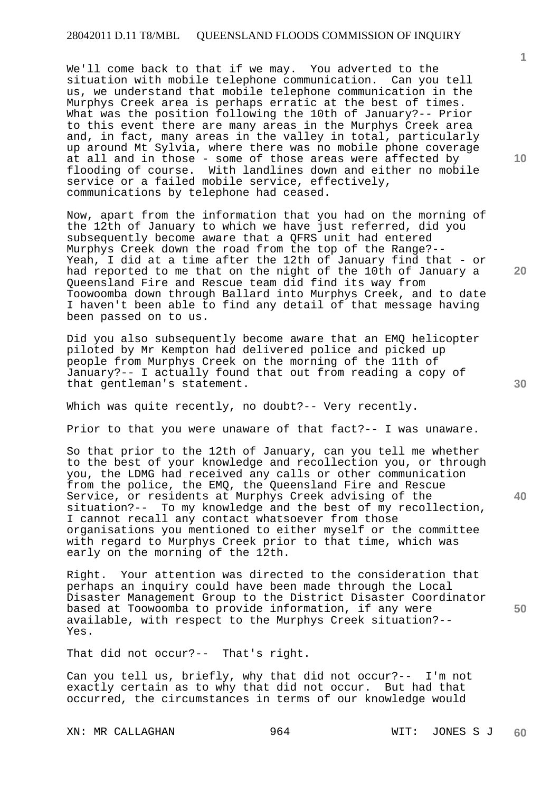We'll come back to that if we may. You adverted to the situation with mobile telephone communication. Can you tell us, we understand that mobile telephone communication in the Murphys Creek area is perhaps erratic at the best of times. What was the position following the 10th of January?-- Prior to this event there are many areas in the Murphys Creek area and, in fact, many areas in the valley in total, particularly up around Mt Sylvia, where there was no mobile phone coverage at all and in those - some of those areas were affected by flooding of course. With landlines down and either no mobile service or a failed mobile service, effectively, communications by telephone had ceased.

Now, apart from the information that you had on the morning of the 12th of January to which we have just referred, did you subsequently become aware that a QFRS unit had entered Murphys Creek down the road from the top of the Range?-- Yeah, I did at a time after the 12th of January find that - or had reported to me that on the night of the 10th of January a Queensland Fire and Rescue team did find its way from Toowoomba down through Ballard into Murphys Creek, and to date I haven't been able to find any detail of that message having been passed on to us.

Did you also subsequently become aware that an EMQ helicopter piloted by Mr Kempton had delivered police and picked up people from Murphys Creek on the morning of the 11th of January?-- I actually found that out from reading a copy of that gentleman's statement.

Which was quite recently, no doubt?-- Very recently.

Prior to that you were unaware of that fact?-- I was unaware.

So that prior to the 12th of January, can you tell me whether to the best of your knowledge and recollection you, or through you, the LDMG had received any calls or other communication from the police, the EMQ, the Queensland Fire and Rescue Service, or residents at Murphys Creek advising of the situation?-- To my knowledge and the best of my recollection, I cannot recall any contact whatsoever from those organisations you mentioned to either myself or the committee with regard to Murphys Creek prior to that time, which was early on the morning of the 12th.

Right. Your attention was directed to the consideration that perhaps an inquiry could have been made through the Local Disaster Management Group to the District Disaster Coordinator based at Toowoomba to provide information, if any were available, with respect to the Murphys Creek situation?-- Yes.

That did not occur?-- That's right.

Can you tell us, briefly, why that did not occur?-- I'm not exactly certain as to why that did not occur. But had that occurred, the circumstances in terms of our knowledge would

XN: MR CALLAGHAN 964 WIT: JONES S J

**10** 

**1**

**30** 

**20** 

**40**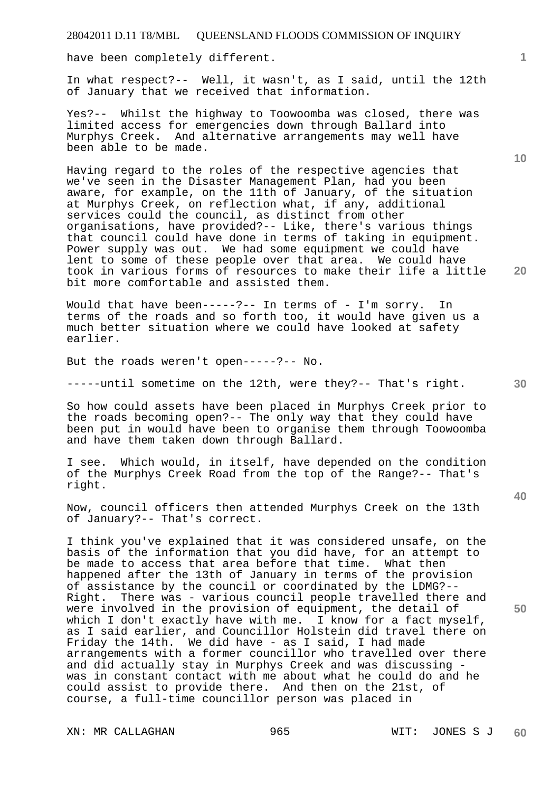have been completely different.

In what respect?-- Well, it wasn't, as I said, until the 12th of January that we received that information.

Yes?-- Whilst the highway to Toowoomba was closed, there was limited access for emergencies down through Ballard into Murphys Creek. And alternative arrangements may well have been able to be made.

Having regard to the roles of the respective agencies that we've seen in the Disaster Management Plan, had you been aware, for example, on the 11th of January, of the situation at Murphys Creek, on reflection what, if any, additional services could the council, as distinct from other organisations, have provided?-- Like, there's various things that council could have done in terms of taking in equipment. Power supply was out. We had some equipment we could have lent to some of these people over that area. We could have took in various forms of resources to make their life a little bit more comfortable and assisted them.

Would that have been-----?-- In terms of - I'm sorry. In terms of the roads and so forth too, it would have given us a much better situation where we could have looked at safety earlier.

But the roads weren't open-----?-- No.

-----until sometime on the 12th, were they?-- That's right.

So how could assets have been placed in Murphys Creek prior to the roads becoming open?-- The only way that they could have been put in would have been to organise them through Toowoomba and have them taken down through Ballard.

I see. Which would, in itself, have depended on the condition of the Murphys Creek Road from the top of the Range?-- That's right.

Now, council officers then attended Murphys Creek on the 13th of January?-- That's correct.

I think you've explained that it was considered unsafe, on the basis of the information that you did have, for an attempt to be made to access that area before that time. What then happened after the 13th of January in terms of the provision of assistance by the council or coordinated by the LDMG?-- Right. There was - various council people travelled there and were involved in the provision of equipment, the detail of which I don't exactly have with me. I know for a fact myself, as I said earlier, and Councillor Holstein did travel there on Friday the 14th. We did have - as I said, I had made arrangements with a former councillor who travelled over there and did actually stay in Murphys Creek and was discussing was in constant contact with me about what he could do and he could assist to provide there. And then on the 21st, of course, a full-time councillor person was placed in

**10** 

**1**

**20** 

**40**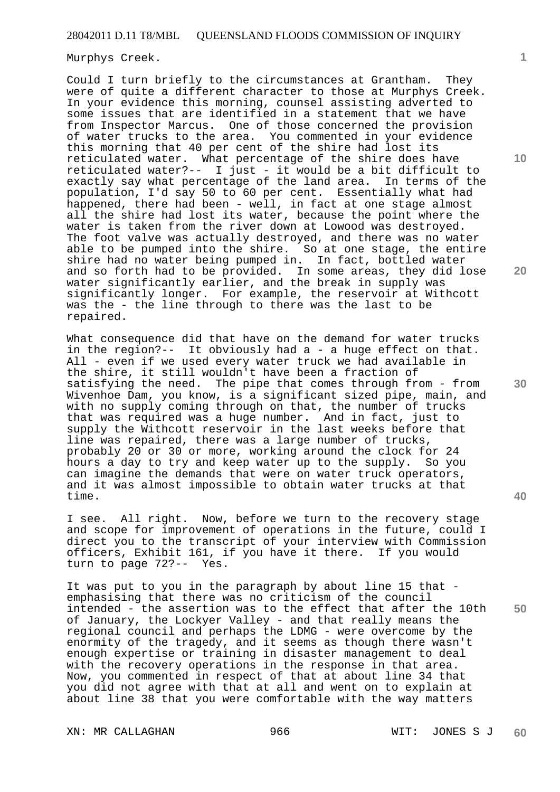Murphys Creek.

Could I turn briefly to the circumstances at Grantham. They were of quite a different character to those at Murphys Creek. In your evidence this morning, counsel assisting adverted to some issues that are identified in a statement that we have from Inspector Marcus. One of those concerned the provision of water trucks to the area. You commented in your evidence this morning that 40 per cent of the shire had lost its reticulated water. What percentage of the shire does have reticulated water?-- I just - it would be a bit difficult to exactly say what percentage of the land area. In terms of the population, I'd say 50 to 60 per cent. Essentially what had happened, there had been - well, in fact at one stage almost all the shire had lost its water, because the point where the water is taken from the river down at Lowood was destroyed. The foot valve was actually destroyed, and there was no water able to be pumped into the shire. So at one stage, the entire shire had no water being pumped in. In fact, bottled water and so forth had to be provided. In some areas, they did lose water significantly earlier, and the break in supply was significantly longer. For example, the reservoir at Withcott was the - the line through to there was the last to be repaired.

What consequence did that have on the demand for water trucks in the region?-- It obviously had a - a huge effect on that. All - even if we used every water truck we had available in the shire, it still wouldn't have been a fraction of satisfying the need. The pipe that comes through from - from Wivenhoe Dam, you know, is a significant sized pipe, main, and with no supply coming through on that, the number of trucks that was required was a huge number. And in fact, just to supply the Withcott reservoir in the last weeks before that line was repaired, there was a large number of trucks, probably 20 or 30 or more, working around the clock for 24 hours a day to try and keep water up to the supply. So you can imagine the demands that were on water truck operators, and it was almost impossible to obtain water trucks at that time.

I see. All right. Now, before we turn to the recovery stage and scope for improvement of operations in the future, could I direct you to the transcript of your interview with Commission officers, Exhibit 161, if you have it there. If you would turn to page 72?-- Yes.

It was put to you in the paragraph by about line 15 that emphasising that there was no criticism of the council intended - the assertion was to the effect that after the 10th of January, the Lockyer Valley - and that really means the regional council and perhaps the LDMG - were overcome by the enormity of the tragedy, and it seems as though there wasn't enough expertise or training in disaster management to deal with the recovery operations in the response in that area. Now, you commented in respect of that at about line 34 that you did not agree with that at all and went on to explain at about line 38 that you were comfortable with the way matters

**10** 

**1**

**20** 

**30** 

**40**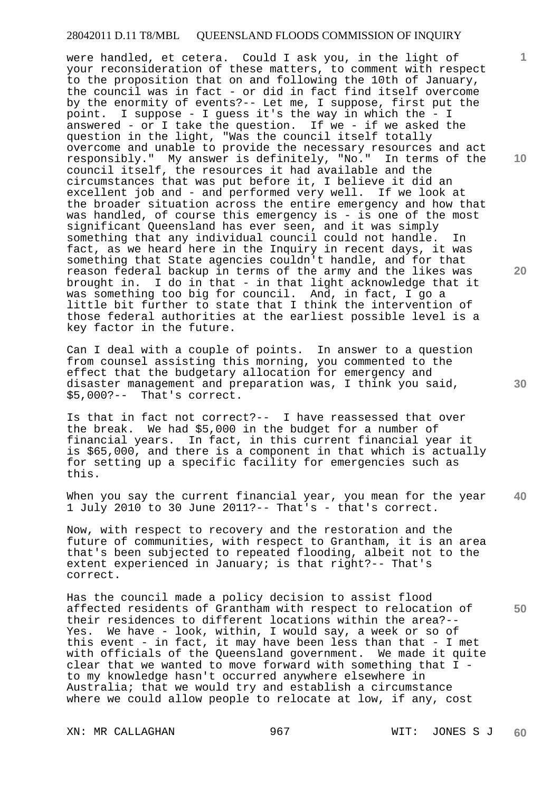were handled, et cetera. Could I ask you, in the light of your reconsideration of these matters, to comment with respect to the proposition that on and following the 10th of January, the council was in fact - or did in fact find itself overcome by the enormity of events?-- Let me, I suppose, first put the point. I suppose - I guess it's the way in which the - I answered - or I take the question. If we - if we asked the question in the light, "Was the council itself totally overcome and unable to provide the necessary resources and act responsibly." My answer is definitely, "No." In terms of the council itself, the resources it had available and the circumstances that was put before it, I believe it did an excellent job and - and performed very well. If we look at the broader situation across the entire emergency and how that was handled, of course this emergency is - is one of the most significant Queensland has ever seen, and it was simply something that any individual council could not handle. In fact, as we heard here in the Inquiry in recent days, it was something that State agencies couldn't handle, and for that reason federal backup in terms of the army and the likes was brought in. I do in that - in that light acknowledge that it was something too big for council. And, in fact, I go a little bit further to state that I think the intervention of those federal authorities at the earliest possible level is a key factor in the future.

Can I deal with a couple of points. In answer to a question from counsel assisting this morning, you commented to the effect that the budgetary allocation for emergency and disaster management and preparation was, I think you said, \$5,000?-- That's correct.

Is that in fact not correct?-- I have reassessed that over the break. We had \$5,000 in the budget for a number of financial years. In fact, in this current financial year it is \$65,000, and there is a component in that which is actually for setting up a specific facility for emergencies such as this.

**40**  When you say the current financial year, you mean for the year 1 July 2010 to 30 June 2011?-- That's - that's correct.

Now, with respect to recovery and the restoration and the future of communities, with respect to Grantham, it is an area that's been subjected to repeated flooding, albeit not to the extent experienced in January; is that right?-- That's correct.

**50**  Has the council made a policy decision to assist flood affected residents of Grantham with respect to relocation of their residences to different locations within the area?-- Yes. We have - look, within, I would say, a week or so of this event - in fact, it may have been less than that - I met with officials of the Queensland government. We made it quite clear that we wanted to move forward with something that I to my knowledge hasn't occurred anywhere elsewhere in Australia; that we would try and establish a circumstance where we could allow people to relocate at low, if any, cost

**10** 

**1**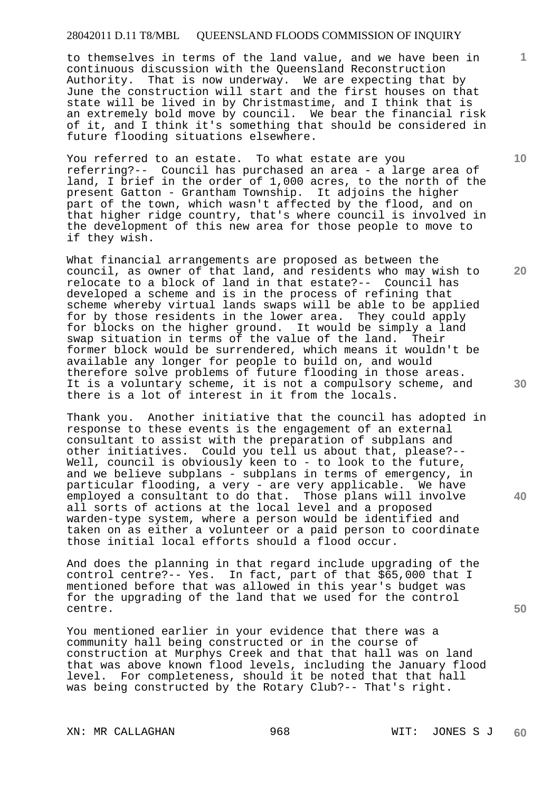to themselves in terms of the land value, and we have been in continuous discussion with the Queensland Reconstruction Authority. That is now underway. We are expecting that by June the construction will start and the first houses on that state will be lived in by Christmastime, and I think that is an extremely bold move by council. We bear the financial risk of it, and I think it's something that should be considered in future flooding situations elsewhere.

You referred to an estate. To what estate are you referring?-- Council has purchased an area - a large area of land, I brief in the order of 1,000 acres, to the north of the present Gatton - Grantham Township. It adjoins the higher part of the town, which wasn't affected by the flood, and on that higher ridge country, that's where council is involved in the development of this new area for those people to move to if they wish.

What financial arrangements are proposed as between the council, as owner of that land, and residents who may wish to relocate to a block of land in that estate?-- Council has developed a scheme and is in the process of refining that scheme whereby virtual lands swaps will be able to be applied for by those residents in the lower area. They could apply for blocks on the higher ground. It would be simply a land swap situation in terms of the value of the land. Their former block would be surrendered, which means it wouldn't be available any longer for people to build on, and would therefore solve problems of future flooding in those areas. It is a voluntary scheme, it is not a compulsory scheme, and there is a lot of interest in it from the locals.

Thank you. Another initiative that the council has adopted in response to these events is the engagement of an external consultant to assist with the preparation of subplans and other initiatives. Could you tell us about that, please?-- Well, council is obviously keen to - to look to the future, and we believe subplans - subplans in terms of emergency, in particular flooding, a very - are very applicable. We have employed a consultant to do that. Those plans will involve all sorts of actions at the local level and a proposed warden-type system, where a person would be identified and taken on as either a volunteer or a paid person to coordinate those initial local efforts should a flood occur.

And does the planning in that regard include upgrading of the control centre?-- Yes. In fact, part of that  $\bar{\$6}5,000$  that I mentioned before that was allowed in this year's budget was for the upgrading of the land that we used for the control centre.

You mentioned earlier in your evidence that there was a community hall being constructed or in the course of construction at Murphys Creek and that that hall was on land that was above known flood levels, including the January flood level. For completeness, should it be noted that that hall was being constructed by the Rotary Club?-- That's right.

XN: MR CALLAGHAN 968 WIT: JONES S J

**10** 

**1**

**20** 

**30** 

**40**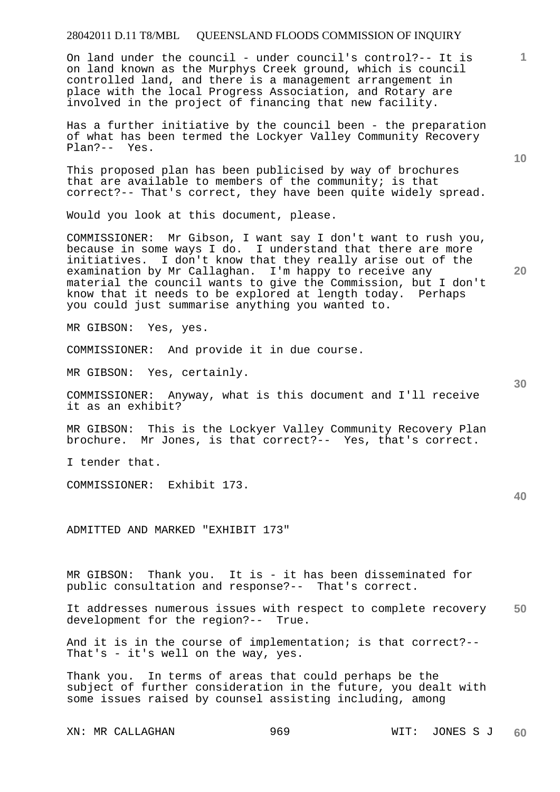On land under the council - under council's control?-- It is on land known as the Murphys Creek ground, which is council controlled land, and there is a management arrangement in place with the local Progress Association, and Rotary are involved in the project of financing that new facility.

Has a further initiative by the council been - the preparation of what has been termed the Lockyer Valley Community Recovery Plan?-- Yes.

This proposed plan has been publicised by way of brochures that are available to members of the community; is that correct?-- That's correct, they have been quite widely spread.

Would you look at this document, please.

COMMISSIONER: Mr Gibson, I want say I don't want to rush you, because in some ways I do. I understand that there are more initiatives. I don't know that they really arise out of the examination by Mr Callaghan. I'm happy to receive any material the council wants to give the Commission, but I don't know that it needs to be explored at length today. Perhaps you could just summarise anything you wanted to.

MR GIBSON: Yes, yes.

COMMISSIONER: And provide it in due course.

MR GIBSON: Yes, certainly.

COMMISSIONER: Anyway, what is this document and I'll receive it as an exhibit?

MR GIBSON: This is the Lockyer Valley Community Recovery Plan brochure. Mr Jones, is that correct?-- Yes, that's correct.

I tender that.

COMMISSIONER: Exhibit 173.

ADMITTED AND MARKED "EXHIBIT 173"

MR GIBSON: Thank you. It is - it has been disseminated for public consultation and response?-- That's correct.

**50**  It addresses numerous issues with respect to complete recovery development for the region?-- True.

And it is in the course of implementation; is that correct?-- That's - it's well on the way, yes.

Thank you. In terms of areas that could perhaps be the subject of further consideration in the future, you dealt with some issues raised by counsel assisting including, among

XN: MR CALLAGHAN 969 WIT: JONES S J

**10** 

**1**

**30** 

**20**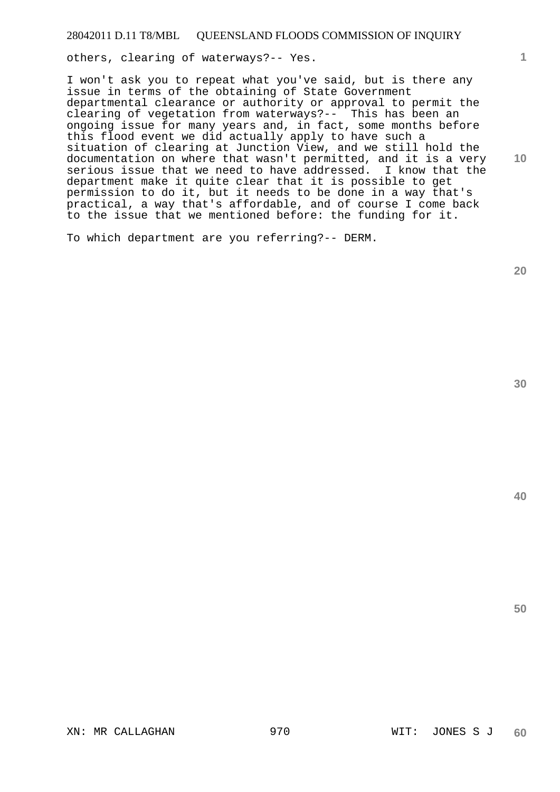others, clearing of waterways?-- Yes.

I won't ask you to repeat what you've said, but is there any issue in terms of the obtaining of State Government departmental clearance or authority or approval to permit the clearing of vegetation from waterways?-- This has been an ongoing issue for many years and, in fact, some months before this flood event we did actually apply to have such a situation of clearing at Junction View, and we still hold the documentation on where that wasn't permitted, and it is a very serious issue that we need to have addressed. I know that the department make it quite clear that it is possible to get permission to do it, but it needs to be done in a way that's practical, a way that's affordable, and of course I come back to the issue that we mentioned before: the funding for it.

To which department are you referring?-- DERM.

**20** 

**1**

**10**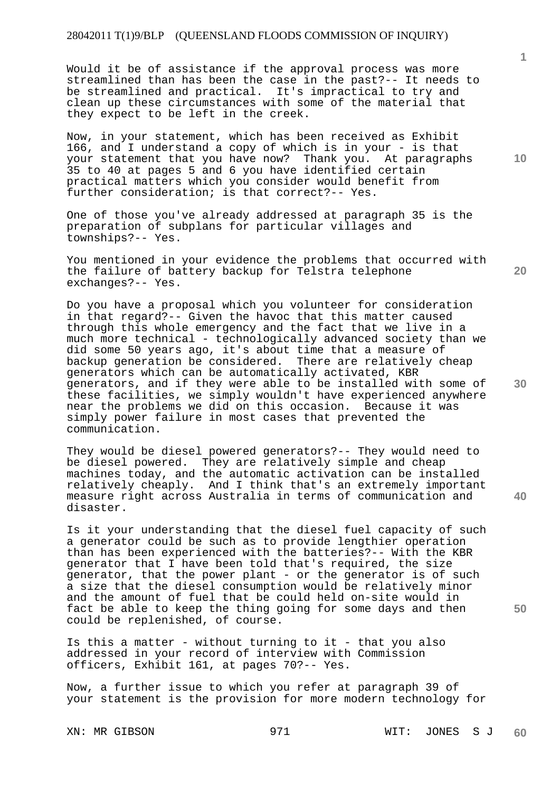Would it be of assistance if the approval process was more streamlined than has been the case in the past?-- It needs to be streamlined and practical. It's impractical to try and clean up these circumstances with some of the material that they expect to be left in the creek.

Now, in your statement, which has been received as Exhibit 166, and I understand a copy of which is in your - is that your statement that you have now? Thank you. At paragraphs 35 to 40 at pages 5 and 6 you have identified certain practical matters which you consider would benefit from further consideration; is that correct?-- Yes.

One of those you've already addressed at paragraph 35 is the preparation of subplans for particular villages and townships?-- Yes.

You mentioned in your evidence the problems that occurred with the failure of battery backup for Telstra telephone exchanges?-- Yes.

Do you have a proposal which you volunteer for consideration in that regard?-- Given the havoc that this matter caused through this whole emergency and the fact that we live in a much more technical - technologically advanced society than we did some 50 years ago, it's about time that a measure of backup generation be considered. There are relatively cheap generators which can be automatically activated, KBR generators, and if they were able to be installed with some of these facilities, we simply wouldn't have experienced anywhere near the problems we did on this occasion. Because it was simply power failure in most cases that prevented the communication.

They would be diesel powered generators?-- They would need to be diesel powered. They are relatively simple and cheap machines today, and the automatic activation can be installed relatively cheaply. And I think that's an extremely important measure right across Australia in terms of communication and disaster.

Is it your understanding that the diesel fuel capacity of such a generator could be such as to provide lengthier operation than has been experienced with the batteries?-- With the KBR generator that I have been told that's required, the size generator, that the power plant - or the generator is of such a size that the diesel consumption would be relatively minor and the amount of fuel that be could held on-site would in fact be able to keep the thing going for some days and then could be replenished, of course.

Is this a matter - without turning to it - that you also addressed in your record of interview with Commission officers, Exhibit 161, at pages 70?-- Yes.

Now, a further issue to which you refer at paragraph 39 of your statement is the provision for more modern technology for

**10** 

**1**

**20** 

**30** 

**50**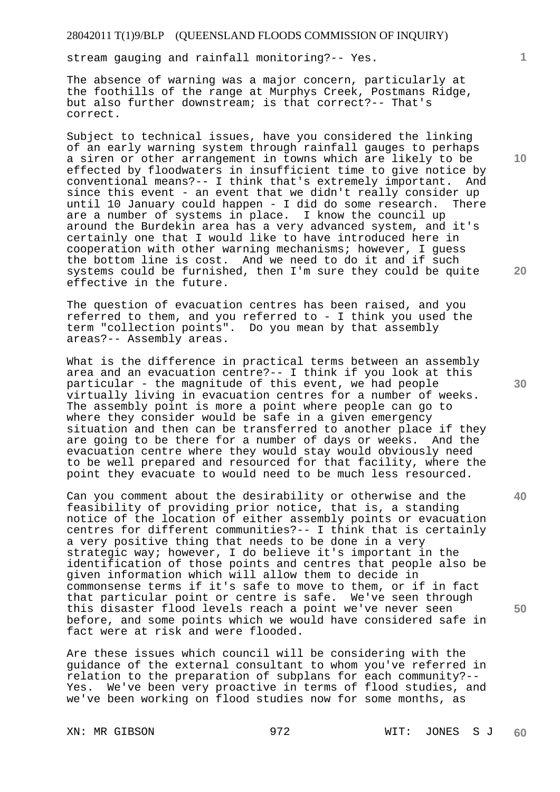stream gauging and rainfall monitoring?-- Yes.

The absence of warning was a major concern, particularly at the foothills of the range at Murphys Creek, Postmans Ridge, but also further downstream; is that correct?-- That's correct.

Subject to technical issues, have you considered the linking of an early warning system through rainfall gauges to perhaps a siren or other arrangement in towns which are likely to be effected by floodwaters in insufficient time to give notice by conventional means?-- I think that's extremely important. And since this event - an event that we didn't really consider up until 10 January could happen - I did do some research. There are a number of systems in place. I know the council up around the Burdekin area has a very advanced system, and it's certainly one that I would like to have introduced here in cooperation with other warning mechanisms; however, I guess the bottom line is cost. And we need to do it and if such systems could be furnished, then I'm sure they could be quite effective in the future.

The question of evacuation centres has been raised, and you referred to them, and you referred to - I think you used the term "collection points". Do you mean by that assembly areas?-- Assembly areas.

What is the difference in practical terms between an assembly area and an evacuation centre?-- I think if you look at this particular - the magnitude of this event, we had people virtually living in evacuation centres for a number of weeks. The assembly point is more a point where people can go to where they consider would be safe in a given emergency situation and then can be transferred to another place if they are going to be there for a number of days or weeks. And the evacuation centre where they would stay would obviously need to be well prepared and resourced for that facility, where the point they evacuate to would need to be much less resourced.

Can you comment about the desirability or otherwise and the feasibility of providing prior notice, that is, a standing notice of the location of either assembly points or evacuation centres for different communities?-- I think that is certainly a very positive thing that needs to be done in a very strategic way; however, I do believe it's important in the identification of those points and centres that people also be given information which will allow them to decide in commonsense terms if it's safe to move to them, or if in fact that particular point or centre is safe. We've seen through this disaster flood levels reach a point we've never seen before, and some points which we would have considered safe in fact were at risk and were flooded.

Are these issues which council will be considering with the guidance of the external consultant to whom you've referred in relation to the preparation of subplans for each community?-- Yes. We've been very proactive in terms of flood studies, and we've been working on flood studies now for some months, as

**10** 

**1**

**20** 

**30** 

**40**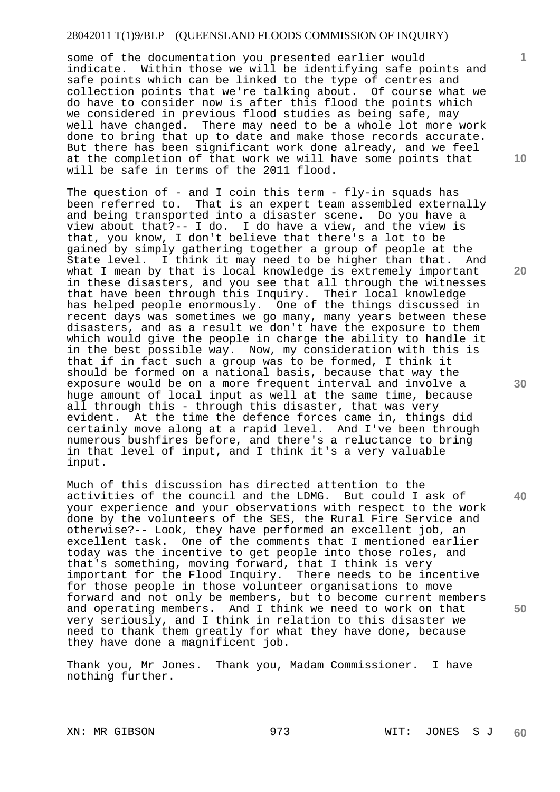some of the documentation you presented earlier would indicate. Within those we will be identifying safe points and safe points which can be linked to the type of centres and collection points that we're talking about. Of course what we do have to consider now is after this flood the points which we considered in previous flood studies as being safe, may well have changed. There may need to be a whole lot more work done to bring that up to date and make those records accurate. But there has been significant work done already, and we feel at the completion of that work we will have some points that will be safe in terms of the 2011 flood.

The question of - and I coin this term -  $fly$ -in squads has been referred to. That is an expert team assembled externally and being transported into a disaster scene. Do you have a view about that?-- I do. I do have a view, and the view is that, you know, I don't believe that there's a lot to be gained by simply gathering together a group of people at the State level. I think it may need to be higher than that. And what I mean by that is local knowledge is extremely important in these disasters, and you see that all through the witnesses that have been through this Inquiry. Their local knowledge has helped people enormously. One of the things discussed in recent days was sometimes we go many, many years between these disasters, and as a result we don't have the exposure to them which would give the people in charge the ability to handle it in the best possible way. Now, my consideration with this is that if in fact such a group was to be formed, I think it should be formed on a national basis, because that way the exposure would be on a more frequent interval and involve a huge amount of local input as well at the same time, because all through this - through this disaster, that was very evident. At the time the defence forces came in, things did certainly move along at a rapid level. And I've been through numerous bushfires before, and there's a reluctance to bring in that level of input, and I think it's a very valuable input.

Much of this discussion has directed attention to the activities of the council and the LDMG. But could I ask of your experience and your observations with respect to the work done by the volunteers of the SES, the Rural Fire Service and otherwise?-- Look, they have performed an excellent job, an excellent task. One of the comments that I mentioned earlier today was the incentive to get people into those roles, and that's something, moving forward, that I think is very important for the Flood Inquiry. There needs to be incentive for those people in those volunteer organisations to move forward and not only be members, but to become current members and operating members. And I think we need to work on that very seriously, and I think in relation to this disaster we need to thank them greatly for what they have done, because they have done a magnificent job.

Thank you, Mr Jones. Thank you, Madam Commissioner. I have nothing further.

**10** 

**1**

**20** 

**30** 

**40**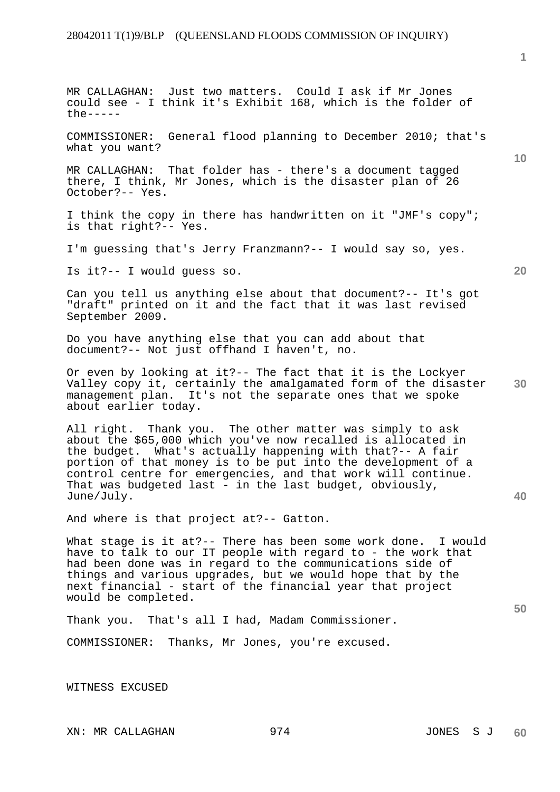**1**

**10 20 30 40 50**  MR CALLAGHAN: Just two matters. Could I ask if Mr Jones could see - I think it's Exhibit 168, which is the folder of  $th$  $e$ -----COMMISSIONER: General flood planning to December 2010; that's what you want? MR CALLAGHAN: That folder has - there's a document tagged there, I think, Mr Jones, which is the disaster plan of 26 October?-- Yes. I think the copy in there has handwritten on it "JMF's copy"; is that right?-- Yes. I'm guessing that's Jerry Franzmann?-- I would say so, yes. Is it?-- I would guess so. Can you tell us anything else about that document?-- It's got "draft" printed on it and the fact that it was last revised September 2009. Do you have anything else that you can add about that document?-- Not just offhand I haven't, no. Or even by looking at it?-- The fact that it is the Lockyer Valley copy it, certainly the amalgamated form of the disaster management plan. It's not the separate ones that we spoke about earlier today. All right. Thank you. The other matter was simply to ask about the \$65,000 which you've now recalled is allocated in the budget. What's actually happening with that?-- A fair portion of that money is to be put into the development of a control centre for emergencies, and that work will continue. That was budgeted last - in the last budget, obviously, June/July. And where is that project at?-- Gatton. What stage is it at?-- There has been some work done. I would have to talk to our IT people with regard to - the work that had been done was in regard to the communications side of things and various upgrades, but we would hope that by the next financial - start of the financial year that project would be completed. Thank you. That's all I had, Madam Commissioner. COMMISSIONER: Thanks, Mr Jones, you're excused.

WITNESS EXCUSED

XN: MR CALLAGHAN 974 974 JONES SJ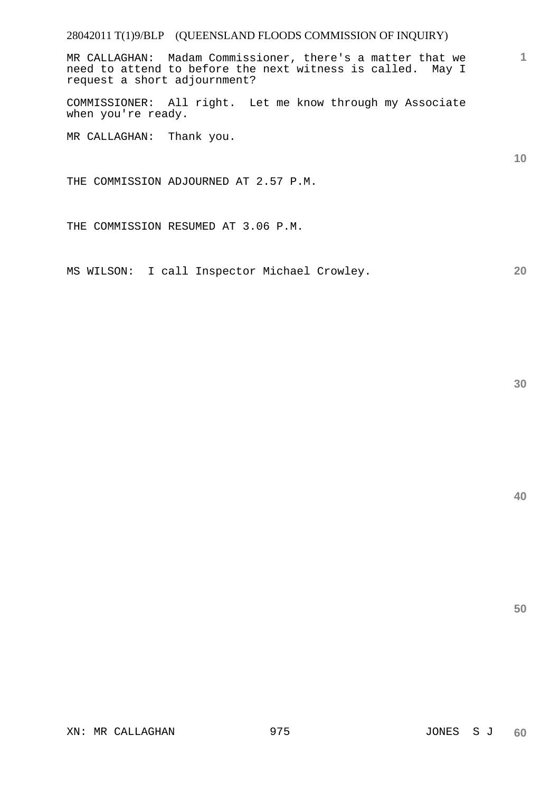MR CALLAGHAN: Madam Commissioner, there's a matter that we need to attend to before the next witness is called. May I request a short adjournment?

COMMISSIONER: All right. Let me know through my Associate when you're ready.

MR CALLAGHAN: Thank you.

THE COMMISSION ADJOURNED AT 2.57 P.M.

THE COMMISSION RESUMED AT 3.06 P.M.

MS WILSON: I call Inspector Michael Crowley.

**30** 

**1**

**10** 

**20**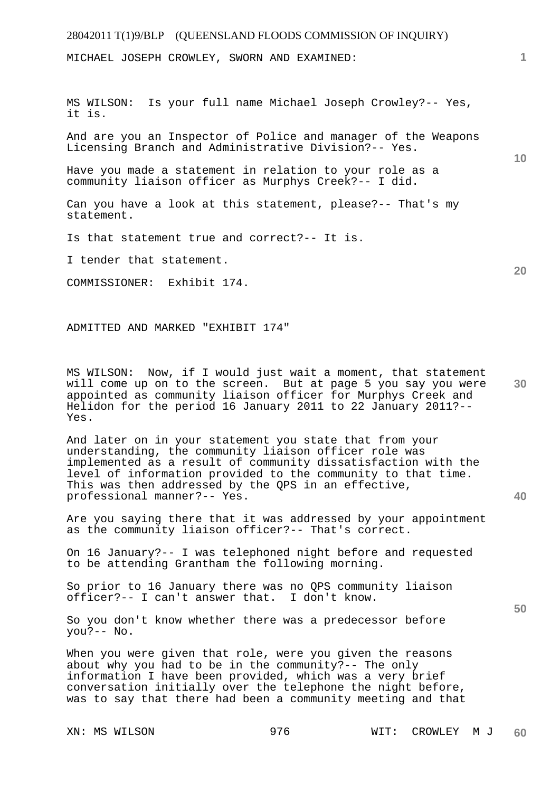MICHAEL JOSEPH CROWLEY, SWORN AND EXAMINED:

MS WILSON: Is your full name Michael Joseph Crowley?-- Yes, it is.

And are you an Inspector of Police and manager of the Weapons Licensing Branch and Administrative Division?-- Yes.

Have you made a statement in relation to your role as a community liaison officer as Murphys Creek?-- I did.

Can you have a look at this statement, please?-- That's my statement.

Is that statement true and correct?-- It is.

I tender that statement.

COMMISSIONER: Exhibit 174.

ADMITTED AND MARKED "EXHIBIT 174"

**30**  MS WILSON: Now, if I would just wait a moment, that statement will come up on to the screen. But at page 5 you say you were appointed as community liaison officer for Murphys Creek and Helidon for the period 16 January 2011 to 22 January 2011?-- Yes.

And later on in your statement you state that from your understanding, the community liaison officer role was implemented as a result of community dissatisfaction with the level of information provided to the community to that time. This was then addressed by the QPS in an effective, professional manner?-- Yes.

Are you saying there that it was addressed by your appointment as the community liaison officer?-- That's correct.

On 16 January?-- I was telephoned night before and requested to be attending Grantham the following morning.

So prior to 16 January there was no QPS community liaison officer?-- I can't answer that. I don't know.

So you don't know whether there was a predecessor before you?-- No.

When you were given that role, were you given the reasons about why you had to be in the community?-- The only information I have been provided, which was a very brief conversation initially over the telephone the night before, was to say that there had been a community meeting and that

**1**

**10** 

**20** 

**40**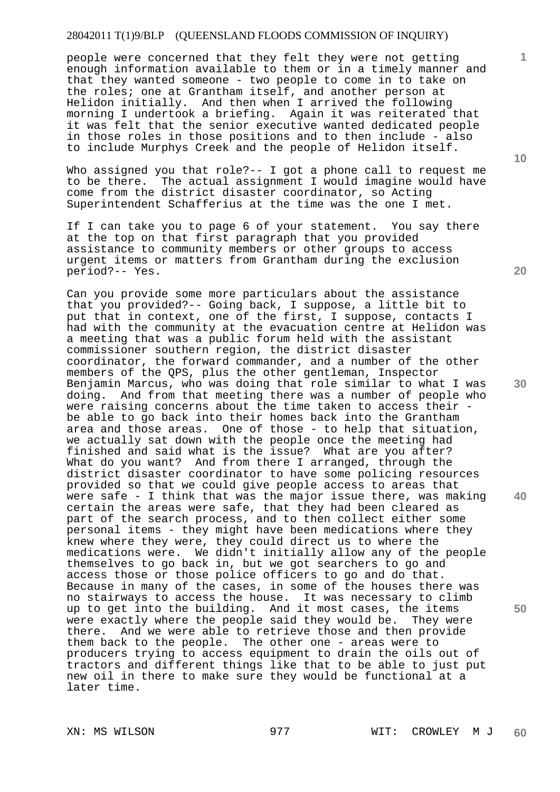people were concerned that they felt they were not getting enough information available to them or in a timely manner and that they wanted someone - two people to come in to take on the roles; one at Grantham itself, and another person at Helidon initially. And then when I arrived the following morning I undertook a briefing. Again it was reiterated that it was felt that the senior executive wanted dedicated people in those roles in those positions and to then include - also to include Murphys Creek and the people of Helidon itself.

Who assigned you that role?-- I got a phone call to request me to be there. The actual assignment I would imagine would have come from the district disaster coordinator, so Acting Superintendent Schafferius at the time was the one I met.

If I can take you to page 6 of your statement. You say there at the top on that first paragraph that you provided assistance to community members or other groups to access urgent items or matters from Grantham during the exclusion period?-- Yes.

Can you provide some more particulars about the assistance that you provided?-- Going back, I suppose, a little bit to put that in context, one of the first, I suppose, contacts I had with the community at the evacuation centre at Helidon was a meeting that was a public forum held with the assistant commissioner southern region, the district disaster coordinator, the forward commander, and a number of the other members of the QPS, plus the other gentleman, Inspector Benjamin Marcus, who was doing that role similar to what I was doing. And from that meeting there was a number of people who were raising concerns about the time taken to access their be able to go back into their homes back into the Grantham area and those areas. One of those - to help that situation, we actually sat down with the people once the meeting had finished and said what is the issue? What are you after? What do you want? And from there I arranged, through the district disaster coordinator to have some policing resources provided so that we could give people access to areas that were safe - I think that was the major issue there, was making certain the areas were safe, that they had been cleared as part of the search process, and to then collect either some personal items - they might have been medications where they knew where they were, they could direct us to where the medications were. We didn't initially allow any of the people themselves to go back in, but we got searchers to go and access those or those police officers to go and do that. Because in many of the cases, in some of the houses there was no stairways to access the house. It was necessary to climb up to get into the building. And it most cases, the items were exactly where the people said they would be. They were there. And we were able to retrieve those and then provide them back to the people. The other one - areas were to producers trying to access equipment to drain the oils out of tractors and different things like that to be able to just put new oil in there to make sure they would be functional at a later time.

**10** 

**1**

**20** 

**30** 

**40**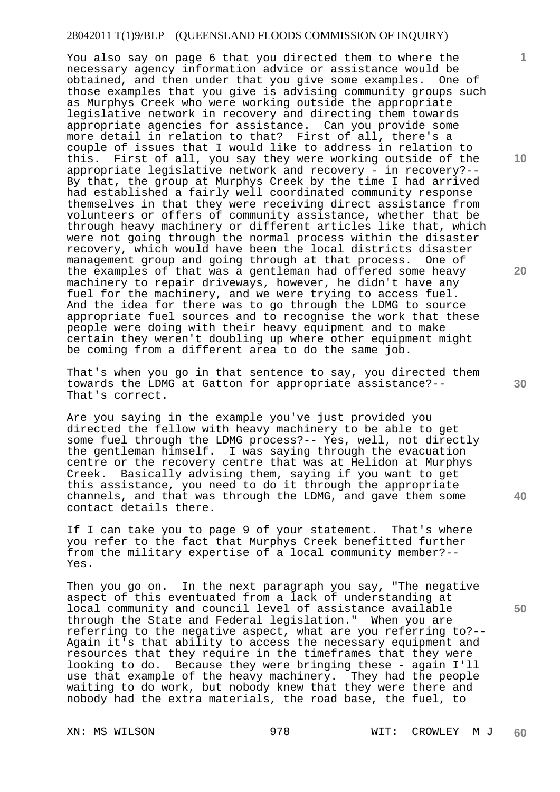You also say on page 6 that you directed them to where the necessary agency information advice or assistance would be obtained, and then under that you give some examples. One of those examples that you give is advising community groups such as Murphys Creek who were working outside the appropriate legislative network in recovery and directing them towards appropriate agencies for assistance. Can you provide some more detail in relation to that? First of all, there's a couple of issues that I would like to address in relation to this. First of all, you say they were working outside of the appropriate legislative network and recovery - in recovery?-- By that, the group at Murphys Creek by the time I had arrived had established a fairly well coordinated community response themselves in that they were receiving direct assistance from volunteers or offers of community assistance, whether that be through heavy machinery or different articles like that, which were not going through the normal process within the disaster recovery, which would have been the local districts disaster management group and going through at that process. One of the examples of that was a gentleman had offered some heavy machinery to repair driveways, however, he didn't have any fuel for the machinery, and we were trying to access fuel. And the idea for there was to go through the LDMG to source appropriate fuel sources and to recognise the work that these people were doing with their heavy equipment and to make certain they weren't doubling up where other equipment might be coming from a different area to do the same job.

That's when you go in that sentence to say, you directed them towards the LDMG at Gatton for appropriate assistance?-- That's correct.

Are you saying in the example you've just provided you directed the fellow with heavy machinery to be able to get some fuel through the LDMG process?-- Yes, well, not directly the gentleman himself. I was saying through the evacuation centre or the recovery centre that was at Helidon at Murphys Creek. Basically advising them, saying if you want to get this assistance, you need to do it through the appropriate channels, and that was through the LDMG, and gave them some contact details there.

If I can take you to page 9 of your statement. That's where you refer to the fact that Murphys Creek benefitted further from the military expertise of a local community member?-- Yes.

Then you go on. In the next paragraph you say, "The negative aspect of this eventuated from a lack of understanding at local community and council level of assistance available through the State and Federal legislation." When you are referring to the negative aspect, what are you referring to?-- Again it's that ability to access the necessary equipment and resources that they require in the timeframes that they were looking to do. Because they were bringing these - again I'll use that example of the heavy machinery. They had the people waiting to do work, but nobody knew that they were there and nobody had the extra materials, the road base, the fuel, to

**10** 

**1**

**20** 

**40**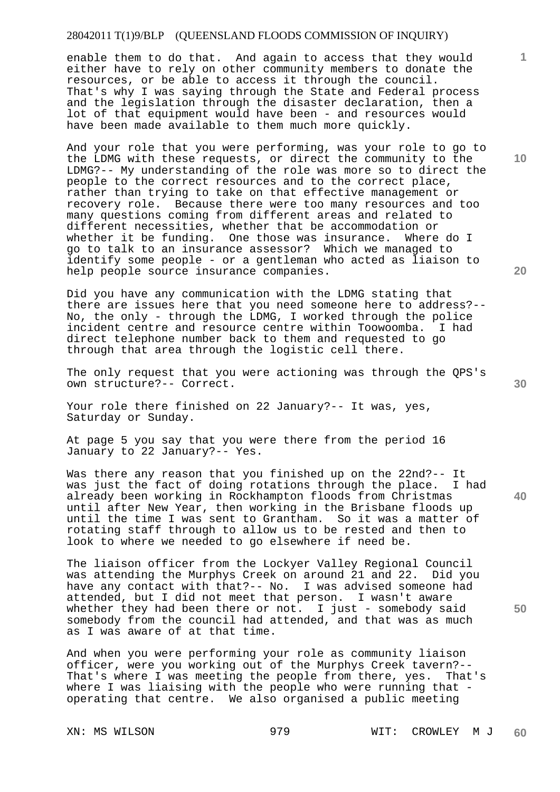enable them to do that. And again to access that they would either have to rely on other community members to donate the resources, or be able to access it through the council. That's why I was saying through the State and Federal process and the legislation through the disaster declaration, then a lot of that equipment would have been - and resources would have been made available to them much more quickly.

And your role that you were performing, was your role to go to the LDMG with these requests, or direct the community to the LDMG?-- My understanding of the role was more so to direct the people to the correct resources and to the correct place, rather than trying to take on that effective management or recovery role. Because there were too many resources and too many questions coming from different areas and related to different necessities, whether that be accommodation or whether it be funding. One those was insurance. Where do I go to talk to an insurance assessor? Which we managed to identify some people - or a gentleman who acted as liaison to help people source insurance companies.

Did you have any communication with the LDMG stating that there are issues here that you need someone here to address?-- No, the only - through the LDMG, I worked through the police incident centre and resource centre within Toowoomba. I had direct telephone number back to them and requested to go through that area through the logistic cell there.

The only request that you were actioning was through the QPS's own structure?-- Correct.

Your role there finished on 22 January?-- It was, yes, Saturday or Sunday.

At page 5 you say that you were there from the period 16 January to 22 January?-- Yes.

Was there any reason that you finished up on the 22nd?-- It was just the fact of doing rotations through the place. I had already been working in Rockhampton floods from Christmas until after New Year, then working in the Brisbane floods up until the time I was sent to Grantham. So it was a matter of rotating staff through to allow us to be rested and then to look to where we needed to go elsewhere if need be.

The liaison officer from the Lockyer Valley Regional Council was attending the Murphys Creek on around 21 and 22. Did you have any contact with that?-- No. I was advised someone had attended, but I did not meet that person. I wasn't aware whether they had been there or not. I just - somebody said somebody from the council had attended, and that was as much as I was aware of at that time.

And when you were performing your role as community liaison officer, were you working out of the Murphys Creek tavern?-- That's where I was meeting the people from there, yes. That's where I was liaising with the people who were running that operating that centre. We also organised a public meeting

**20** 

**10** 

**1**

**30** 

**40**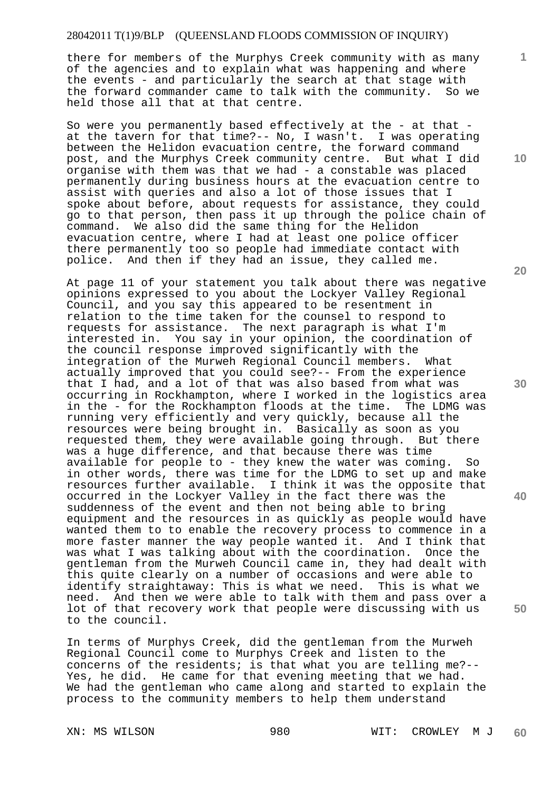there for members of the Murphys Creek community with as many of the agencies and to explain what was happening and where the events - and particularly the search at that stage with the forward commander came to talk with the community. So we held those all that at that centre.

So were you permanently based effectively at the - at that at the tavern for that time?-- No, I wasn't. I was operating between the Helidon evacuation centre, the forward command post, and the Murphys Creek community centre. But what I did organise with them was that we had - a constable was placed permanently during business hours at the evacuation centre to assist with queries and also a lot of those issues that I spoke about before, about requests for assistance, they could go to that person, then pass it up through the police chain of command. We also did the same thing for the Helidon evacuation centre, where I had at least one police officer there permanently too so people had immediate contact with police. And then if they had an issue, they called me.

At page 11 of your statement you talk about there was negative opinions expressed to you about the Lockyer Valley Regional Council, and you say this appeared to be resentment in relation to the time taken for the counsel to respond to requests for assistance. The next paragraph is what I'm interested in. You say in your opinion, the coordination of the council response improved significantly with the integration of the Murweh Regional Council members. What actually improved that you could see?-- From the experience that I had, and a lot of that was also based from what was occurring in Rockhampton, where I worked in the logistics area in the - for the Rockhampton floods at the time. The LDMG was running very efficiently and very quickly, because all the resources were being brought in. Basically as soon as you requested them, they were available going through. But there was a huge difference, and that because there was time available for people to - they knew the water was coming. So in other words, there was time for the LDMG to set up and make resources further available. I think it was the opposite that occurred in the Lockyer Valley in the fact there was the suddenness of the event and then not being able to bring equipment and the resources in as quickly as people would have wanted them to to enable the recovery process to commence in a more faster manner the way people wanted it. And I think that was what I was talking about with the coordination. Once the gentleman from the Murweh Council came in, they had dealt with this quite clearly on a number of occasions and were able to identify straightaway: This is what we need. This is what we need. And then we were able to talk with them and pass over a lot of that recovery work that people were discussing with us to the council.

In terms of Murphys Creek, did the gentleman from the Murweh Regional Council come to Murphys Creek and listen to the concerns of the residents; is that what you are telling me?-- Yes, he did. He came for that evening meeting that we had. We had the gentleman who came along and started to explain the process to the community members to help them understand

XN: MS WILSON 980 WIT: CROWLEY M J **60** 

**10** 

**1**

**20** 

**30** 

**40**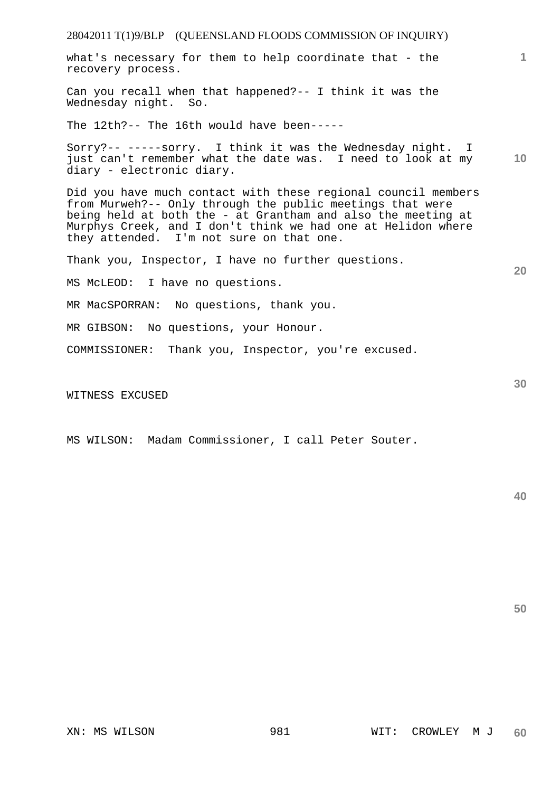what's necessary for them to help coordinate that - the recovery process.

Can you recall when that happened?-- I think it was the Wednesday night. So.

The 12th?-- The 16th would have been-----

**10**  Sorry?-- -----sorry. I think it was the Wednesday night. I just can't remember what the date was. I need to look at my diary - electronic diary.

Did you have much contact with these regional council members from Murweh?-- Only through the public meetings that were being held at both the - at Grantham and also the meeting at Murphys Creek, and I don't think we had one at Helidon where they attended. I'm not sure on that one.

Thank you, Inspector, I have no further questions.

MS McLEOD: I have no questions.

MR MacSPORRAN: No questions, thank you.

MR GIBSON: No questions, your Honour.

COMMISSIONER: Thank you, Inspector, you're excused.

WITNESS EXCUSED

MS WILSON: Madam Commissioner, I call Peter Souter.

**40** 

**50** 

**1**

**20**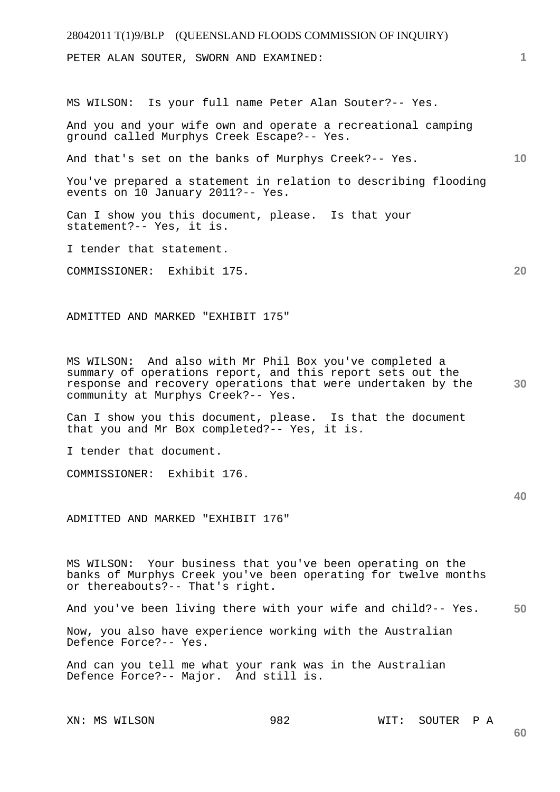28042011 T(1)9/BLP (QUEENSLAND FLOODS COMMISSION OF INQUIRY) XN: MS WILSON 982 WIT: SOUTER P A **1 10 20 30 40 50 60**  PETER ALAN SOUTER, SWORN AND EXAMINED: MS WILSON: Is your full name Peter Alan Souter?-- Yes. And you and your wife own and operate a recreational camping ground called Murphys Creek Escape?-- Yes. And that's set on the banks of Murphys Creek?-- Yes. You've prepared a statement in relation to describing flooding events on 10 January 2011?-- Yes. Can I show you this document, please. Is that your statement?-- Yes, it is. I tender that statement. COMMISSIONER: Exhibit 175. ADMITTED AND MARKED "EXHIBIT 175" MS WILSON: And also with Mr Phil Box you've completed a summary of operations report, and this report sets out the response and recovery operations that were undertaken by the community at Murphys Creek?-- Yes. Can I show you this document, please. Is that the document that you and Mr Box completed?-- Yes, it is. I tender that document. COMMISSIONER: Exhibit 176. ADMITTED AND MARKED "EXHIBIT 176" MS WILSON: Your business that you've been operating on the banks of Murphys Creek you've been operating for twelve months or thereabouts?-- That's right. And you've been living there with your wife and child?-- Yes. Now, you also have experience working with the Australian Defence Force?-- Yes. And can you tell me what your rank was in the Australian Defence Force?-- Major. And still is.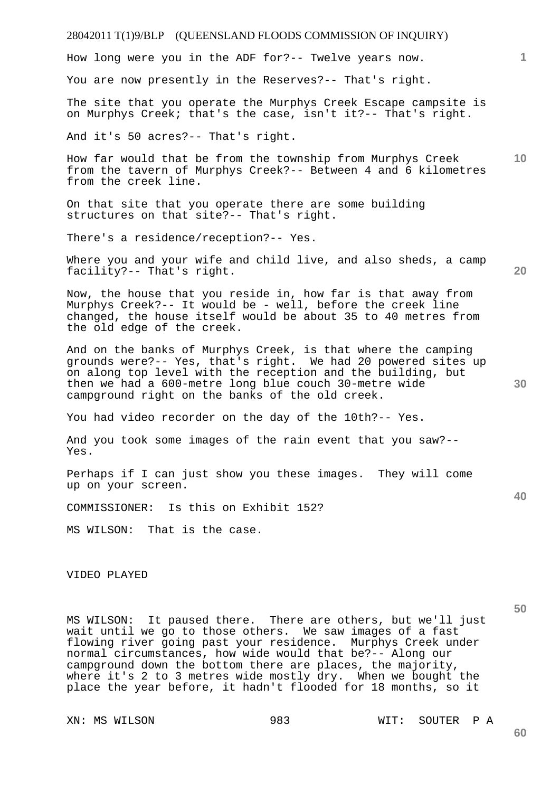

MS WILSON: It paused there. There are others, but we'll just wait until we go to those others. We saw images of a fast flowing river going past your residence. Murphys Creek under normal circumstances, how wide would that be?-- Along our campground down the bottom there are places, the majority, where it's 2 to 3 metres wide mostly dry. When we bought the place the year before, it hadn't flooded for 18 months, so it

XN: MS WILSON 983 WIT: SOUTER P A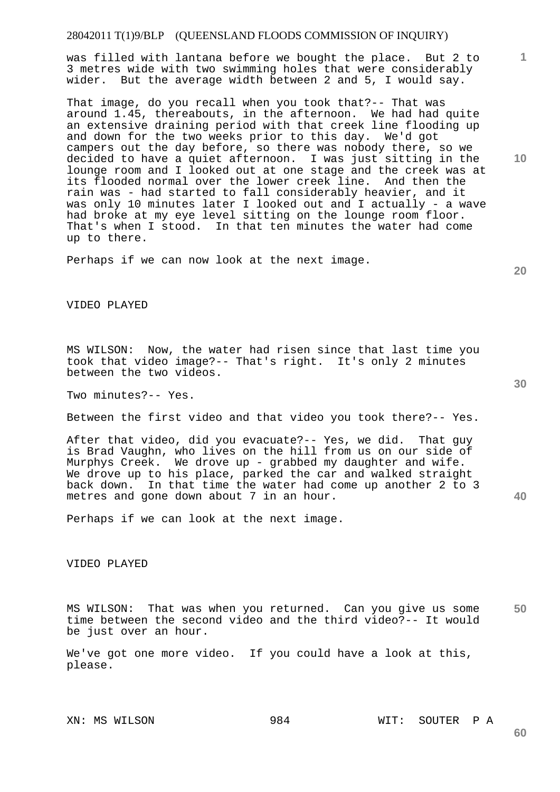was filled with lantana before we bought the place. But 2 to 3 metres wide with two swimming holes that were considerably wider. But the average width between 2 and 5, I would say.

That image, do you recall when you took that?-- That was around 1.45, thereabouts, in the afternoon. We had had quite an extensive draining period with that creek line flooding up and down for the two weeks prior to this day. We'd got campers out the day before, so there was nobody there, so we decided to have a quiet afternoon. I was just sitting in the lounge room and I looked out at one stage and the creek was at its flooded normal over the lower creek line. And then the rain was - had started to fall considerably heavier, and it was only 10 minutes later I looked out and I actually - a wave had broke at my eye level sitting on the lounge room floor. That's when I stood. In that ten minutes the water had come up to there.

Perhaps if we can now look at the next image.

#### VIDEO PLAYED

MS WILSON: Now, the water had risen since that last time you took that video image?-- That's right. It's only 2 minutes between the two videos.

Two minutes?-- Yes.

Between the first video and that video you took there?-- Yes.

After that video, did you evacuate?-- Yes, we did. That guy is Brad Vaughn, who lives on the hill from us on our side of Murphys Creek. We drove up - grabbed my daughter and wife. We drove up to his place, parked the car and walked straight back down. In that time the water had come up another 2 to 3 metres and gone down about 7 in an hour.

Perhaps if we can look at the next image.

VIDEO PLAYED

**50**  MS WILSON: That was when you returned. Can you give us some time between the second video and the third video?-- It would be just over an hour.

We've got one more video. If you could have a look at this, please.

**20** 

**10** 

**1**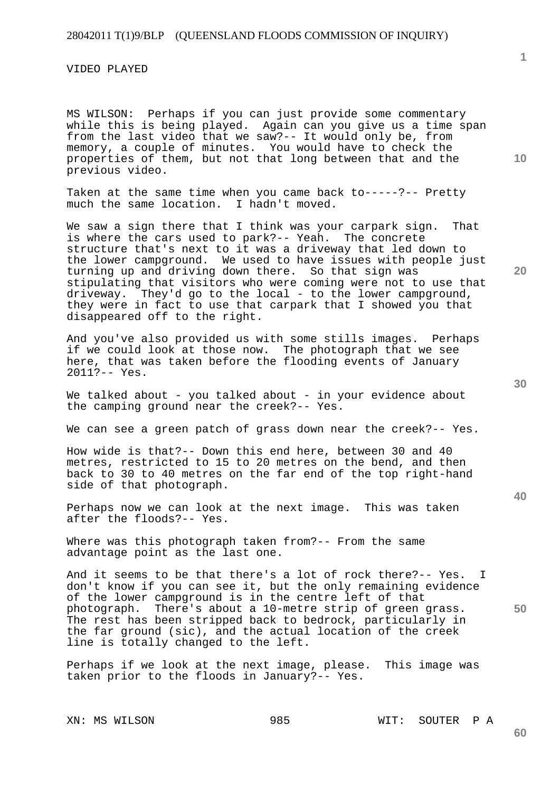VIDEO PLAYED

MS WILSON: Perhaps if you can just provide some commentary while this is being played. Again can you give us a time span from the last video that we saw?-- It would only be, from memory, a couple of minutes. You would have to check the properties of them, but not that long between that and the previous video.

Taken at the same time when you came back to-----?-- Pretty much the same location. I hadn't moved.

We saw a sign there that I think was your carpark sign. That is where the cars used to park?-- Yeah. The concrete structure that's next to it was a driveway that led down to the lower campground. We used to have issues with people just turning up and driving down there. So that sign was stipulating that visitors who were coming were not to use that driveway. They'd go to the local - to the lower campground, they were in fact to use that carpark that I showed you that disappeared off to the right.

And you've also provided us with some stills images. Perhaps if we could look at those now. The photograph that we see here, that was taken before the flooding events of January 2011?-- Yes.

We talked about - you talked about - in your evidence about the camping ground near the creek?-- Yes.

We can see a green patch of grass down near the creek?-- Yes.

How wide is that?-- Down this end here, between 30 and 40 metres, restricted to 15 to 20 metres on the bend, and then back to 30 to 40 metres on the far end of the top right-hand side of that photograph.

Perhaps now we can look at the next image. This was taken after the floods?-- Yes.

Where was this photograph taken from?-- From the same advantage point as the last one.

**50**  And it seems to be that there's a lot of rock there?-- Yes. I don't know if you can see it, but the only remaining evidence of the lower campground is in the centre left of that photograph. There's about a 10-metre strip of green grass. The rest has been stripped back to bedrock, particularly in the far ground (sic), and the actual location of the creek line is totally changed to the left.

Perhaps if we look at the next image, please. This image was taken prior to the floods in January?-- Yes.

**20** 

**1**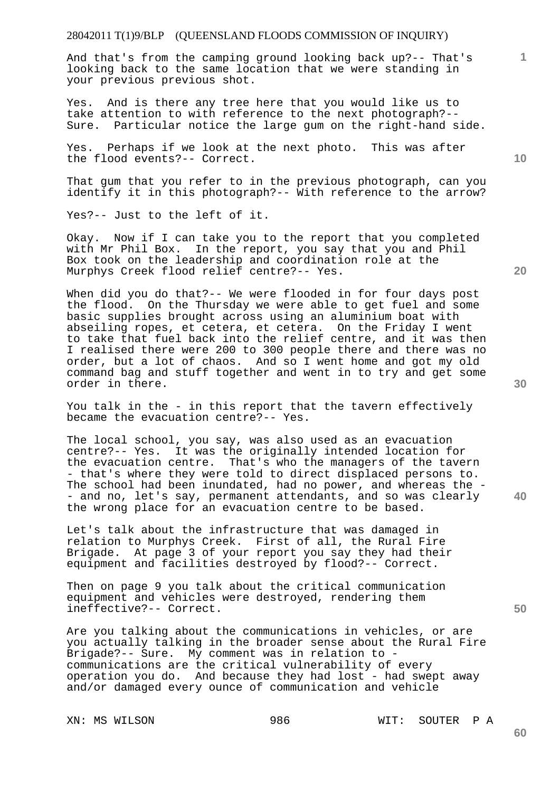And that's from the camping ground looking back up?-- That's looking back to the same location that we were standing in your previous previous shot.

Yes. And is there any tree here that you would like us to take attention to with reference to the next photograph?-- Sure. Particular notice the large gum on the right-hand side.

Yes. Perhaps if we look at the next photo. This was after the flood events?-- Correct.

That gum that you refer to in the previous photograph, can you identify it in this photograph?-- With reference to the arrow?

Yes?-- Just to the left of it.

Okay. Now if I can take you to the report that you completed with Mr Phil Box. In the report, you say that you and Phil Box took on the leadership and coordination role at the Murphys Creek flood relief centre?-- Yes.

When did you do that?-- We were flooded in for four days post the flood. On the Thursday we were able to get fuel and some basic supplies brought across using an aluminium boat with abseiling ropes, et cetera, et cetera. On the Friday I went to take that fuel back into the relief centre, and it was then I realised there were 200 to 300 people there and there was no order, but a lot of chaos. And so I went home and got my old command bag and stuff together and went in to try and get some order in there.

You talk in the - in this report that the tavern effectively became the evacuation centre?-- Yes.

The local school, you say, was also used as an evacuation centre?-- Yes. It was the originally intended location for the evacuation centre. That's who the managers of the tavern - that's where they were told to direct displaced persons to. The school had been inundated, had no power, and whereas the -- and no, let's say, permanent attendants, and so was clearly the wrong place for an evacuation centre to be based.

Let's talk about the infrastructure that was damaged in relation to Murphys Creek. First of all, the Rural Fire Brigade. At page 3 of your report you say they had their equipment and facilities destroyed by flood?-- Correct.

Then on page 9 you talk about the critical communication equipment and vehicles were destroyed, rendering them ineffective?-- Correct.

Are you talking about the communications in vehicles, or are you actually talking in the broader sense about the Rural Fire Brigade?-- Sure. My comment was in relation to communications are the critical vulnerability of every operation you do. And because they had lost - had swept away and/or damaged every ounce of communication and vehicle

XN: MS WILSON 986 WIT: SOUTER P A

**30** 

**20** 



**50** 

**10**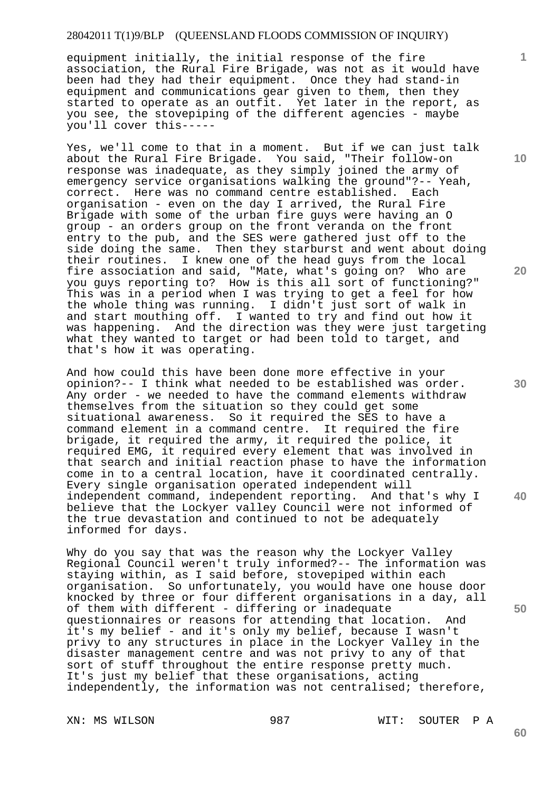equipment initially, the initial response of the fire association, the Rural Fire Brigade, was not as it would have been had they had their equipment. Once they had stand-in equipment and communications gear given to them, then they started to operate as an outfit. Yet later in the report, as you see, the stovepiping of the different agencies - maybe you'll cover this-----

Yes, we'll come to that in a moment. But if we can just talk about the Rural Fire Brigade. You said, "Their follow-on response was inadequate, as they simply joined the army of emergency service organisations walking the ground"?-- Yeah, correct. Here was no command centre established. Each organisation - even on the day I arrived, the Rural Fire Brigade with some of the urban fire guys were having an O group - an orders group on the front veranda on the front entry to the pub, and the SES were gathered just off to the side doing the same. Then they starburst and went about doing their routines. I knew one of the head guys from the local<br>fire association and said, "Mate, what's going on? Who are fire association and said, "Mate, what's going on? you guys reporting to? How is this all sort of functioning?" This was in a period when I was trying to get a feel for how the whole thing was running. I didn't just sort of walk in and start mouthing off. I wanted to try and find out how it was happening. And the direction was they were just targeting what they wanted to target or had been told to target, and that's how it was operating.

And how could this have been done more effective in your opinion?-- I think what needed to be established was order. Any order - we needed to have the command elements withdraw themselves from the situation so they could get some situational awareness. So it required the SES to have a command element in a command centre. It required the fire brigade, it required the army, it required the police, it required EMG, it required every element that was involved in that search and initial reaction phase to have the information come in to a central location, have it coordinated centrally. Every single organisation operated independent will independent command, independent reporting. And that's why I believe that the Lockyer valley Council were not informed of the true devastation and continued to not be adequately informed for days.

Why do you say that was the reason why the Lockyer Valley Regional Council weren't truly informed?-- The information was staying within, as I said before, stovepiped within each organisation. So unfortunately, you would have one house door knocked by three or four different organisations in a day, all of them with different - differing or inadequate questionnaires or reasons for attending that location. And it's my belief - and it's only my belief, because I wasn't privy to any structures in place in the Lockyer Valley in the disaster management centre and was not privy to any of that sort of stuff throughout the entire response pretty much. It's just my belief that these organisations, acting independently, the information was not centralised; therefore,

XN: MS WILSON 887 987 WIT: SOUTER P A

**20** 

**40** 

**10** 

**1**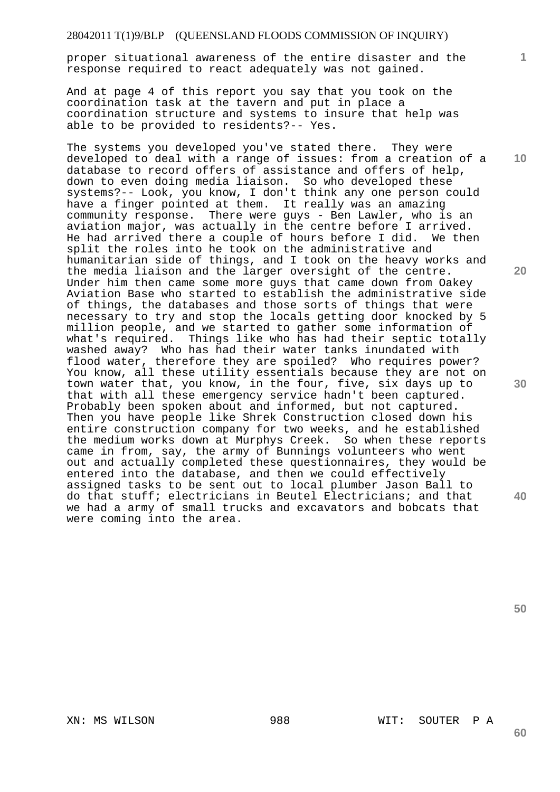proper situational awareness of the entire disaster and the response required to react adequately was not gained.

And at page 4 of this report you say that you took on the coordination task at the tavern and put in place a coordination structure and systems to insure that help was able to be provided to residents?-- Yes.

The systems you developed you've stated there. They were developed to deal with a range of issues: from a creation of a database to record offers of assistance and offers of help, down to even doing media liaison. So who developed these systems?-- Look, you know, I don't think any one person could have a finger pointed at them. It really was an amazing community response. There were guys - Ben Lawler, who is an aviation major, was actually in the centre before I arrived. He had arrived there a couple of hours before I did. We then split the roles into he took on the administrative and humanitarian side of things, and I took on the heavy works and the media liaison and the larger oversight of the centre. Under him then came some more guys that came down from Oakey Aviation Base who started to establish the administrative side of things, the databases and those sorts of things that were necessary to try and stop the locals getting door knocked by 5 million people, and we started to gather some information of what's required. Things like who has had their septic totally washed away? Who has had their water tanks inundated with flood water, therefore they are spoiled? Who requires power? You know, all these utility essentials because they are not on town water that, you know, in the four, five, six days up to that with all these emergency service hadn't been captured. Probably been spoken about and informed, but not captured. Then you have people like Shrek Construction closed down his entire construction company for two weeks, and he established the medium works down at Murphys Creek. So when these reports came in from, say, the army of Bunnings volunteers who went out and actually completed these questionnaires, they would be entered into the database, and then we could effectively assigned tasks to be sent out to local plumber Jason Ball to do that stuff; electricians in Beutel Electricians; and that we had a army of small trucks and excavators and bobcats that were coming into the area.

**10** 

**1**

**20** 

**30** 

**40** 

**50** 

XN: MS WILSON 988 WIT: SOUTER P A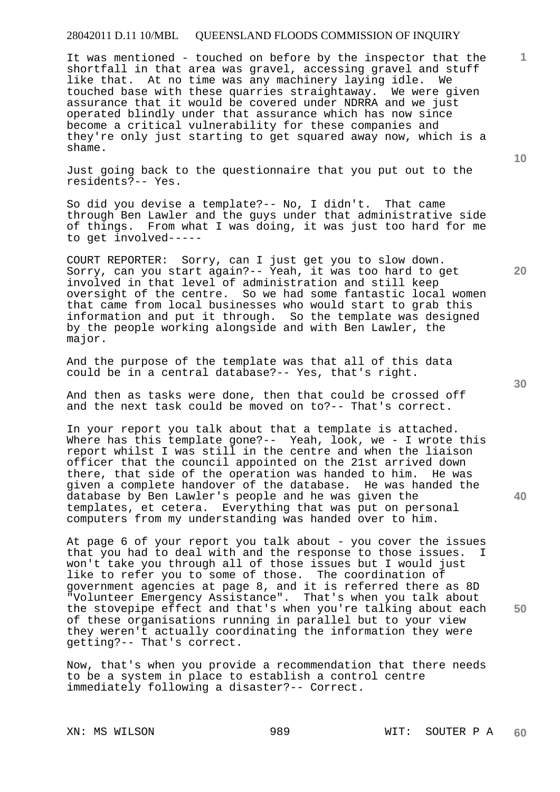It was mentioned - touched on before by the inspector that the shortfall in that area was gravel, accessing gravel and stuff like that. At no time was any machinery laying idle. We touched base with these quarries straightaway. We were given assurance that it would be covered under NDRRA and we just operated blindly under that assurance which has now since become a critical vulnerability for these companies and they're only just starting to get squared away now, which is a shame.

Just going back to the questionnaire that you put out to the residents?-- Yes.

So did you devise a template?-- No, I didn't. That came through Ben Lawler and the guys under that administrative side of things. From what I was doing, it was just too hard for me to get involved-----

COURT REPORTER: Sorry, can I just get you to slow down. Sorry, can you start again?-- Yeah, it was too hard to get involved in that level of administration and still keep oversight of the centre. So we had some fantastic local women that came from local businesses who would start to grab this information and put it through. So the template was designed by the people working alongside and with Ben Lawler, the major.

And the purpose of the template was that all of this data could be in a central database?-- Yes, that's right.

And then as tasks were done, then that could be crossed off and the next task could be moved on to?-- That's correct.

In your report you talk about that a template is attached. Where has this template gone?-- Yeah, look, we - I wrote this report whilst I was still in the centre and when the liaison officer that the council appointed on the 21st arrived down there, that side of the operation was handed to him. He was given a complete handover of the database. He was handed the database by Ben Lawler's people and he was given the templates, et cetera. Everything that was put on personal computers from my understanding was handed over to him.

At page 6 of your report you talk about - you cover the issues that you had to deal with and the response to those issues. I won't take you through all of those issues but I would just like to refer you to some of those. The coordination of government agencies at page 8, and it is referred there as 8D "Volunteer Emergency Assistance". That's when you talk about the stovepipe effect and that's when you're talking about each of these organisations running in parallel but to your view they weren't actually coordinating the information they were getting?-- That's correct.

Now, that's when you provide a recommendation that there needs to be a system in place to establish a control centre immediately following a disaster?-- Correct.

**10** 

**20** 

**1**

**30**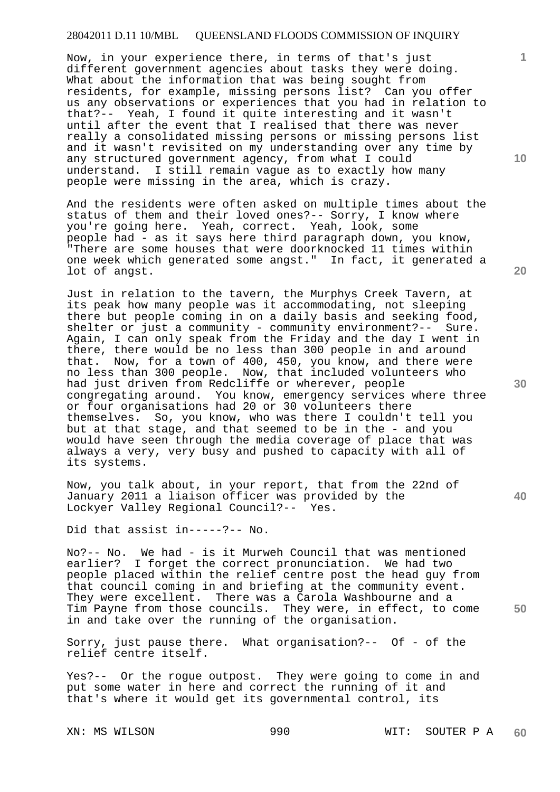Now, in your experience there, in terms of that's just different government agencies about tasks they were doing. What about the information that was being sought from residents, for example, missing persons list? Can you offer us any observations or experiences that you had in relation to that?-- Yeah, I found it quite interesting and it wasn't until after the event that I realised that there was never really a consolidated missing persons or missing persons list and it wasn't revisited on my understanding over any time by any structured government agency, from what I could understand. I still remain vague as to exactly how many people were missing in the area, which is crazy.

And the residents were often asked on multiple times about the status of them and their loved ones?-- Sorry, I know where you're going here. Yeah, correct. Yeah, look, some people had - as it says here third paragraph down, you know, "There are some houses that were doorknocked 11 times within one week which generated some angst." In fact, it generated a lot of angst.

Just in relation to the tavern, the Murphys Creek Tavern, at its peak how many people was it accommodating, not sleeping there but people coming in on a daily basis and seeking food, shelter or just a community - community environment?-- Sure. Again, I can only speak from the Friday and the day I went in there, there would be no less than 300 people in and around that. Now, for a town of 400, 450, you know, and there were no less than 300 people. Now, that included volunteers who had just driven from Redcliffe or wherever, people congregating around. You know, emergency services where three or four organisations had 20 or 30 volunteers there themselves. So, you know, who was there I couldn't tell you but at that stage, and that seemed to be in the - and you would have seen through the media coverage of place that was always a very, very busy and pushed to capacity with all of its systems.

Now, you talk about, in your report, that from the 22nd of January 2011 a liaison officer was provided by the Lockyer Valley Regional Council?-- Yes.

Did that assist in-----?-- No.

**50**  No?-- No. We had - is it Murweh Council that was mentioned earlier? I forget the correct pronunciation. We had two people placed within the relief centre post the head guy from that council coming in and briefing at the community event. They were excellent. There was a Carola Washbourne and a Tim Payne from those councils. They were, in effect, to come in and take over the running of the organisation.

Sorry, just pause there. What organisation?-- Of - of the relief centre itself.

Yes?-- Or the rogue outpost. They were going to come in and put some water in here and correct the running of it and that's where it would get its governmental control, its

XN: MS WILSON 990 990 WIT: SOUTER P A **60** 

**20** 

**40** 

**1**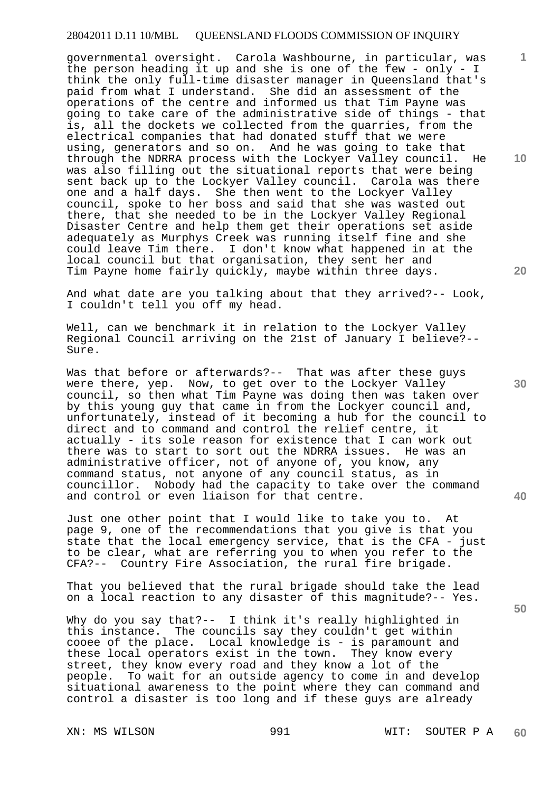governmental oversight. Carola Washbourne, in particular, was the person heading it up and she is one of the few - only - I think the only full-time disaster manager in Queensland that's paid from what I understand. She did an assessment of the operations of the centre and informed us that Tim Payne was going to take care of the administrative side of things - that is, all the dockets we collected from the quarries, from the electrical companies that had donated stuff that we were using, generators and so on. And he was going to take that through the NDRRA process with the Lockyer Valley council. He was also filling out the situational reports that were being sent back up to the Lockyer Valley council. Carola was there one and a half days. She then went to the Lockyer Valley council, spoke to her boss and said that she was wasted out there, that she needed to be in the Lockyer Valley Regional Disaster Centre and help them get their operations set aside adequately as Murphys Creek was running itself fine and she could leave Tim there. I don't know what happened in at the local council but that organisation, they sent her and Tim Payne home fairly quickly, maybe within three days.

And what date are you talking about that they arrived?-- Look, I couldn't tell you off my head.

Well, can we benchmark it in relation to the Lockyer Valley Regional Council arriving on the 21st of January I believe?-- Sure.

Was that before or afterwards?-- That was after these guys were there, yep. Now, to get over to the Lockyer Valley council, so then what Tim Payne was doing then was taken over by this young guy that came in from the Lockyer council and, unfortunately, instead of it becoming a hub for the council to direct and to command and control the relief centre, it actually - its sole reason for existence that I can work out there was to start to sort out the NDRRA issues. He was an administrative officer, not of anyone of, you know, any command status, not anyone of any council status, as in councillor. Nobody had the capacity to take over the command and control or even liaison for that centre.

Just one other point that I would like to take you to. At page 9, one of the recommendations that you give is that you state that the local emergency service, that is the CFA - just to be clear, what are referring you to when you refer to the CFA?-- Country Fire Association, the rural fire brigade.

That you believed that the rural brigade should take the lead on a local reaction to any disaster of this magnitude?-- Yes.

Why do you say that?-- I think it's really highlighted in this instance. The councils say they couldn't get within cooee of the place. Local knowledge is - is paramount and these local operators exist in the town. They know every street, they know every road and they know a lot of the people. To wait for an outside agency to come in and develop situational awareness to the point where they can command and control a disaster is too long and if these guys are already

XN: MS WILSON 991 WIT: SOUTER P A **60** 

**30** 

**20** 

**50** 

**10**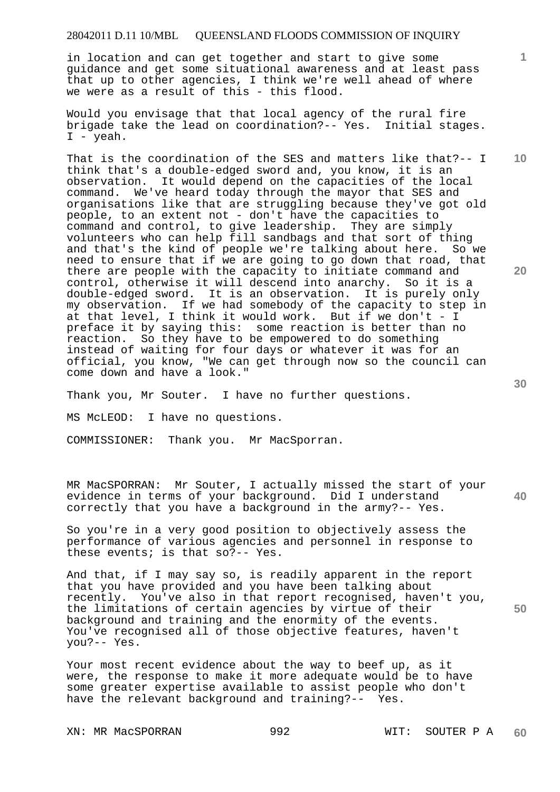in location and can get together and start to give some guidance and get some situational awareness and at least pass that up to other agencies, I think we're well ahead of where we were as a result of this - this flood.

Would you envisage that that local agency of the rural fire brigade take the lead on coordination?-- Yes. Initial stages. I - yeah.

That is the coordination of the SES and matters like that?-- I think that's a double-edged sword and, you know, it is an observation. It would depend on the capacities of the local command. We've heard today through the mayor that SES and organisations like that are struggling because they've got old people, to an extent not - don't have the capacities to command and control, to give leadership. They are simply volunteers who can help fill sandbags and that sort of thing and that's the kind of people we're talking about here. So we need to ensure that if we are going to go down that road, that there are people with the capacity to initiate command and control, otherwise it will descend into anarchy. So it is a double-edged sword. It is an observation. It is purely only my observation. If we had somebody of the capacity to step in at that level, I think it would work. But if we don't - I preface it by saying this: some reaction is better than no reaction. So they have to be empowered to do something instead of waiting for four days or whatever it was for an official, you know, "We can get through now so the council can come down and have a look."

Thank you, Mr Souter. I have no further questions.

MS McLEOD: I have no questions.

COMMISSIONER: Thank you. Mr MacSporran.

**40**  MR MacSPORRAN: Mr Souter, I actually missed the start of your evidence in terms of your background. Did I understand correctly that you have a background in the army?-- Yes.

So you're in a very good position to objectively assess the performance of various agencies and personnel in response to these events; is that so?-- Yes.

**50**  And that, if I may say so, is readily apparent in the report that you have provided and you have been talking about recently. You've also in that report recognised, haven't you, the limitations of certain agencies by virtue of their background and training and the enormity of the events. You've recognised all of those objective features, haven't you?-- Yes.

Your most recent evidence about the way to beef up, as it were, the response to make it more adequate would be to have some greater expertise available to assist people who don't have the relevant background and training?-- Yes.

XN: MR MacSPORRAN 992 WIT: SOUTER P A

**10** 

**1**

**20**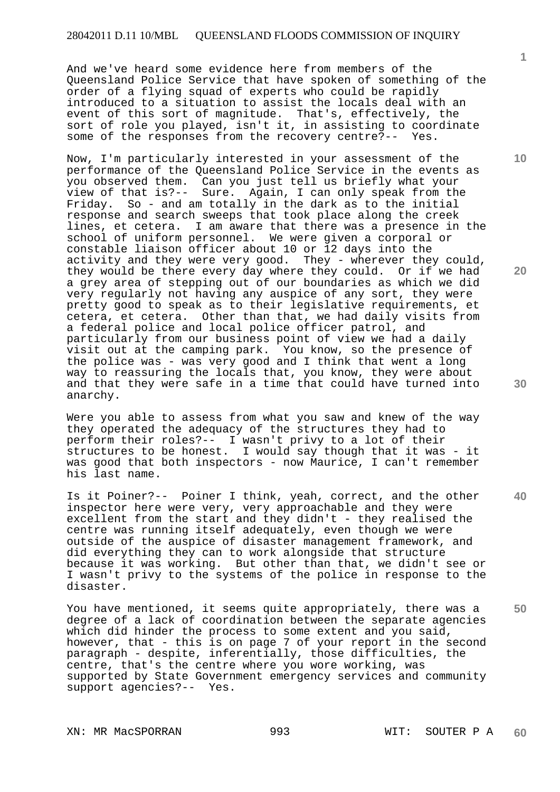And we've heard some evidence here from members of the Queensland Police Service that have spoken of something of the order of a flying squad of experts who could be rapidly introduced to a situation to assist the locals deal with an event of this sort of magnitude. That's, effectively, the sort of role you played, isn't it, in assisting to coordinate some of the responses from the recovery centre?-- Yes.

Now, I'm particularly interested in your assessment of the performance of the Queensland Police Service in the events as you observed them. Can you just tell us briefly what your view of that is?-- Sure. Again, I can only speak from the Friday. So - and am totally in the dark as to the initial response and search sweeps that took place along the creek lines, et cetera. I am aware that there was a presence in the school of uniform personnel. We were given a corporal or constable liaison officer about 10 or 12 days into the activity and they were very good. They - wherever they could, they would be there every day where they could. Or if we had a grey area of stepping out of our boundaries as which we did very regularly not having any auspice of any sort, they were pretty good to speak as to their legislative requirements, et cetera, et cetera. Other than that, we had daily visits from a federal police and local police officer patrol, and particularly from our business point of view we had a daily visit out at the camping park. You know, so the presence of the police was - was very good and I think that went a long way to reassuring the locals that, you know, they were about and that they were safe in a time that could have turned into anarchy.

Were you able to assess from what you saw and knew of the way they operated the adequacy of the structures they had to perform their roles?-- I wasn't privy to a lot of their structures to be honest. I would say though that it was - it was good that both inspectors - now Maurice, I can't remember his last name.

Is it Poiner?-- Poiner I think, yeah, correct, and the other inspector here were very, very approachable and they were excellent from the start and they didn't - they realised the centre was running itself adequately, even though we were outside of the auspice of disaster management framework, and did everything they can to work alongside that structure because it was working. But other than that, we didn't see or I wasn't privy to the systems of the police in response to the disaster.

You have mentioned, it seems quite appropriately, there was a degree of a lack of coordination between the separate agencies which did hinder the process to some extent and you said, however, that - this is on page 7 of your report in the second paragraph - despite, inferentially, those difficulties, the centre, that's the centre where you wore working, was supported by State Government emergency services and community support agencies?-- Yes.

XN: MR MacSPORRAN 993 WIT: SOUTER P A

**60** 

**10** 

**20** 

**40**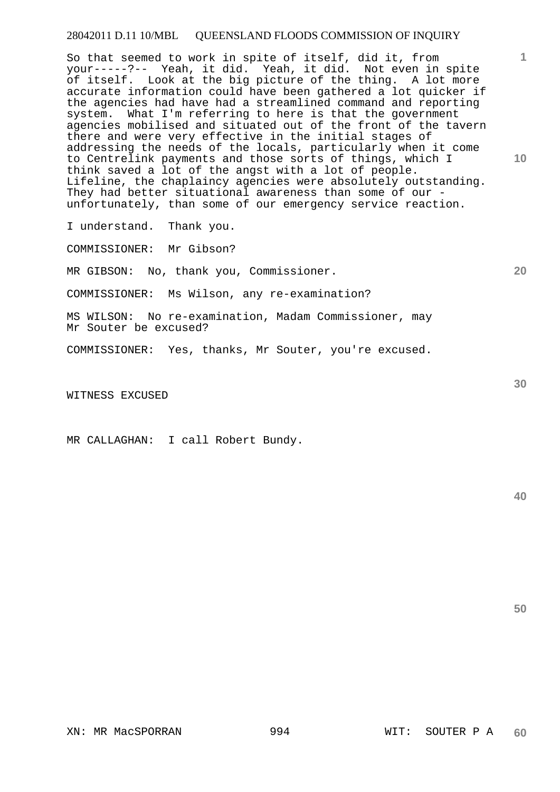So that seemed to work in spite of itself, did it, from your-----?-- Yeah, it did. Yeah, it did. Not even in spite of itself. Look at the big picture of the thing. A lot more accurate information could have been gathered a lot quicker if the agencies had have had a streamlined command and reporting system. What I'm referring to here is that the government agencies mobilised and situated out of the front of the tavern there and were very effective in the initial stages of addressing the needs of the locals, particularly when it come to Centrelink payments and those sorts of things, which I think saved a lot of the angst with a lot of people. Lifeline, the chaplaincy agencies were absolutely outstanding. They had better situational awareness than some of our unfortunately, than some of our emergency service reaction.

I understand. Thank you.

COMMISSIONER: Mr Gibson?

MR GIBSON: No, thank you, Commissioner.

COMMISSIONER: Ms Wilson, any re-examination?

MS WILSON: No re-examination, Madam Commissioner, may Mr Souter be excused?

COMMISSIONER: Yes, thanks, Mr Souter, you're excused.

WITNESS EXCUSED

MR CALLAGHAN: I call Robert Bundy.

**40** 

**50** 

**10** 

**1**

**30**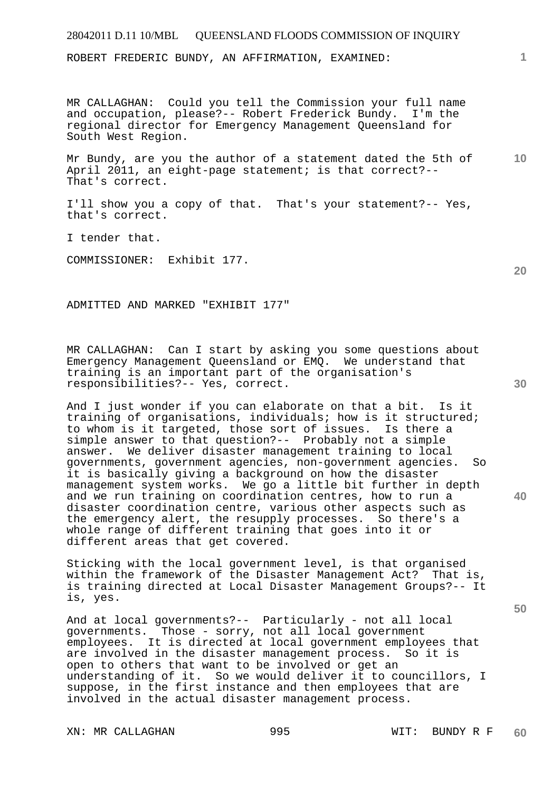ROBERT FREDERIC BUNDY, AN AFFIRMATION, EXAMINED:

MR CALLAGHAN: Could you tell the Commission your full name and occupation, please?-- Robert Frederick Bundy. I'm the regional director for Emergency Management Queensland for South West Region.

**10**  Mr Bundy, are you the author of a statement dated the 5th of April 2011, an eight-page statement; is that correct?-- That's correct.

I'll show you a copy of that. That's your statement?-- Yes, that's correct.

I tender that.

COMMISSIONER: Exhibit 177.

ADMITTED AND MARKED "EXHIBIT 177"

MR CALLAGHAN: Can I start by asking you some questions about Emergency Management Queensland or EMQ. We understand that training is an important part of the organisation's responsibilities?-- Yes, correct.

And I just wonder if you can elaborate on that a bit. Is it training of organisations, individuals; how is it structured; to whom is it targeted, those sort of issues. Is there a simple answer to that question?-- Probably not a simple answer. We deliver disaster management training to local governments, government agencies, non-government agencies. So it is basically giving a background on how the disaster management system works. We go a little bit further in depth and we run training on coordination centres, how to run a disaster coordination centre, various other aspects such as the emergency alert, the resupply processes. So there's a whole range of different training that goes into it or different areas that get covered.

Sticking with the local government level, is that organised within the framework of the Disaster Management Act? That is, is training directed at Local Disaster Management Groups?-- It is, yes.

And at local governments?-- Particularly - not all local governments. Those - sorry, not all local government employees. It is directed at local government employees that are involved in the disaster management process. So it is open to others that want to be involved or get an understanding of it. So we would deliver it to councillors, I suppose, in the first instance and then employees that are involved in the actual disaster management process.

XN: MR CALLAGHAN 995 WIT: BUNDY R F

**20** 

**30** 

**40**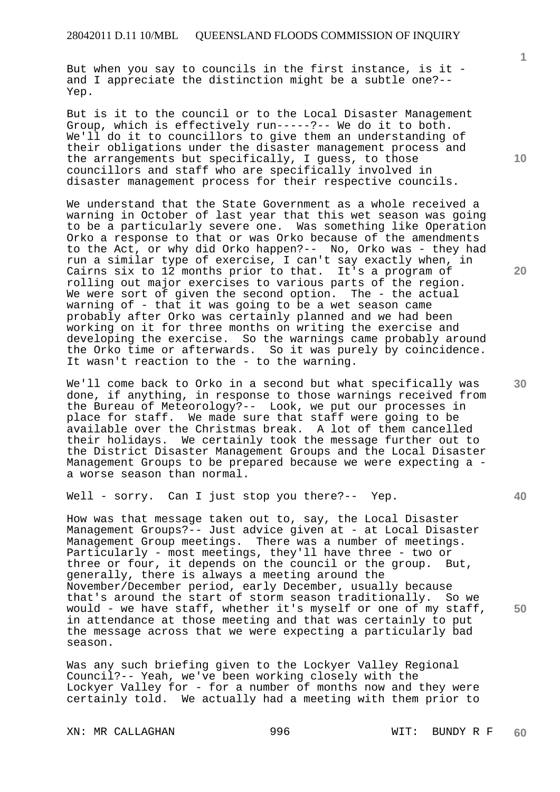But when you say to councils in the first instance, is it and I appreciate the distinction might be a subtle one?-- Yep.

But is it to the council or to the Local Disaster Management Group, which is effectively run-----?-- We do it to both. We'll do it to councillors to give them an understanding of their obligations under the disaster management process and the arrangements but specifically, I guess, to those councillors and staff who are specifically involved in disaster management process for their respective councils.

We understand that the State Government as a whole received a warning in October of last year that this wet season was going to be a particularly severe one. Was something like Operation Orko a response to that or was Orko because of the amendments to the Act, or why did Orko happen?-- No, Orko was - they had run a similar type of exercise, I can't say exactly when, in Cairns six to 12 months prior to that. It's a program of rolling out major exercises to various parts of the region. We were sort of given the second option. The - the actual warning of - that it was going to be a wet season came probably after Orko was certainly planned and we had been working on it for three months on writing the exercise and developing the exercise. So the warnings came probably around the Orko time or afterwards. So it was purely by coincidence. It wasn't reaction to the - to the warning.

We'll come back to Orko in a second but what specifically was done, if anything, in response to those warnings received from the Bureau of Meteorology?-- Look, we put our processes in place for staff. We made sure that staff were going to be available over the Christmas break. A lot of them cancelled their holidays. We certainly took the message further out to the District Disaster Management Groups and the Local Disaster Management Groups to be prepared because we were expecting a a worse season than normal.

Well - sorry. Can I just stop you there?-- Yep.

How was that message taken out to, say, the Local Disaster Management Groups?-- Just advice given at - at Local Disaster Management Group meetings. There was a number of meetings. Particularly - most meetings, they'll have three - two or three or four, it depends on the council or the group. But, generally, there is always a meeting around the November/December period, early December, usually because that's around the start of storm season traditionally. So we would - we have staff, whether it's myself or one of my staff, in attendance at those meeting and that was certainly to put the message across that we were expecting a particularly bad season.

Was any such briefing given to the Lockyer Valley Regional Council?-- Yeah, we've been working closely with the Lockyer Valley for - for a number of months now and they were certainly told. We actually had a meeting with them prior to

XN: MR CALLAGHAN 996 WIT: BUNDY R F

**10** 

**1**

**20** 

**40** 

**50**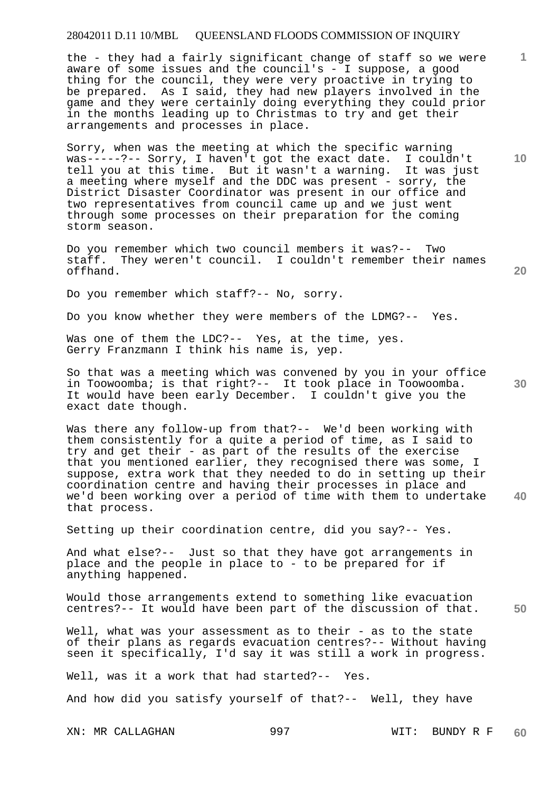the - they had a fairly significant change of staff so we were aware of some issues and the council's - I suppose, a good thing for the council, they were very proactive in trying to be prepared. As I said, they had new players involved in the game and they were certainly doing everything they could prior in the months leading up to Christmas to try and get their arrangements and processes in place.

Sorry, when was the meeting at which the specific warning was-----?-- Sorry, I haven't got the exact date. I couldn't tell you at this time. But it wasn't a warning. It was just a meeting where myself and the DDC was present - sorry, the District Disaster Coordinator was present in our office and two representatives from council came up and we just went through some processes on their preparation for the coming storm season.

Do you remember which two council members it was?-- Two staff. They weren't council. I couldn't remember their names offhand.

Do you remember which staff?-- No, sorry.

Do you know whether they were members of the LDMG?-- Yes.

Was one of them the LDC?-- Yes, at the time, yes. Gerry Franzmann I think his name is, yep.

So that was a meeting which was convened by you in your office in Toowoomba; is that right?-- It took place in Toowoomba. It would have been early December. I couldn't give you the exact date though.

Was there any follow-up from that?-- We'd been working with them consistently for a quite a period of time, as I said to try and get their - as part of the results of the exercise that you mentioned earlier, they recognised there was some, I suppose, extra work that they needed to do in setting up their coordination centre and having their processes in place and we'd been working over a period of time with them to undertake that process.

Setting up their coordination centre, did you say?-- Yes.

And what else?-- Just so that they have got arrangements in place and the people in place to - to be prepared for if anything happened.

Would those arrangements extend to something like evacuation centres?-- It would have been part of the discussion of that.

Well, what was your assessment as to their - as to the state of their plans as regards evacuation centres?-- Without having seen it specifically, I'd say it was still a work in progress.

Well, was it a work that had started?-- Yes.

And how did you satisfy yourself of that?-- Well, they have

XN: MR CALLAGHAN 997 WIT: BUNDY R F **60** 

**1**

**10** 

**20** 

**30** 

**40**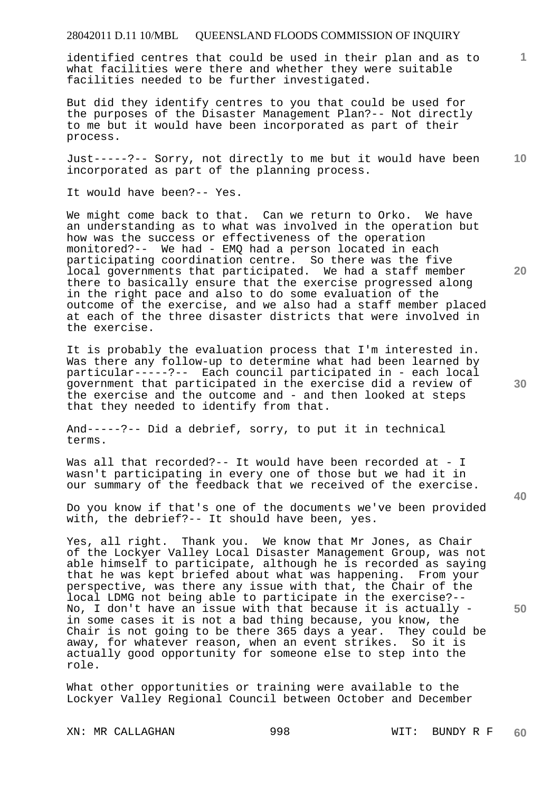identified centres that could be used in their plan and as to what facilities were there and whether they were suitable facilities needed to be further investigated.

But did they identify centres to you that could be used for the purposes of the Disaster Management Plan?-- Not directly to me but it would have been incorporated as part of their process.

**10**  Just-----?-- Sorry, not directly to me but it would have been incorporated as part of the planning process.

It would have been?-- Yes.

We might come back to that. Can we return to Orko. We have an understanding as to what was involved in the operation but how was the success or effectiveness of the operation monitored?-- We had - EMQ had a person located in each participating coordination centre. So there was the five local governments that participated. We had a staff member there to basically ensure that the exercise progressed along in the right pace and also to do some evaluation of the outcome of the exercise, and we also had a staff member placed at each of the three disaster districts that were involved in the exercise.

It is probably the evaluation process that I'm interested in. Was there any follow-up to determine what had been learned by particular-----?-- Each council participated in - each local government that participated in the exercise did a review of the exercise and the outcome and - and then looked at steps that they needed to identify from that.

And-----?-- Did a debrief, sorry, to put it in technical terms.

Was all that recorded?-- It would have been recorded at - I wasn't participating in every one of those but we had it in our summary of the feedback that we received of the exercise.

Do you know if that's one of the documents we've been provided with, the debrief?-- It should have been, yes.

Yes, all right. Thank you. We know that Mr Jones, as Chair of the Lockyer Valley Local Disaster Management Group, was not able himself to participate, although he is recorded as saying that he was kept briefed about what was happening. From your perspective, was there any issue with that, the Chair of the local LDMG not being able to participate in the exercise?-- No, I don't have an issue with that because it is actually in some cases it is not a bad thing because, you know, the Chair is not going to be there 365 days a year. They could be away, for whatever reason, when an event strikes. So it is actually good opportunity for someone else to step into the role.

What other opportunities or training were available to the Lockyer Valley Regional Council between October and December

XN: MR CALLAGHAN 998 WIT: BUNDY R F

**60** 

**30** 

**20** 

**1**

**50**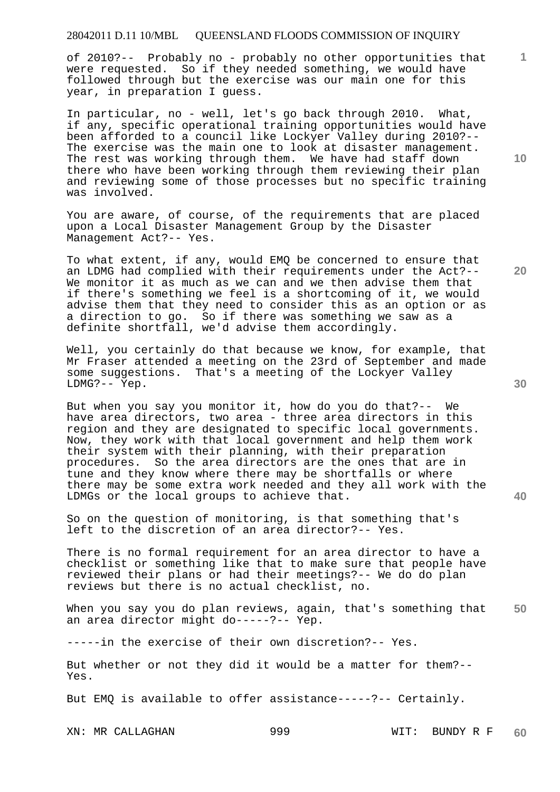of 2010?-- Probably no - probably no other opportunities that were requested. So if they needed something, we would have followed through but the exercise was our main one for this year, in preparation I guess.

In particular, no - well, let's go back through 2010. What, if any, specific operational training opportunities would have been afforded to a council like Lockyer Valley during 2010?-- The exercise was the main one to look at disaster management. The rest was working through them. We have had staff down there who have been working through them reviewing their plan and reviewing some of those processes but no specific training was involved.

You are aware, of course, of the requirements that are placed upon a Local Disaster Management Group by the Disaster Management Act?-- Yes.

To what extent, if any, would EMQ be concerned to ensure that an LDMG had complied with their requirements under the Act?-- We monitor it as much as we can and we then advise them that if there's something we feel is a shortcoming of it, we would advise them that they need to consider this as an option or as a direction to go. So if there was something we saw as a definite shortfall, we'd advise them accordingly.

Well, you certainly do that because we know, for example, that Mr Fraser attended a meeting on the 23rd of September and made some suggestions. That's a meeting of the Lockyer Valley LDMG?-- Yep.

But when you say you monitor it, how do you do that?-- We have area directors, two area - three area directors in this region and they are designated to specific local governments. Now, they work with that local government and help them work their system with their planning, with their preparation procedures. So the area directors are the ones that are in tune and they know where there may be shortfalls or where there may be some extra work needed and they all work with the LDMGs or the local groups to achieve that.

So on the question of monitoring, is that something that's left to the discretion of an area director?-- Yes.

There is no formal requirement for an area director to have a checklist or something like that to make sure that people have reviewed their plans or had their meetings?-- We do do plan reviews but there is no actual checklist, no.

**50**  When you say you do plan reviews, again, that's something that an area director might do-----?-- Yep.

-----in the exercise of their own discretion?-- Yes.

But whether or not they did it would be a matter for them?-- Yes.

But EMQ is available to offer assistance-----?-- Certainly.

XN: MR CALLAGHAN 999 WIT: BUNDY R F **60** 

**20** 

**40** 

**10**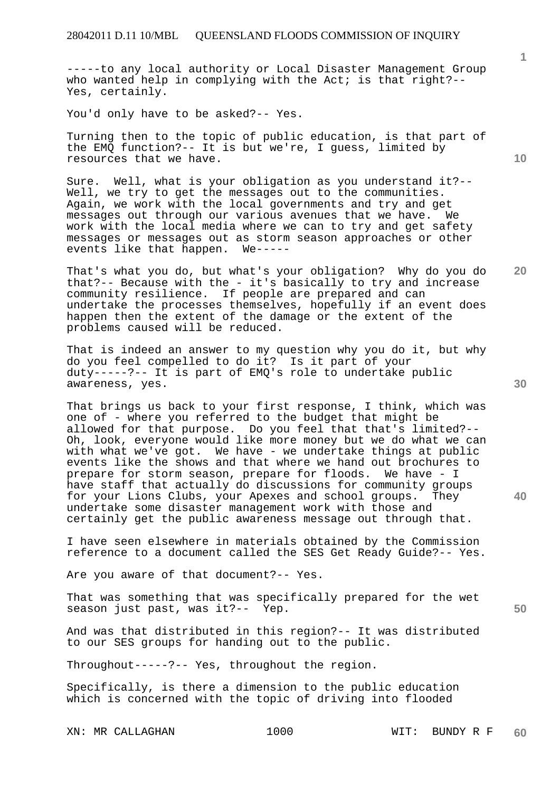-----to any local authority or Local Disaster Management Group who wanted help in complying with the Act; is that right?--Yes, certainly.

You'd only have to be asked?-- Yes.

Turning then to the topic of public education, is that part of the EMQ function?-- It is but we're, I guess, limited by resources that we have.

Sure. Well, what is your obligation as you understand it?-- Well, we try to get the messages out to the communities. Again, we work with the local governments and try and get messages out through our various avenues that we have. We work with the local media where we can to try and get safety messages or messages out as storm season approaches or other events like that happen. We-----

That's what you do, but what's your obligation? Why do you do that?-- Because with the - it's basically to try and increase community resilience. If people are prepared and can undertake the processes themselves, hopefully if an event does happen then the extent of the damage or the extent of the problems caused will be reduced.

That is indeed an answer to my question why you do it, but why do you feel compelled to do it? Is it part of your duty-----?-- It is part of EMQ's role to undertake public awareness, yes.

That brings us back to your first response, I think, which was one of - where you referred to the budget that might be allowed for that purpose. Do you feel that that's limited?-- Oh, look, everyone would like more money but we do what we can with what we've got. We have - we undertake things at public events like the shows and that where we hand out brochures to prepare for storm season, prepare for floods. We have - I have staff that actually do discussions for community groups for your Lions Clubs, your Apexes and school groups. They undertake some disaster management work with those and certainly get the public awareness message out through that.

I have seen elsewhere in materials obtained by the Commission reference to a document called the SES Get Ready Guide?-- Yes.

Are you aware of that document?-- Yes.

That was something that was specifically prepared for the wet season just past, was it?-- Yep.

And was that distributed in this region?-- It was distributed to our SES groups for handing out to the public.

Throughout-----?-- Yes, throughout the region.

Specifically, is there a dimension to the public education which is concerned with the topic of driving into flooded

XN: MR CALLAGHAN 1000 WIT: BUNDY R F

**10** 

**1**

**30** 

**40** 

**20**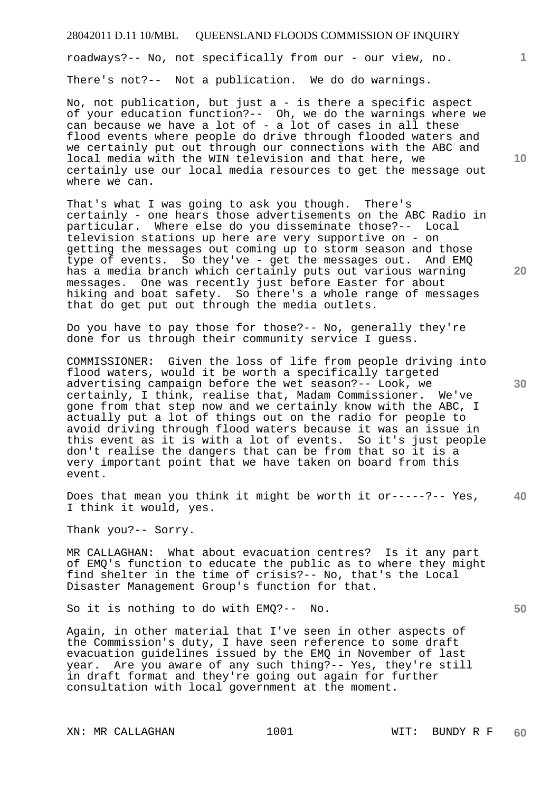roadways?-- No, not specifically from our - our view, no.

There's not?-- Not a publication. We do do warnings.

No, not publication, but just a - is there a specific aspect of your education function?-- Oh, we do the warnings where we can because we have a lot of  $-$  a lot of cases in all these flood events where people do drive through flooded waters and we certainly put out through our connections with the ABC and local media with the WIN television and that here, we certainly use our local media resources to get the message out where we can.

That's what I was going to ask you though. There's certainly - one hears those advertisements on the ABC Radio in particular. Where else do you disseminate those?-- Local television stations up here are very supportive on - on getting the messages out coming up to storm season and those type of events. So they've - get the messages out. And EMQ has a media branch which certainly puts out various warning messages. One was recently just before Easter for about hiking and boat safety. So there's a whole range of messages that do get put out through the media outlets.

Do you have to pay those for those?-- No, generally they're done for us through their community service I guess.

COMMISSIONER: Given the loss of life from people driving into flood waters, would it be worth a specifically targeted advertising campaign before the wet season?-- Look, we certainly, I think, realise that, Madam Commissioner. We've gone from that step now and we certainly know with the ABC, I actually put a lot of things out on the radio for people to avoid driving through flood waters because it was an issue in this event as it is with a lot of events. So it's just people don't realise the dangers that can be from that so it is a very important point that we have taken on board from this event.

**40**  Does that mean you think it might be worth it or-----?-- Yes, I think it would, yes.

Thank you?-- Sorry.

MR CALLAGHAN: What about evacuation centres? Is it any part of EMQ's function to educate the public as to where they might find shelter in the time of crisis?-- No, that's the Local Disaster Management Group's function for that.

So it is nothing to do with EMQ?-- No.

Again, in other material that I've seen in other aspects of the Commission's duty, I have seen reference to some draft evacuation guidelines issued by the EMQ in November of last year. Are you aware of any such thing?-- Yes, they're still in draft format and they're going out again for further consultation with local government at the moment.

**10** 

**1**

**20** 

**30**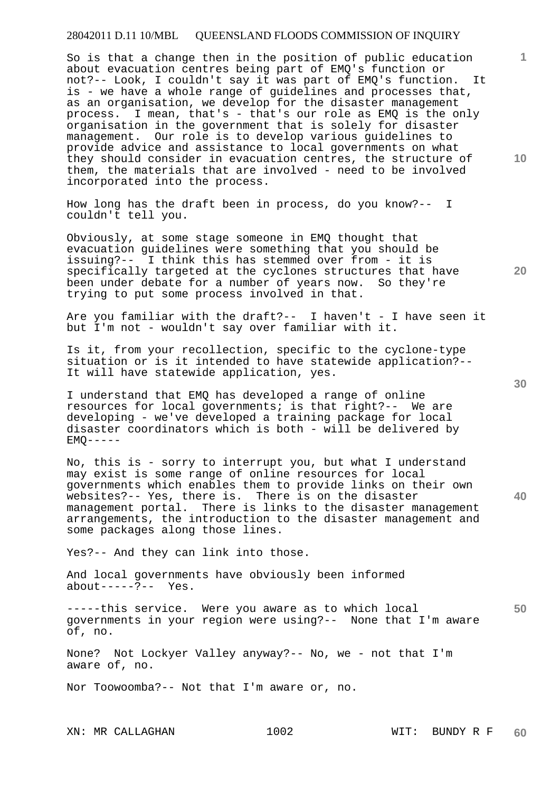So is that a change then in the position of public education about evacuation centres being part of EMQ's function or not?-- Look, I couldn't say it was part of EMQ's function. It is - we have a whole range of guidelines and processes that, as an organisation, we develop for the disaster management process. I mean, that's - that's our role as EMQ is the only organisation in the government that is solely for disaster management. Our role is to develop various guidelines to provide advice and assistance to local governments on what they should consider in evacuation centres, the structure of them, the materials that are involved - need to be involved incorporated into the process.

How long has the draft been in process, do you know?-- I couldn't tell you.

Obviously, at some stage someone in EMQ thought that evacuation guidelines were something that you should be issuing?-- I think this has stemmed over from - it is specifically targeted at the cyclones structures that have been under debate for a number of years now. So they're trying to put some process involved in that.

Are you familiar with the draft?-- I haven't - I have seen it but I'm not - wouldn't say over familiar with it.

Is it, from your recollection, specific to the cyclone-type situation or is it intended to have statewide application?-- It will have statewide application, yes.

I understand that EMQ has developed a range of online resources for local governments; is that right?-- We are developing - we've developed a training package for local disaster coordinators which is both - will be delivered by  $EMO---$ 

No, this is - sorry to interrupt you, but what I understand may exist is some range of online resources for local governments which enables them to provide links on their own websites?-- Yes, there is. There is on the disaster management portal. There is links to the disaster management arrangements, the introduction to the disaster management and some packages along those lines.

Yes?-- And they can link into those.

And local governments have obviously been informed  $about---?--$  Yes.

**50**  -----this service. Were you aware as to which local governments in your region were using?-- None that I'm aware of, no.

None? Not Lockyer Valley anyway?-- No, we - not that I'm aware of, no.

Nor Toowoomba?-- Not that I'm aware or, no.

**10** 

**1**

**30**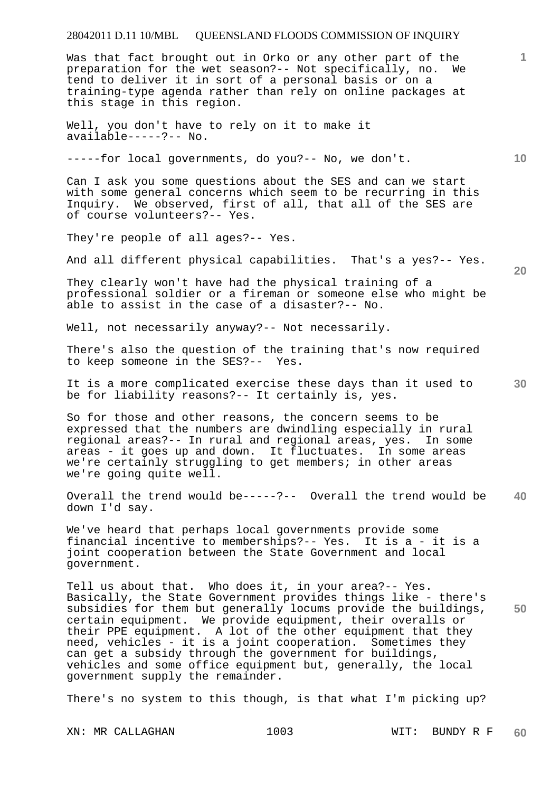Was that fact brought out in Orko or any other part of the preparation for the wet season?-- Not specifically, no. We tend to deliver it in sort of a personal basis or on a training-type agenda rather than rely on online packages at this stage in this region.

Well, you don't have to rely on it to make it available-----?-- No.

-----for local governments, do you?-- No, we don't.

Can I ask you some questions about the SES and can we start with some general concerns which seem to be recurring in this Inquiry. We observed, first of all, that all of the SES are of course volunteers?-- Yes.

They're people of all ages?-- Yes.

And all different physical capabilities. That's a yes?-- Yes.

They clearly won't have had the physical training of a professional soldier or a fireman or someone else who might be able to assist in the case of a disaster?-- No.

Well, not necessarily anyway?-- Not necessarily.

There's also the question of the training that's now required to keep someone in the SES?-- Yes.

It is a more complicated exercise these days than it used to be for liability reasons?-- It certainly is, yes.

So for those and other reasons, the concern seems to be expressed that the numbers are dwindling especially in rural regional areas?-- In rural and regional areas, yes. In some areas - it goes up and down. It fluctuates. In some areas we're certainly struggling to get members; in other areas we're going quite well.

**40**  Overall the trend would be-----?-- Overall the trend would be down I'd say.

We've heard that perhaps local governments provide some financial incentive to memberships?-- Yes. It is a - it is a joint cooperation between the State Government and local government.

**50**  Tell us about that. Who does it, in your area?-- Yes. Basically, the State Government provides things like - there's subsidies for them but generally locums provide the buildings, certain equipment. We provide equipment, their overalls or their PPE equipment. A lot of the other equipment that they need, vehicles - it is a joint cooperation. Sometimes they can get a subsidy through the government for buildings, vehicles and some office equipment but, generally, the local government supply the remainder.

There's no system to this though, is that what I'm picking up?

XN: MR CALLAGHAN 1003 WIT: BUNDY R F

**10** 

**1**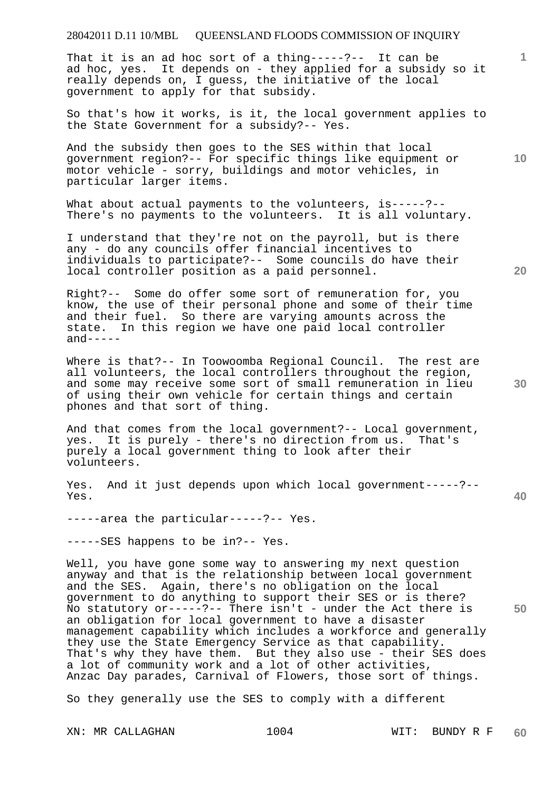That it is an ad hoc sort of a thing-----?-- It can be ad hoc, yes. It depends on - they applied for a subsidy so it really depends on, I guess, the initiative of the local government to apply for that subsidy.

So that's how it works, is it, the local government applies to the State Government for a subsidy?-- Yes.

And the subsidy then goes to the SES within that local government region?-- For specific things like equipment or motor vehicle - sorry, buildings and motor vehicles, in particular larger items.

What about actual payments to the volunteers, is-----?--There's no payments to the volunteers. It is all voluntary.

I understand that they're not on the payroll, but is there any - do any councils offer financial incentives to individuals to participate?-- Some councils do have their local controller position as a paid personnel.

Right?-- Some do offer some sort of remuneration for, you know, the use of their personal phone and some of their time and their fuel. So there are varying amounts across the state. In this region we have one paid local controller  $and----$ 

Where is that?-- In Toowoomba Regional Council. The rest are all volunteers, the local controllers throughout the region, and some may receive some sort of small remuneration in lieu of using their own vehicle for certain things and certain phones and that sort of thing.

And that comes from the local government?-- Local government, yes. It is purely - there's no direction from us. That's purely a local government thing to look after their volunteers.

Yes. And it just depends upon which local government-----?-- Yes.

-----area the particular-----?-- Yes.

-----SES happens to be in?-- Yes.

Well, you have gone some way to answering my next question anyway and that is the relationship between local government and the SES. Again, there's no obligation on the local government to do anything to support their SES or is there? No statutory or-----?-- There isn't - under the Act there is an obligation for local government to have a disaster management capability which includes a workforce and generally they use the State Emergency Service as that capability. That's why they have them. But they also use - their SES does a lot of community work and a lot of other activities, Anzac Day parades, Carnival of Flowers, those sort of things.

So they generally use the SES to comply with a different

**20** 

**30** 

**50** 

**40** 

**10**